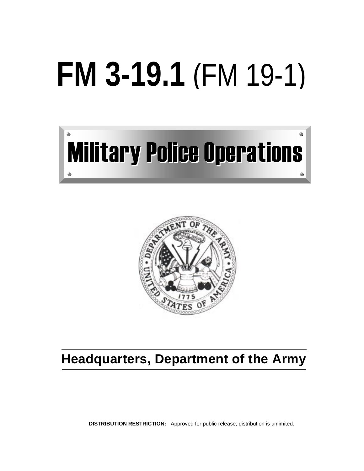# **FM 3-19.1** (FM 19-1)





# **Headquarters, Department of the Army**

**DISTRIBUTION RESTRICTION:** Approved for public release; distribution is unlimited.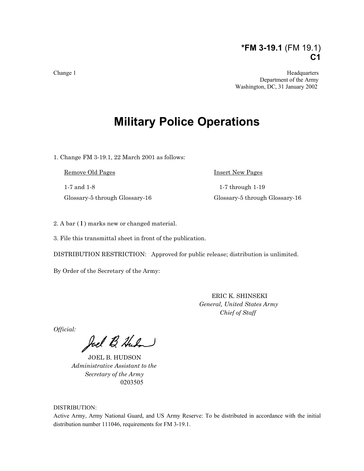## **\*FM 3-19.1** (FM 19.1) **C1**

Change 1 Headquarters and the contract of the contract of the Headquarters and the Headquarters of the Headquarters of the Headquarters of the Headquarters of the Headquarters of the Headquarters of the Headquarters of the Department of the Army Washington, DC, 31 January 2002

# **Military Police Operations**

1. Change FM 3-19.1, 22 March 2001 as follows:

Remove Old Pages Insert New Pages

1-7 and 1-8 1-7 through 1-19 Glossary-5 through Glossary-16 Glossary-5 through Glossary-16

2. A bar ( **l** ) marks new or changed material.

3. File this transmittal sheet in front of the publication.

DISTRIBUTION RESTRICTION: Approved for public release; distribution is unlimited.

By Order of the Secretary of the Army:

 ERIC K. SHINSEKI *General, United States Army Chief of Staff*

*Official:*

Joel B. Huben

JOEL B. HUDSON  *Administrative Assistant to the Secretary of the Army* 0203505

#### DISTRIBUTION:

Active Army, Army National Guard, and US Army Reserve: To be distributed in accordance with the initial distribution number 111046, requirements for FM 3-19.1.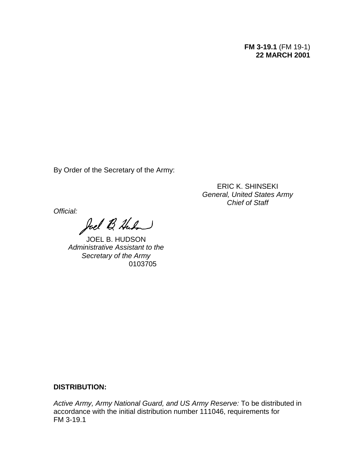## **FM 3-19.1** (FM 19-1) **22 MARCH 2001**

By Order of the Secretary of the Army:

ERIC K. SHINSEKI *General, United States Army Chief of Staff*

*Official:*

Joel B. Huban

JOEL B. HUDSON *Administrative Assistant to the Secretary of the Army* 0103705

## **DISTRIBUTION:**

*Active Army, Army National Guard, and US Army Reserve:* To be distributed in accordance with the initial distribution number 111046, requirements for FM 3-19.1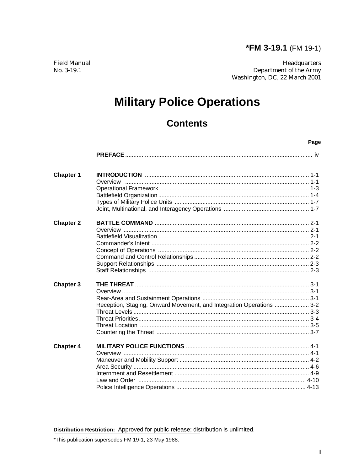Page

**Field Manual** No. 3-19.1

Headquarters Department of the Army Washington, DC, 22 March 2001

# **Military Police Operations**

## **Contents**

| <b>Chapter 1</b> |                                                                      |  |
|------------------|----------------------------------------------------------------------|--|
|                  |                                                                      |  |
|                  |                                                                      |  |
|                  |                                                                      |  |
|                  |                                                                      |  |
|                  |                                                                      |  |
| <b>Chapter 2</b> |                                                                      |  |
|                  |                                                                      |  |
|                  |                                                                      |  |
|                  |                                                                      |  |
|                  |                                                                      |  |
|                  |                                                                      |  |
|                  |                                                                      |  |
|                  |                                                                      |  |
| <b>Chapter 3</b> |                                                                      |  |
|                  |                                                                      |  |
|                  |                                                                      |  |
|                  | Reception, Staging, Onward Movement, and Integration Operations  3-2 |  |
|                  |                                                                      |  |
|                  |                                                                      |  |
|                  |                                                                      |  |
|                  |                                                                      |  |
| <b>Chapter 4</b> |                                                                      |  |
|                  |                                                                      |  |
|                  |                                                                      |  |
|                  |                                                                      |  |
|                  |                                                                      |  |
|                  |                                                                      |  |
|                  |                                                                      |  |

Distribution Restriction: Approved for public release; distribution is unlimited.

\*This publication supersedes FM 19-1, 23 May 1988.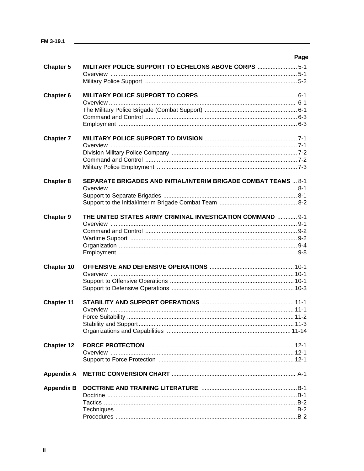|                   | Page                                                            |
|-------------------|-----------------------------------------------------------------|
| <b>Chapter 5</b>  | MILITARY POLICE SUPPORT TO ECHELONS ABOVE CORPS  5-1            |
|                   |                                                                 |
|                   |                                                                 |
| Chapter 6         |                                                                 |
|                   |                                                                 |
|                   |                                                                 |
|                   |                                                                 |
|                   |                                                                 |
|                   |                                                                 |
| <b>Chapter 7</b>  |                                                                 |
|                   |                                                                 |
|                   |                                                                 |
|                   |                                                                 |
|                   |                                                                 |
|                   |                                                                 |
| <b>Chapter 8</b>  | SEPARATE BRIGADES AND INITIAL/INTERIM BRIGADE COMBAT TEAMS  8-1 |
|                   |                                                                 |
|                   |                                                                 |
|                   |                                                                 |
| <b>Chapter 9</b>  | THE UNITED STATES ARMY CRIMINAL INVESTIGATION COMMAND  9-1      |
|                   |                                                                 |
|                   |                                                                 |
|                   |                                                                 |
|                   |                                                                 |
|                   |                                                                 |
|                   |                                                                 |
| Chapter 10        |                                                                 |
|                   |                                                                 |
|                   |                                                                 |
|                   |                                                                 |
|                   |                                                                 |
| <b>Chapter 11</b> |                                                                 |
|                   |                                                                 |
|                   |                                                                 |
|                   |                                                                 |
|                   |                                                                 |
|                   |                                                                 |
| <b>Chapter 12</b> |                                                                 |
|                   |                                                                 |
|                   |                                                                 |
| <b>Appendix A</b> |                                                                 |
| <b>Appendix B</b> |                                                                 |
|                   |                                                                 |
|                   |                                                                 |
|                   |                                                                 |
|                   |                                                                 |
|                   |                                                                 |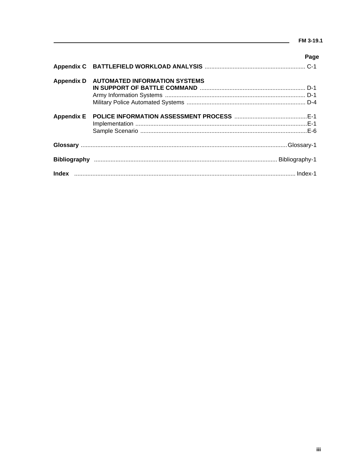## $\frac{1}{2}$  FM 3-19.1

|                   |                                      | Page |
|-------------------|--------------------------------------|------|
|                   |                                      |      |
| <b>Appendix D</b> | <b>AUTOMATED INFORMATION SYSTEMS</b> |      |
|                   |                                      |      |
|                   |                                      |      |
|                   |                                      |      |
| <b>Appendix E</b> |                                      |      |
|                   |                                      |      |
|                   |                                      |      |
|                   |                                      |      |
|                   |                                      |      |
|                   |                                      |      |
|                   |                                      |      |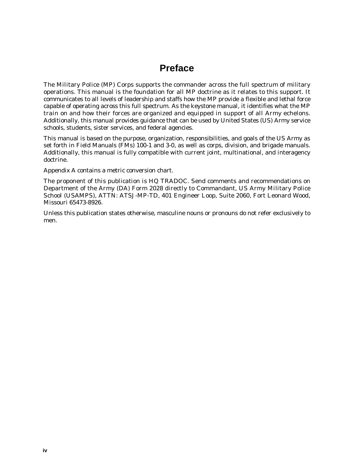## **Preface**

The Military Police (MP) Corps supports the commander across the full spectrum of military operations. This manual is the foundation for all MP doctrine as it relates to this support. It communicates to all levels of leadership and staffs how the MP provide a flexible and lethal force capable of operating across this full spectrum. As the keystone manual, it identifies what the MP train on and how their forces are organized and equipped in support of all Army echelons. Additionally, this manual provides guidance that can be used by United States (US) Army service schools, students, sister services, and federal agencies.

This manual is based on the purpose, organization, responsibilities, and goals of the US Army as set forth in Field Manuals (FMs) 100-1 and 3-0, as well as corps, division, and brigade manuals. Additionally, this manual is fully compatible with current joint, multinational, and interagency doctrine.

Appendix A contains a metric conversion chart.

The proponent of this publication is HQ TRADOC. Send comments and recommendations on Department of the Army (DA) Form 2028 directly to Commandant, US Army Military Police School (USAMPS), ATTN: ATSJ-MP-TD, 401 Engineer Loop, Suite 2060, Fort Leonard Wood, Missouri 65473-8926.

Unless this publication states otherwise, masculine nouns or pronouns do not refer exclusively to men.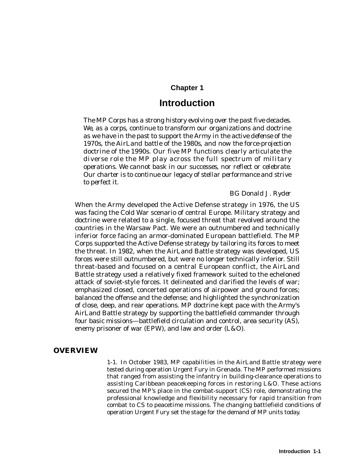## **Chapter 1**

## **Introduction**

*The MP Corps has a strong history evolving over the past five decades. We, as a corps, continue to transform our organizations and doctrine as we have in the past to support the Army in the active defense of the 1970s, the AirLand battle of the 1980s, and now the force-projection doctrine of the 1990s. Our five MP functions clearly articulate the diverse role the MP play across the full spectrum of military operations. We cannot bask in our successes, nor reflect or celebrate. Our charter is to continue our legacy of stellar performance and strive to perfect it.*

## *BG Donald J. Ryder*

When the Army developed the Active Defense strategy in 1976, the US was facing the Cold War scenario of central Europe. Military strategy and doctrine were related to a single, focused threat that revolved around the countries in the Warsaw Pact. We were an outnumbered and technically inferior force facing an armor-dominated European battlefield. The MP Corps supported the Active Defense strategy by tailoring its forces to meet the threat. In 1982, when the AirLand Battle strategy was developed, US forces were still outnumbered, but were no longer technically inferior. Still threat-based and focused on a central European conflict, the AirLand Battle strategy used a relatively fixed framework suited to the echeloned attack of soviet-style forces. It delineated and clarified the levels of war; emphasized closed, concerted operations of airpower and ground forces; balanced the offense and the defense; and highlighted the synchronization of close, deep, and rear operations. MP doctrine kept pace with the Army's AirLand Battle strategy by supporting the battlefield commander through four basic missions—battlefield circulation and control, area security (AS), enemy prisoner of war (EPW), and law and order (L&O).

## **OVERVIEW**

1-1. In October 1983, MP capabilities in the AirLand Battle strategy were tested during operation Urgent Fury in Grenada. The MP performed missions that ranged from assisting the infantry in building-clearance operations to assisting Caribbean peacekeeping forces in restoring L&O. These actions secured the MP's place in the combat-support (CS) role, demonstrating the professional knowledge and flexibility necessary for rapid transition from combat to CS to peacetime missions. The changing battlefield conditions of operation Urgent Fury set the stage for the demand of MP units today.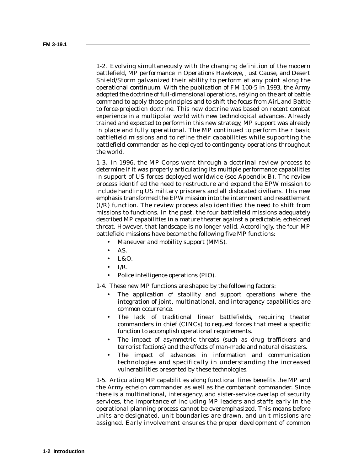1-2. Evolving simultaneously with the changing definition of the modern battlefield, MP performance in Operations Hawkeye, Just Cause, and Desert Shield/Storm galvanized their ability to perform at any point along the operational continuum. With the publication of FM 100-5 in 1993, the Army adopted the doctrine of full-dimensional operations, relying on the art of battle command to apply those principles and to shift the focus from AirLand Battle to force-projection doctrine. This new doctrine was based on recent combat experience in a multipolar world with new technological advances. Already trained and expected to perform in this new strategy, MP support was already in place and fully operational. The MP continued to perform their basic battlefield missions and to refine their capabilities while supporting the battlefield commander as he deployed to contingency operations throughout the world.

1-3. In 1996, the MP Corps went through a doctrinal review process to determine if it was properly articulating its multiple performance capabilities in support of US forces deployed worldwide (see Appendix B). The review process identified the need to restructure and expand the EPW mission to include handling US military prisoners and all dislocated civilians. This new emphasis transformed the EPW mission into the internment and resettlement (I/R) function. The review process also identified the need to shift from missions to functions. In the past, the four battlefield missions adequately described MP capabilities in a mature theater against a predictable, echeloned threat. However, that landscape is no longer valid. Accordingly, the four MP battlefield missions have become the following five MP functions:

- Maneuver and mobility support (MMS).
- AS.
- L&O.
- $\bullet$  I/R.
- Police intelligence operations (PIO).

1-4. These new MP functions are shaped by the following factors:

- The application of stability and support operations where the integration of joint, multinational, and interagency capabilities are common occurrence.
- The lack of traditional linear battlefields, requiring theater commanders in chief (CINCs) to request forces that meet a specific function to accomplish operational requirements.
- The impact of asymmetric threats (such as drug traffickers and terrorist factions) and the effects of man-made and natural disasters.
- The impact of advances in information and communication technologies and specifically in understanding the increased vulnerabilities presented by these technologies.

1-5. Articulating MP capabilities along functional lines benefits the MP and the Army echelon commander as well as the combatant commander. Since there is a multinational, interagency, and sister-service overlap of security services, the importance of including MP leaders and staffs early in the operational planning process cannot be overemphasized. This means before units are designated, unit boundaries are drawn, and unit missions are assigned. Early involvement ensures the proper development of common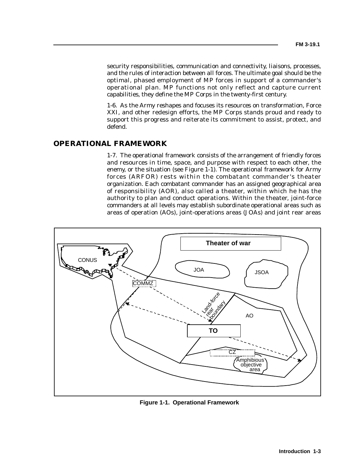security responsibilities, communication and connectivity, liaisons, processes, and the rules of interaction between all forces. The ultimate goal should be the optimal, phased employment of MP forces in support of a commander's operational plan. MP functions not only reflect and capture current capabilities, they define the MP Corps in the twenty-first century.

1-6. As the Army reshapes and focuses its resources on transformation, Force XXI, and other redesign efforts, the MP Corps stands proud and ready to support this progress and reiterate its commitment to assist, protect, and defend.

## **OPERATIONAL FRAMEWORK**

1-7. The operational framework consists of the arrangement of friendly forces and resources in time, space, and purpose with respect to each other, the enemy, or the situation (see Figure 1-1). The operational framework for Army forces (ARFOR) rests within the combatant commander's theater organization. Each combatant commander has an assigned geographical area of responsibility (AOR), also called a theater, within which he has the authority to plan and conduct operations. Within the theater, joint-force commanders at all levels may establish subordinate operational areas such as areas of operation (AOs), joint-operations areas (JOAs) and joint rear areas



**Figure 1-1. Operational Framework**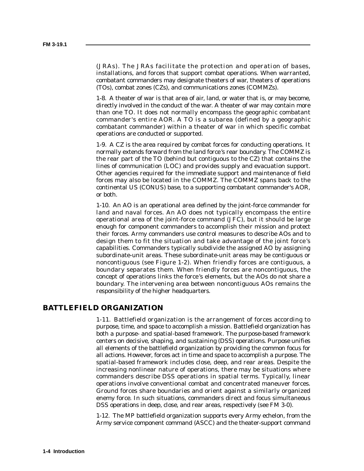(JRAs). The JRAs facilitate the protection and operation of bases, installations, and forces that support combat operations. When warranted, combatant commanders may designate theaters of war, theaters of operations (TOs), combat zones (CZs), and communications zones (COMMZs).

1-8. A theater of war is that area of air, land, or water that is, or may become, directly involved in the conduct of the war. A theater of war may contain more than one TO. It does not normally encompass the geographic combatant commander's entire AOR. A TO is a subarea (defined by a geographic combatant commander) within a theater of war in which specific combat operations are conducted or supported.

1-9. A CZ is the area required by combat forces for conducting operations. It normally extends forward from the land force 's rear boundary. The COMMZ is the rear part of the TO (behind but contiguous to the CZ) that contains the lines of communication (LOC) and provides supply and evacuation support. Other agencies required for the immediate support and maintenance of field forces may also be located in the COMMZ. The COMMZ spans back to the continental US (CONUS) base, to a supporting combatant commander's AOR, or both.

1-10. An AO is an operational area defined by the joint-force commander for land and naval forces. An AO does not typically encompass the entire operational area of the joint-force command (JFC), but it should be large enough for component commanders to accomplish their mission and protect their forces. Army commanders use control measures to describe AOs and to design them to fit the situation and take advantage of the joint force 's capabilities. Commanders typically subdivide the assigned AO by assigning subordinate-unit areas. These subordinate-unit areas may be contiguous or noncontiguous (see Figure 1-2). When friendly forces are contiguous, a boundary separates them. When friendly forces are noncontiguous, the concept of operations links the force 's elements, but the AOs do not share a boundary. The intervening area between noncontiguous AOs remains the responsibility of the higher headquarters.

## **BATTLEFIELD ORGANIZATION**

1-11. Battlefield organization is the arrangement of forces according to purpose, time, and space to accomplish a mission. Battlefield organization has both a purpose- and spatial-based framework. The purpose-based framework centers on decisive, shaping, and sustaining (DSS) operations. Purpose unifies all elements of the battlefield organization by providing the common focus for all actions. However, forces act in time and space to accomplish a purpose. The spatial-based framework includes close, deep, and rear areas. Despite the increasing nonlinear nature of operations, there may be situations where commanders describe DSS operations in spatial terms. Typically, linear operations involve conventional combat and concentrated maneuver forces. Ground forces share boundaries and orient against a similarly organized enemy force. In such situations, commanders direct and focus simultaneous DSS operations in deep, close, and rear areas, respectively (see FM 3-0).

1-12. The MP battlefield organization supports every Army echelon, from the Army service component command (ASCC) and the theater-support command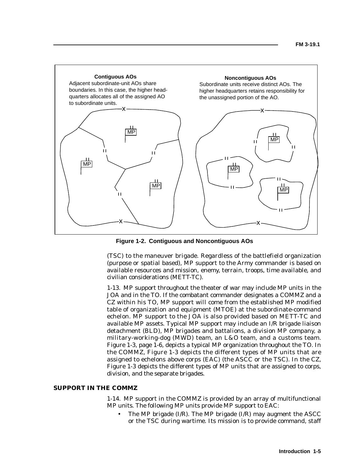

**Figure 1-2. Contiguous and Noncontiguous AOs**

(TSC) to the maneuver brigade. Regardless of the battlefield organization (purpose or spatial based), MP support to the Army commander is based on available resources and mission, enemy, terrain, troops, time available, and civilian considerations (METT-TC).

1-13. MP support throughout the theater of war may include MP units in the JOA and in the TO. If the combatant commander designates a COMMZ and a CZ within his TO, MP support will come from the established MP modified table of organization and equipment (MTOE) at the subordinate-command echelon. MP support to the JOA is also provided based on METT-TC and available MP assets. Typical MP support may include an I/R brigade liaison detachment (BLD), MP brigades and battalions, a division MP company, a military-working-dog (MWD) team, an L&O team, and a customs team. Figure 1-3, page 1-6, depicts a typical MP organization throughout the TO. In the COMMZ, Figure 1-3 depicts the different types of MP units that are assigned to echelons above corps (EAC) (the ASCC or the TSC). In the CZ, Figure 1-3 depicts the different types of MP units that are assigned to corps, division, and the separate brigades.

#### **SUPPORT IN THE COMMZ**

1-14. MP support in the COMMZ is provided by an array of multifunctional MP units. The following MP units provide MP support to EAC:

The MP brigade  $(I/R)$ . The MP brigade  $(I/R)$  may augment the ASCC or the TSC during wartime. Its mission is to provide command, staff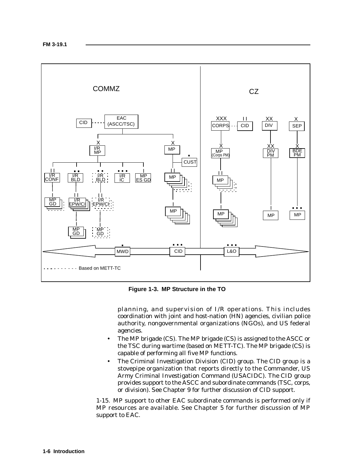

**Figure 1-3. MP Structure in the TO**

planning, and supervision of I/R operations. This includes coordination with joint and host-nation (HN) agencies, civilian police authority, nongovernmental organizations (NGOs), and US federal agencies.

- The MP brigade (CS). The MP brigade (CS) is assigned to the ASCC or the TSC during wartime (based on METT-TC). The MP brigade (CS) is capable of performing all five MP functions.
- The Criminal Investigation Division (CID) group. The CID group is a stovepipe organization that reports directly to the Commander, US Army Criminal Investigation Command (USACIDC). The CID group provides support to the ASCC and subordinate commands (TSC, corps, or division). See Chapter 9 for further discussion of CID support.

1-15. MP support to other EAC subordinate commands is performed only if MP resources are available. See Chapter 5 for further discussion of MP support to EAC.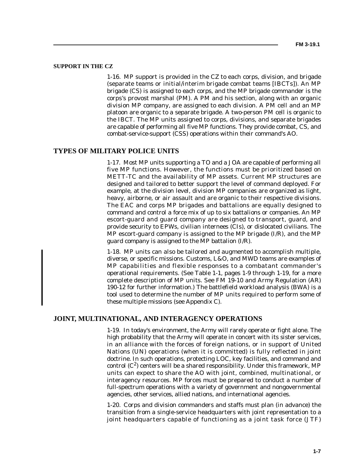#### **SUPPORT IN THE CZ**

1-16. MP support is provided in the CZ to each corps, division, and brigade (separate teams or initial/interim brigade combat teams [IBCTs]). An MP brigade (CS) is assigned to each corps, and the MP brigade commander is the corps's provost marshal (PM). A PM and his section, along with an organic division MP company, are assigned to each division. A PM cell and an MP platoon are organic to a separate brigade. A two-person PM cell is organic to the IBCT. The MP units assigned to corps, divisions, and separate brigades are capable of performing all five MP functions. They provide combat, CS, and combat-service-support (CSS) operations within their command's AO.

### **TYPES OF MILITARY POLICE UNITS**

1-17. Most MP units supporting a TO and a JOA are capable of performing all five MP functions. However, the functions must be prioritized based on METT-TC and the availability of MP assets. Current MP structures are designed and tailored to better support the level of command deployed. For example, at the division level, division MP companies are organized as light, heavy, airborne, or air assault and are organic to their respective divisions. The EAC and corps MP brigades and battalions are equally designed to command and control a force mix of up to six battalions or companies. An MP escort-guard and guard company are designed to transport, guard, and provide security to EPWs, civilian internees (CIs), or dislocated civilians. The MP escort-guard company is assigned to the MP brigade  $(I/R)$ , and the MP guard company is assigned to the MP battalion (I/R).

1-18. MP units can also be tailored and augmented to accomplish multiple, diverse, or specific missions. Customs, L&O, and MWD teams are examples of MP capabilities and flexible responses to a combatant commander's operational requirements. (See Table 1-1, pages 1-9 through 1-19, for a more complete description of MP units. See FM 19-10 and Army Regulation (AR) 190-12 for further information.) The battlefield workload analysis (BWA) is a tool used to determine the number of MP units required to perform some of these multiple missions (see Appendix C).

#### **JOINT, MULTINATIONAL, AND INTERAGENCY OPERATIONS**

1-19. In today's environment, the Army will rarely operate or fight alone. The high probability that the Army will operate in concert with its sister services, in an alliance with the forces of foreign nations, or in support of United Nations (UN) operations (when it is committed) is fully reflected in joint doctrine. In such operations, protecting LOC, key facilities, and command and control  $(C^2)$  centers will be a shared responsibility. Under this framework, MP units can expect to share the AO with joint, combined, multinational, or interagency resources. MP forces must be prepared to conduct a number of full-spectrum operations with a variety of government and nongovernmental agencies, other services, allied nations, and international agencies.

1-20. Corps and division commanders and staffs must plan (in advance) the transition from a single-service headquarters with joint representation to a joint headquarters capable of functioning as a joint task force (JTF)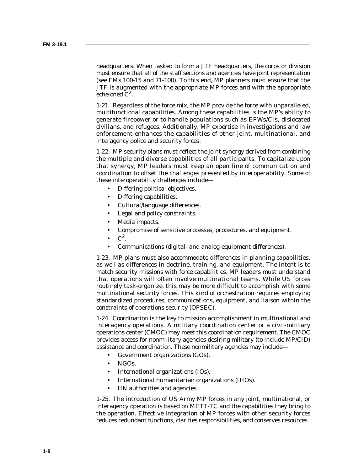headquarters. When tasked to form a JTF headquarters, the corps or division must ensure that all of the staff sections and agencies have joint representation (see FMs 100-15 and 71-100). To this end, MP planners must ensure that the JTF is augmented with the appropriate MP forces and with the appropriate echeloned  $C^2$ .

1-21. Regardless of the force mix, the MP provide the force with unparalleled, multifunctional capabilities. Among these capabilities is the MP's ability to generate firepower or to handle populations such as EPWs/CIs, dislocated civilians, and refugees. Additionally, MP expertise in investigations and law enforcement enhances the capabilities of other joint, multinational, and interagency police and security forces.

1-22. MP security plans must reflect the joint synergy derived from combining the multiple and diverse capabilities of all participants. To capitalize upon that synergy, MP leaders must keep an open line of communication and coordination to offset the challenges presented by interoperability. Some of these interoperability challenges include—

- Differing political objectives.
- Differing capabilities.
- Cultural/language differences.
- Legal and policy constraints.
- Media impacts.
- Compromise of sensitive processes, procedures, and equipment.
- $C^2$ .
- Communications (digital- and analog-equipment differences).

1-23. MP plans must also accommodate differences in planning capabilities, as well as differences in doctrine, training, and equipment. The intent is to match security missions with force capabilities. MP leaders must understand that operations will often involve multinational teams. While US forces routinely task-organize, this may be more difficult to accomplish with some multinational security forces. This kind of orchestration requires employing standardized procedures, communications, equipment, and liaison within the constraints of operations security (OPSEC).

1-24. Coordination is the key to mission accomplishment in multinational and interagency operations. A military coordination center or a civil-military operations center (CMOC) may meet this coordination requirement. The CMOC provides access for nonmilitary agencies desiring military (to include MP/CID) assistance and coordination. These nonmilitary agencies may include—

- Government organizations (GOs).
- NGOs.
- International organizations (IOs).
- International humanitarian organizations (IHOs).
- HN authorities and agencies.

1-25. The introduction of US Army MP forces in any joint, multinational, or interagency operation is based on METT-TC and the capabilities they bring to the operation. Effective integration of MP forces with other security forces reduces redundant functions, clarifies responsibilities, and conserves resources.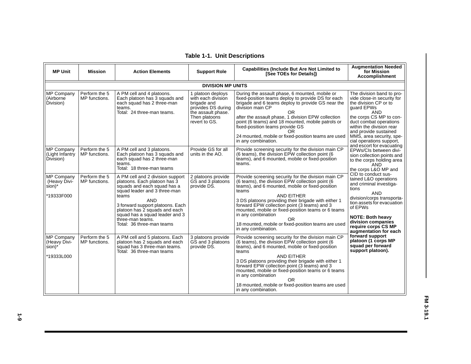| <b>MP Unit</b>                                                  | <b>Mission</b>                 | <b>Action Elements</b>                                                                                                                                                                                                                                                                                         | <b>Support Role</b>                                                                                                                  | <b>Capabilities (Include But Are Not Limited to</b><br>[See TOEs for Details])                                                                                                                                                                                                                                                                                                                                                                                  | <b>Augmentation Needed</b><br>for Mission<br><b>Accomplishment</b>                                                                                                                                                                                                                                          |
|-----------------------------------------------------------------|--------------------------------|----------------------------------------------------------------------------------------------------------------------------------------------------------------------------------------------------------------------------------------------------------------------------------------------------------------|--------------------------------------------------------------------------------------------------------------------------------------|-----------------------------------------------------------------------------------------------------------------------------------------------------------------------------------------------------------------------------------------------------------------------------------------------------------------------------------------------------------------------------------------------------------------------------------------------------------------|-------------------------------------------------------------------------------------------------------------------------------------------------------------------------------------------------------------------------------------------------------------------------------------------------------------|
|                                                                 |                                |                                                                                                                                                                                                                                                                                                                | <b>DIVISION MP UNITS</b>                                                                                                             |                                                                                                                                                                                                                                                                                                                                                                                                                                                                 |                                                                                                                                                                                                                                                                                                             |
| MP Company<br>(Airborne<br>Division)                            | Perform the 5<br>MP functions. | A PM cell and 4 platoons.<br>Each platoon has 3 squads and<br>each squad has 2 three-man<br>teams.<br>Total: 24 three-man teams.                                                                                                                                                                               | 1 platoon deploys<br>with each division<br>brigade and<br>provides DS during<br>the assault phase.<br>Then platoons<br>revert to GS. | During the assault phase, 6 mounted, mobile or<br>fixed-position teams deploy to provide DS for each<br>brigade and 6 teams deploy to provide GS near the<br>division main CP<br>OR.<br>after the assault phase, 1 division EPW collection<br>point (6 teams) and 18 mounted, mobile patrols or<br>fixed-position teams provide GS<br>OR<br>24 mounted, mobile or fixed-position teams are used<br>in any combination.                                          | The division band to pro-<br>vide close-in security for<br>the division CP or to<br>quard EPWs<br><b>AND</b><br>the corps CS MP to con-<br>duct combat operations<br>within the division rear<br>and provide sustained<br>MMS, area security, spe-<br>cial operations support,<br>and escort for evacuating |
| MP Company<br>(Light Infantry<br>Division)                      | Perform the 5<br>MP functions. | A PM cell and 3 platoons.<br>Each platoon has 3 squads and<br>each squad has 2 three-man<br>teams.<br>Total: 18 three-man teams                                                                                                                                                                                | Provide GS for all<br>units in the AO.                                                                                               | Provide screening security for the division main CP<br>(6 teams), the division EPW collection point (6<br>teams), and 6 mounted, mobile or fixed-position<br>teams.                                                                                                                                                                                                                                                                                             | EPWs/CIs between divi-<br>sion collection points and<br>to the corps holding area<br><b>AND</b><br>the corps L&O MP and                                                                                                                                                                                     |
| MP Company<br>(Heavy Divi-<br>$sion$ <sup>*</sup><br>*19333F000 | Perform the 5<br>MP functions. | A PM cell and 2 division support<br>platoons. Each platoon has 3<br>squads and each squad has a<br>squad leader and 3 three-man<br>teams<br><b>AND</b><br>3 forward support platoons. Each<br>platoon has 2 squads and each<br>squad has a squad leader and 3<br>three-man teams.<br>Total: 36 three-man teams | 2 platoons provide<br>GS and 3 platoons<br>provide DS.                                                                               | Provide screening security for the division main CP<br>(6 teams), the division EPW collection point (6<br>teams), and 6 mounted, mobile or fixed-position<br>teams<br>AND EITHER<br>3 DS platoons providing their brigade with either 1<br>forward EPW collection point (3 teams) and 3<br>mounted, mobile or fixed-position teams or 6 teams<br>in any combination<br>OR.<br>18 mounted, mobile or fixed-position teams are used<br>in any combination.        | CID to conduct sus-<br>tained L&O operations<br>and criminal investiga-<br>tions<br><b>AND</b><br>division/corps transporta-<br>tion assets for evacuation<br>of EPWs<br><b>NOTE: Both heavy</b><br>division companies<br>require corps CS MP<br>augmentation for each                                      |
| MP Company<br>(Heavy Divi-<br>sion)*<br>*19333L000              | Perform the 5<br>MP functions. | A PM cell and 5 platoons. Each<br>platoon has 2 squads and each<br>squad has 3 three-man teams.<br>Total: 36 three-man teams                                                                                                                                                                                   | 3 platoons provide<br>GS and 3 platoons<br>provide DS.                                                                               | Provide screening security for the division main CP<br>(6 teams), the division EPW collection point (6<br>teams), and 6 mounted, mobile or fixed-position<br>teams<br><b>AND EITHER</b><br>3 DS platoons providing their brigade with either 1<br>forward EPW collection point (3 teams) and 3<br>mounted, mobile or fixed-position teams or 6 teams<br>in any combination<br>OR.<br>18 mounted, mobile or fixed-position teams are used<br>in any combination. | forward support<br>platoon (1 corps MP<br>squad per forward<br>support platoon).                                                                                                                                                                                                                            |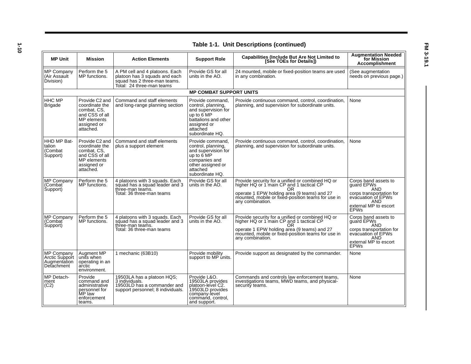|                                                            |                                                                                                              |                                                                                                                              |                                                                                                                                                            | Table 1-1. Unit Descriptions (continued)                                                                                                                                                                                     |                                                                                                                                                   |
|------------------------------------------------------------|--------------------------------------------------------------------------------------------------------------|------------------------------------------------------------------------------------------------------------------------------|------------------------------------------------------------------------------------------------------------------------------------------------------------|------------------------------------------------------------------------------------------------------------------------------------------------------------------------------------------------------------------------------|---------------------------------------------------------------------------------------------------------------------------------------------------|
| <b>MP Unit</b>                                             | <b>Mission</b>                                                                                               | <b>Action Elements</b>                                                                                                       | <b>Support Role</b>                                                                                                                                        | <b>Capabilities (Include But Are Not Limited to</b><br>[See TOEs for Details])                                                                                                                                               | <b>Augmentation Needed</b><br>for Mission<br><b>Accomplishment</b>                                                                                |
| <b>MP Company</b><br>(Air Assault<br>Division)             | Perform the 5<br>MP functions.                                                                               | A PM cell and 4 platoons. Each<br>platoon has 3 squads and each<br>squad has 2 three-man teams.<br>Total: 24 three-man teams | Provide GS for all<br>units in the AO.                                                                                                                     | 24 mounted, mobile or fixed-position teams are used<br>in any combination.                                                                                                                                                   | (See augmentation<br>needs on previous page.)                                                                                                     |
|                                                            |                                                                                                              |                                                                                                                              | <b>MP COMBAT SUPPORT UNITS</b>                                                                                                                             |                                                                                                                                                                                                                              |                                                                                                                                                   |
| <b>HHC MP</b><br><b>Brigade</b>                            | Provide C2 and<br>coordinate the<br>combat, CS,<br>and CSS of all<br>MP elements<br>assigned or<br>attached. | Command and staff elements<br>and long-range planning section                                                                | Provide command.<br>control, planning,<br>and supervision for<br>up to 6 MP<br>battalions and other<br>assigned or<br>attached<br>subordinate HQ.          | Provide continuous command, control, coordination,<br>planning, and supervision for subordinate units.                                                                                                                       | None                                                                                                                                              |
| HHD MP Bat-<br>talion<br>(Combat<br>Support)               | Provide C2 and<br>coordinate the<br>combat, CS,<br>and CSS of all<br>MP elements<br>assigned or<br>attached. | Command and staff elements<br>plus a support element                                                                         | Provide command.<br>control, planning,<br>and supervision for<br>up to $6^{\circ}$ MP<br>companies and<br>other assigned or<br>attached<br>subordinate HQ. | Provide continuous command, control, coordination,<br>planning, and supervision for subordinate units.                                                                                                                       | None                                                                                                                                              |
| <b>MP Company</b><br>(Combat<br>Support)                   | Perform the 5<br>MP functions.                                                                               | 4 platoons with 3 squads. Each<br>squad has a squad leader and 3<br>three-man teams.<br>Total: 36 three-man teams            | Provide GS for all<br>units in the AO.                                                                                                                     | Provide security for a unified or combined HQ or<br>higher HQ or 1 main CP and 1 tactical CP<br>OR.<br>operate 1 EPW holding area (9 teams) and 27<br>mounted, mobile or fixed-position teams for use in<br>any combination. | Corps band assets to<br>quard EPWs<br><b>AND</b><br>corps transportation for<br>evacuation of EPWs<br>AND<br>external MP to escort<br><b>EPWs</b> |
| <b>MP Company</b><br>(Combat <sup>:</sup><br>Support)      | Perform the 5<br>MP functions.                                                                               | 4 platoons with 3 squads. Each<br>squad has a squad leader and 3<br>three-man teams.                                         | Provide GS for all<br>units in the AO.                                                                                                                     | Provide security for a unified or combined HQ or<br>higher HQ or 1 main CP and 1 tactical CP<br>0R                                                                                                                           | Corps band assets to<br>quard EPWs<br><b>AND</b>                                                                                                  |
|                                                            |                                                                                                              | Total: 36 three-man teams                                                                                                    |                                                                                                                                                            | operate 1 EPW holding area (9 teams) and 27<br>mounted, mobile or fixed-position teams for use in<br>any combination.                                                                                                        | corps transportation for<br>evacuation of EPWs<br>AND<br>external MP to escort<br><b>EPWs</b>                                                     |
| MP Company<br>Arctic Support<br>Augmentation<br>Detachment | Augment MP<br>units when<br>operating in an<br>arctic<br>environment.                                        | 1 mechanic (63B10)                                                                                                           | Provide mobility<br>support to MP units.                                                                                                                   | Provide support as designated by the commander.                                                                                                                                                                              | None                                                                                                                                              |
| MP Detach-<br>ment<br>(C2)                                 | Provide<br>command and<br>administrative<br>personnel for<br>MP law<br>enforcement<br>teams.                 | 19503LA has a platoon HQS;<br>3 individuals.<br>19503LD has a commander and<br>support personnel; 8 individuals.             | Provide L&O.<br>19503LA provides<br>platoon-level C2.<br>19503LD provides<br>company-level<br>command, control,<br>and support.                            | Commands and controls law enforcement teams,<br>investigations teams, MWD teams, and physical-<br>security teams.                                                                                                            | None                                                                                                                                              |

**Table 1-1. Unit Descriptions (continued)**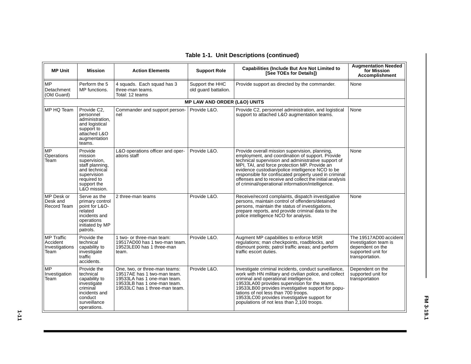| <b>MP Unit</b>                                          | <b>Mission</b>                                                                                                                      | <b>Action Elements</b>                                                                                                                                      | <b>Support Role</b>                     | <b>Capabilities (Include But Are Not Limited to</b><br>[See TOEs for Details])                                                                                                                                                                                                                                                                                                                                                           | <b>Augmentation Needed</b><br>for Mission<br><b>Accomplishment</b>                                           |
|---------------------------------------------------------|-------------------------------------------------------------------------------------------------------------------------------------|-------------------------------------------------------------------------------------------------------------------------------------------------------------|-----------------------------------------|------------------------------------------------------------------------------------------------------------------------------------------------------------------------------------------------------------------------------------------------------------------------------------------------------------------------------------------------------------------------------------------------------------------------------------------|--------------------------------------------------------------------------------------------------------------|
| <b>MP</b><br>Detachment<br>(Old Guard)                  | Perform the 5<br>MP functions.                                                                                                      | 4 squads. Each squad has 3<br>three-man teams.<br>Total: 12 teams                                                                                           | Support the HHC<br>old guard battalion. | Provide support as directed by the commander.                                                                                                                                                                                                                                                                                                                                                                                            | None                                                                                                         |
|                                                         |                                                                                                                                     |                                                                                                                                                             | <b>MP LAW AND ORDER (L&amp;O) UNITS</b> |                                                                                                                                                                                                                                                                                                                                                                                                                                          |                                                                                                              |
| MP HQ Team                                              | Provide C2.<br>personnel<br>administration,<br>and logistical<br>support to<br>attached L&O<br>augmentation<br>teams.               | Commander and support person-<br>nel                                                                                                                        | Provide L&O.                            | Provide C2, personnel administration, and logistical<br>support to attached L&O augmentation teams.                                                                                                                                                                                                                                                                                                                                      | None                                                                                                         |
| <b>MP</b><br>Operations<br>Team                         | Provide<br>mission<br>supervision,<br>staff planning.<br>and technical<br>supervision<br>required to<br>support the<br>L&O mission. | L&O operations officer and oper-<br>ations staff                                                                                                            | Provide L&O.                            | Provide overall mission supervision, planning,<br>employment, and coordination of support. Provide<br>technical supervision and administrative support of<br>MPI, TAI, and force protection MP. Provide an<br>evidence custodian/police intelligence NCO to be<br>responsible for confiscated property used in criminal<br>offenses and to receive and collect the initial analysis<br>of criminal/operational information/intelligence. | None                                                                                                         |
| MP Desk or<br>Desk and<br>Record Team                   | Serve as the<br>primary control<br>point for L&O-<br>related<br>incidents and<br>operations<br>initiated by MP<br>patrols.          | 2 three-man teams                                                                                                                                           | Provide L&O.                            | Receive/record complaints, dispatch investigative<br>persons, maintain control of offenders/detained<br>persons, maintain the status of investigations,<br>prepare reports, and provide criminal data to the<br>police intelligence NCO for analysis.                                                                                                                                                                                    | None                                                                                                         |
| <b>MP</b> Traffic<br>Accident<br>Investigations<br>Team | Provide the<br>technical<br>capability to<br>investigate<br>traffic<br>accidents.                                                   | 1 two- or three-man team:<br>19517AD00 has 1 two-man team.<br>19523LE00 has 1 three-man<br>team.                                                            | Provide L&O.                            | Augment MP capabilities to enforce MSR<br>regulations; man checkpoints, roadblocks, and<br>dismount points; patrol traffic areas; and perform<br>traffic escort duties.                                                                                                                                                                                                                                                                  | The 19517AD00 accident<br>investigation team is<br>dependent on the<br>supported unit for<br>transportation. |
| <b>MP</b><br>Investigation<br>Team                      | Provide the<br>technical<br>capability to<br>investigate<br>criminal<br>incidents and<br>conduct<br>surveillance<br>operations.     | One, two, or three-man teams:<br>19517AE has 1 two-man team.<br>19533LA has 1 one-man team.<br>19533LB has 1 one-man team.<br>19533LC has 1 three-man team. | Provide L&O.                            | Investigate criminal incidents, conduct surveillance,<br>work with HN military and civilian police, and collect<br>criminal and operational intelligence.<br>19533LA00 provides supervision for the teams.<br>19533LB00 provides investigative support for popu-<br>lations of not less than 700 troops.<br>19533LC00 provides investigative support for<br>populations of not less than 2,100 troops.                                   | Dependent on the<br>supported unit for<br>transportation                                                     |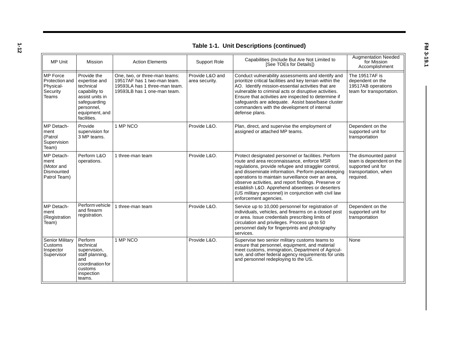**1-12**

| <b>Table 1-1. Unit Descriptions (continued)</b>                            |                                                                                                                                              |                                                                                                                              |                                   |                                                                                                                                                                                                                                                                                                                                                                                                                                                                 |                                                                                                              |  |  |
|----------------------------------------------------------------------------|----------------------------------------------------------------------------------------------------------------------------------------------|------------------------------------------------------------------------------------------------------------------------------|-----------------------------------|-----------------------------------------------------------------------------------------------------------------------------------------------------------------------------------------------------------------------------------------------------------------------------------------------------------------------------------------------------------------------------------------------------------------------------------------------------------------|--------------------------------------------------------------------------------------------------------------|--|--|
| <b>MP Unit</b>                                                             | Mission                                                                                                                                      | <b>Action Elements</b>                                                                                                       | Support Role                      | Capabilities (Include But Are Not Limited to<br>[See TOEs for Details])                                                                                                                                                                                                                                                                                                                                                                                         | <b>Augmentation Needed</b><br>for Mission<br>Accomplishment                                                  |  |  |
| <b>MP</b> Force<br>Protection and<br>Physical-<br>Security<br><b>Teams</b> | Provide the<br>expertise and<br>technical<br>capability to<br>assist units in<br>safeguarding<br>personnel,<br>equipment, and<br>facilities. | One, two, or three-man teams:<br>19517AF has 1 two-man team.<br>19593LA has 1 three-man team.<br>19593LB has 1 one-man team. | Provide L&O and<br>area security. | Conduct vulnerability assessments and identify and<br>prioritize critical facilities and key terrain within the<br>AO. Identify mission-essential activities that are<br>vulnerable to criminal acts or disruptive activities.<br>Ensure that activities are inspected to determine if<br>safeguards are adequate. Assist base/base cluster<br>commanders with the development of internal<br>defense plans.                                                    | The 19517AF is<br>dependent on the<br>19517AB operations<br>team for transportation.                         |  |  |
| MP Detach-<br>ment<br>(Patrol<br>Supervision<br>Team)                      | Provide<br>supervision for<br>3 MP teams.                                                                                                    | 1 MP NCO                                                                                                                     | Provide L&O.                      | Plan, direct, and supervise the employment of<br>assigned or attached MP teams.                                                                                                                                                                                                                                                                                                                                                                                 | Dependent on the<br>supported unit for<br>transportation                                                     |  |  |
| MP Detach-<br>ment<br>(Motor and<br>Dismounted<br>Patrol Team)             | Perform L&O<br>operations.                                                                                                                   | 1 three-man team                                                                                                             | Provide L&O.                      | Protect designated personnel or facilities. Perform<br>route and area reconnaissance, enforce MSR<br>regulations, provide refugee and straggler control,<br>and disseminate information. Perform peacekeeping<br>operations to maintain surveillance over an area,<br>observe activities, and report findings. Preserve or<br>establish L&O. Apprehend absentees or deserters<br>(US military personnel) in conjunction with civil law<br>enforcement agencies. | The dismounted patrol<br>team is dependent on the<br>supported unit for<br>transportation, when<br>required. |  |  |
| MP Detach-<br>ment<br>(Registration<br>Team)                               | Perform vehicle<br>and firearm<br>registration.                                                                                              | 1 three-man team                                                                                                             | Provide L&O.                      | Service up to 10,000 personnel for registration of<br>individuals, vehicles, and firearms on a closed post<br>or area. Issue credentials prescribing limits of<br>circulation and privileges. Process up to 50<br>personnel daily for fingerprints and photography<br>services.                                                                                                                                                                                 | Dependent on the<br>supported unit for<br>transportation                                                     |  |  |
| <b>Senior Military</b><br>Customs<br>Inspector<br>Supervisor               | Perform<br>technical<br>supervision,<br>staff planning,<br>and<br>coordination for<br>customs<br>inspection<br>teams.                        | 1 MP NCO                                                                                                                     | Provide L&O.                      | Supervise two senior military customs teams to<br>ensure that personnel, equipment, and material<br>meet customs, immigration, Department of Agricul-<br>ture, and other federal agency requirements for units<br>and personnel redeploying to the US.                                                                                                                                                                                                          | None                                                                                                         |  |  |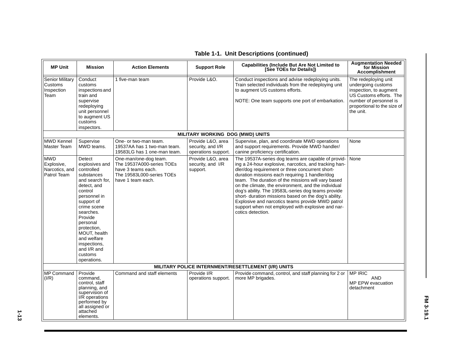| <b>MP Unit</b>                                            | <b>Mission</b>                                                                                                                                                                                                                                                                            | <b>Action Elements</b>                                                                                                     | <b>Support Role</b>                                           | <b>Capabilities (Include But Are Not Limited to</b><br>[See TOEs for Details])                                                                                                                                                                                                                                                                                                                                                                                                                                                                                            | <b>Augmentation Needed</b><br>for Mission<br><b>Accomplishment</b>                                                                                                    |
|-----------------------------------------------------------|-------------------------------------------------------------------------------------------------------------------------------------------------------------------------------------------------------------------------------------------------------------------------------------------|----------------------------------------------------------------------------------------------------------------------------|---------------------------------------------------------------|---------------------------------------------------------------------------------------------------------------------------------------------------------------------------------------------------------------------------------------------------------------------------------------------------------------------------------------------------------------------------------------------------------------------------------------------------------------------------------------------------------------------------------------------------------------------------|-----------------------------------------------------------------------------------------------------------------------------------------------------------------------|
| <b>Senior Military</b><br>Customs<br>Inspection<br>Team   | Conduct<br>customs<br>inspections and<br>train and<br>supervise<br>redeploying<br>unit personnel<br>to augment US<br>customs<br>inspectors.                                                                                                                                               | 1 five-man team                                                                                                            | Provide L&O.                                                  | Conduct inspections and advise redeploying units.<br>Train selected individuals from the redeploying unit<br>to augment US customs efforts.<br>NOTE: One team supports one port of embarkation.                                                                                                                                                                                                                                                                                                                                                                           | The redeploying unit<br>undergoing customs<br>inspection, to augment<br>US Customs efforts. The<br>number of personnel is<br>proportional to the size of<br>the unit. |
|                                                           |                                                                                                                                                                                                                                                                                           |                                                                                                                            | MILITARY WORKING DOG (MWD) UNITS                              |                                                                                                                                                                                                                                                                                                                                                                                                                                                                                                                                                                           |                                                                                                                                                                       |
| <b>MWD Kennel</b><br>Master Team                          | Supervise<br>MWD teams.                                                                                                                                                                                                                                                                   | One- or two-man team.<br>19537AA has 1 two-man team.<br>19583LG has 1 one-man team.                                        | Provide L&O, area<br>security, and I/R<br>operations support. | Supervise, plan, and coordinate MWD operations<br>and support requirements. Provide MWD handler/<br>canine proficiency certification.                                                                                                                                                                                                                                                                                                                                                                                                                                     | None                                                                                                                                                                  |
| <b>MWD</b><br>Explosive,<br>Narcotics, and<br>Patrol Team | Detect<br>explosives and<br>controlled<br>substances<br>and search for.<br>detect, and<br>control<br>personnel in<br>support of<br>crime scene<br>searches.<br>Provide<br>personal<br>protection,<br>MOUT, health<br>and welfare<br>inspections,<br>and I/R and<br>customs<br>operations. | One-man/one-dog team.<br>The 19537A000-series TOEs<br>have 3 teams each.<br>The 19583L000-series TOEs<br>have 1 team each. | Provide L&O, area<br>security, and I/R<br>support.            | The 19537A-series dog teams are capable of provid-<br>ing a 24-hour explosive, narcotics, and tracking han-<br>dler/dog requirement or three concurrent short-<br>duration missions each requiring 1 handler/dog<br>team. The duration of the missions will vary based<br>on the climate, the environment, and the individual<br>dog's ability. The 19583L-series dog teams provide<br>short- duration missions based on the dog's ability.<br>Explosive and narcotics teams provide MWD patrol<br>support when not employed with explosive and nar-<br>cotics detection. | None                                                                                                                                                                  |
|                                                           |                                                                                                                                                                                                                                                                                           |                                                                                                                            |                                                               | MILITARY POLICE INTERNMENT/RESETTLEMENT (I/R) UNITS                                                                                                                                                                                                                                                                                                                                                                                                                                                                                                                       |                                                                                                                                                                       |
| <b>MP Command</b><br>(I/R)                                | Provide<br>command.<br>control, staff<br>planning, and<br>supervision of<br>I/R operations<br>performed by<br>all assigned or<br>attached<br>elements.                                                                                                                                    | Command and staff elements                                                                                                 | Provide I/R<br>operations support.                            | Provide command, control, and staff planning for 2 or<br>more MP brigades.                                                                                                                                                                                                                                                                                                                                                                                                                                                                                                | <b>MP IRIC</b><br><b>AND</b><br>MP EPW evacuation<br>detachment                                                                                                       |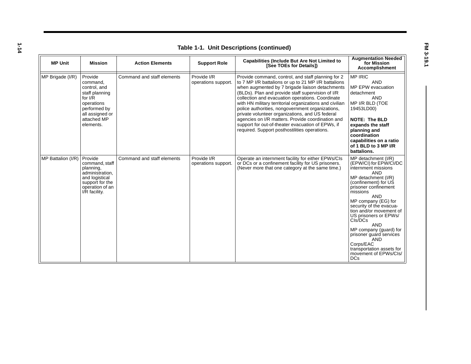**1-14**

| <b>Table 1-1. Unit Descriptions (continued)</b> |                                                                                                                                                 |                            |                                    |                                                                                                                                                                                                                                                                                                                                                                                                                                                                                                                                                                                                     |                                                                                                                                                                                                                                                                                                                                                                                                                                                                        |  |
|-------------------------------------------------|-------------------------------------------------------------------------------------------------------------------------------------------------|----------------------------|------------------------------------|-----------------------------------------------------------------------------------------------------------------------------------------------------------------------------------------------------------------------------------------------------------------------------------------------------------------------------------------------------------------------------------------------------------------------------------------------------------------------------------------------------------------------------------------------------------------------------------------------------|------------------------------------------------------------------------------------------------------------------------------------------------------------------------------------------------------------------------------------------------------------------------------------------------------------------------------------------------------------------------------------------------------------------------------------------------------------------------|--|
| <b>MP Unit</b>                                  | <b>Mission</b>                                                                                                                                  | <b>Action Elements</b>     | <b>Support Role</b>                | <b>Capabilities (Include But Are Not Limited to</b><br>[See TOEs for Details])                                                                                                                                                                                                                                                                                                                                                                                                                                                                                                                      | <b>Augmentation Needed</b><br>for Mission<br><b>Accomplishment</b>                                                                                                                                                                                                                                                                                                                                                                                                     |  |
| MP Brigade (I/R)                                | Provide<br>command.<br>control, and<br>staff planning<br>for $I/R$<br>operations<br>performed by<br>all assigned or<br>attached MP<br>elements. | Command and staff elements | Provide I/R<br>operations support. | Provide command, control, and staff planning for 2<br>to 7 MP I/R battalions or up to 21 MP I/R battalions<br>when augmented by 7 brigade liaison detachments<br>(BLDs). Plan and provide staff supervision of I/R<br>collection and evacuation operations. Coordinate<br>with HN military territorial organizations and civilian<br>police authorities, nongovernment organizations,<br>private volunteer organizations, and US federal<br>agencies on I/R matters. Provide coordination and<br>support for out-of-theater evacuation of EPWs, if<br>required. Support posthostilities operations. | <b>MP IRIC</b><br><b>AND</b><br>MP EPW evacuation<br>detachment<br><b>AND</b><br>MP I/R BLD (TOE<br>19453LD00)<br><b>NOTE: The BLD</b><br>expands the staff<br>planning and<br>coordination<br>capabilities on a ratio<br>of 1 BLD to 3 MP I/R<br>battalions.                                                                                                                                                                                                          |  |
| MP Battalion (I/R)                              | Provide<br>command, staff<br>planning,<br>administration,<br>and logistical<br>support for the<br>operation of an<br>I/R facility.              | Command and staff elements | Provide I/R<br>operations support. | Operate an internment facility for either EPWs/CIs<br>or DCs or a confinement facility for US prisoners.<br>(Never more that one category at the same time.)                                                                                                                                                                                                                                                                                                                                                                                                                                        | MP detachment (I/R)<br>(EPW/CI) for EPW/CI/DC<br>internment missions<br><b>AND</b><br>MP detachment (I/R)<br>(confinement) for US<br>prisoner confinement<br>missions<br><b>AND</b><br>MP company (EG) for<br>security of the evacua-<br>tion and/or movement of<br>US prisoners or EPWs/<br>CIs/DCs<br><b>AND</b><br>MP company (guard) for<br>prisoner guard services<br><b>AND</b><br>Corps/EAC<br>transportation assets for<br>movement of EPWs/Cls/<br><b>DCs</b> |  |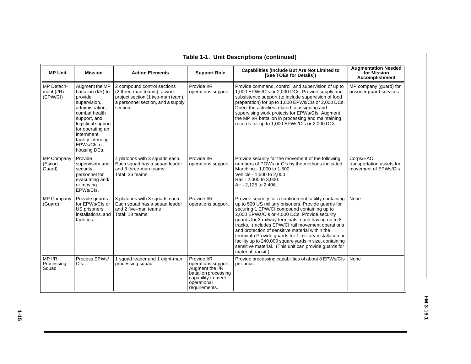| <b>MP Unit</b>                         | <b>Mission</b>                                                                                                                                                                                                                   | <b>Action Elements</b>                                                                                                                           | <b>Support Role</b>                                                                                                                 | <b>Capabilities (Include But Are Not Limited to</b><br>[See TOEs for Details])                                                                                                                                                                                                                                                                                                                                                                                                                                                                                                     | <b>Augmentation Needed</b><br>for Mission<br><b>Accomplishment</b> |
|----------------------------------------|----------------------------------------------------------------------------------------------------------------------------------------------------------------------------------------------------------------------------------|--------------------------------------------------------------------------------------------------------------------------------------------------|-------------------------------------------------------------------------------------------------------------------------------------|------------------------------------------------------------------------------------------------------------------------------------------------------------------------------------------------------------------------------------------------------------------------------------------------------------------------------------------------------------------------------------------------------------------------------------------------------------------------------------------------------------------------------------------------------------------------------------|--------------------------------------------------------------------|
| MP Detach-<br>ment $(I/R)$<br>(EPW/CI) | Augment the MP<br>battalion (I/R) to<br>provide<br>supervision,<br>administration,<br>combat health<br>support, and<br>logistical support<br>for operating an<br>internment<br>facility interning<br>EPWs/Cls or<br>housing DCs. | 2 compound control sections<br>(2 three-man teams), a work<br>project section (1 two-man team),<br>a personnel section, and a supply<br>section. | Provide I/R<br>operations support.                                                                                                  | Provide command, control, and supervision of up to<br>1,000 EPWs/CIs or 2,000 DCs. Provide supply and<br>subsistence support (to include supervision of food<br>preparation) for up to 1,000 EPWs/CIs or 2,000 DCs.<br>Direct the activities related to assigning and<br>supervising work projects for EPWs/CIs. Augment<br>the MP I/R battalion in processing and maintaining<br>records for up to 1,000 EPWs/CIs or 2,000 DCs.                                                                                                                                                   | MP company (guard) for<br>prisoner quard services                  |
| <b>MP Company</b><br>(Escort<br>Guard) | Provide<br>supervisory and<br>security<br>personnel for<br>evacuating and/<br>or moving<br>EPWs/Cls.                                                                                                                             | 4 platoons with 3 squads each.<br>Each squad has a squad leader<br>and 3 three-man teams.<br>Total: 36 teams                                     | Provide I/R<br>operations support.                                                                                                  | Provide security for the movement of the following<br>numbers of POWs or CIs by the methods indicated:<br>Marching - 1,000 to 1,500.<br>Vehicle - 1,500 to 2,000.<br>Rail - 2,000 to 3,000.<br>Air - 2,125 to 2,406.                                                                                                                                                                                                                                                                                                                                                               | Corps/EAC<br>transportation assets for<br>movement of EPWs/Cls     |
| <b>MP Company</b><br>(Guard)           | Provide guards<br>for EPWs/Cls or<br>US prisoners,<br>installations, and<br>facilities.                                                                                                                                          | 3 platoons with 3 squads each.<br>Each squad has a squad leader<br>and 2 five-man teams<br>Total: 18 teams.                                      | Provide I/R<br>operations support.                                                                                                  | Provide security for a confinement facility containing<br>up to 500 US military prisoners. Provide guards for<br>securing 1 EPW/CI compound containing up to<br>2,000 EPWs/Cls or 4,000 DCs. Provide security<br>guards for 3 railway terminals, each having up to 8<br>tracks. (Includes EPW/CI rail movement operations<br>and protection of sensitive material within the<br>terminal.) Provide guards for 1 military installation or<br>facility up to 240,000 square yards in size, containing<br>sensitive material. (This unit can provide guards for<br>material transit.) | None                                                               |
| MP I/R<br>Processing<br>Squad          | Process EPWs/<br>CIs.                                                                                                                                                                                                            | 1 squad leader and 1 eight-man<br>processing squad                                                                                               | Provide I/R<br>operations support.<br>Augment the I/R<br>battalion processing<br>capability to meet<br>operational<br>requirements. | Provide processing capabilities of about 8 EPWs/CIs<br>per hour.                                                                                                                                                                                                                                                                                                                                                                                                                                                                                                                   | None                                                               |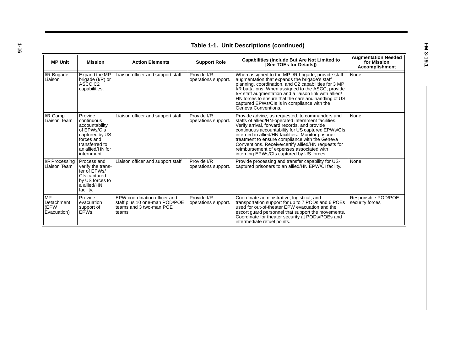| ٠                       |
|-------------------------|
| ____                    |
| I<br>I<br>M.<br>۹<br>×. |

| <b>Table 1-1. Unit Descriptions (continued)</b> |                                                                                                                                             |                                                                                                   |                                    |                                                                                                                                                                                                                                                                                                                                                                                                                                                                       |                                                                    |
|-------------------------------------------------|---------------------------------------------------------------------------------------------------------------------------------------------|---------------------------------------------------------------------------------------------------|------------------------------------|-----------------------------------------------------------------------------------------------------------------------------------------------------------------------------------------------------------------------------------------------------------------------------------------------------------------------------------------------------------------------------------------------------------------------------------------------------------------------|--------------------------------------------------------------------|
| <b>MP Unit</b>                                  | <b>Mission</b>                                                                                                                              | <b>Action Elements</b>                                                                            | <b>Support Role</b>                | <b>Capabilities (Include But Are Not Limited to</b><br>[See TOEs for Details])                                                                                                                                                                                                                                                                                                                                                                                        | <b>Augmentation Needed</b><br>for Mission<br><b>Accomplishment</b> |
| I/R Brigade<br>Liaison                          | Expand the MP<br>brigade (I/R) or<br>ASCC C2<br>capabilities.                                                                               | Liaison officer and support staff                                                                 | Provide I/R<br>operations support  | When assigned to the MP I/R brigade, provide staff<br>augmentation that expands the brigade's staff<br>planning, coordination, and C2 capabilities for 3 MP<br>I/R battalions. When assigned to the ASCC, provide<br>I/R staff augmentation and a liaison link with allied/<br>HN forces to ensure that the care and handling of US<br>captured EPWs/CIs is in compliance with the<br>Geneva Conventions.                                                             | None                                                               |
| I/R Camp<br>Liaison Team                        | Provide<br>continuous<br>accountability<br>of EPWs/CIs<br>captured by US<br>forces and<br>transferred to<br>an allied/HN for<br>internment. | Liaison officer and support staff                                                                 | Provide I/R<br>operations support. | Provide advice, as requested, to commanders and<br>staffs of allied/HN-operated internment facilities.<br>Verify arrival, forward records, and provide<br>continuous accountability for US captured EPWs/CIs<br>interned in allied/HN facilities. Monitor prisoner<br>treatment to ensure compliance with the Geneva<br>Conventions. Receive/certify allied/HN requests for<br>reimbursement of expenses associated with<br>interning EPWs/CIs captured by US forces. | None                                                               |
| I/R Processing<br>Liaison Team                  | Process and<br>verify the trans-<br>fer of EPWs/<br>CIs captured<br>by US forces to<br>a allied/HN<br>facility.                             | Liaison officer and support staff                                                                 | Provide I/R<br>operations support. | Provide processing and transfer capability for US-<br>captured prisoners to an allied/HN EPW/CI facility.                                                                                                                                                                                                                                                                                                                                                             | None                                                               |
| МP<br>Detachment<br>(EPW<br>Evacuation)         | Provide<br>evacuation<br>support of<br>EPW <sub>s</sub> .                                                                                   | EPW coordination officer and<br>staff plus 10 one-man POD/POE<br>teams and 3 two-man POE<br>teams | Provide I/R<br>operations support. | Coordinate administrative, logistical, and<br>transportation support for up to 7 PODs and 6 POEs<br>used for out-of-theater EPW evacuation and the<br>escort guard personnel that support the movements.<br>Coordinate for theater security at PODs/POEs and<br>intermediate refuel points.                                                                                                                                                                           | Responsible POD/POE<br>security forces                             |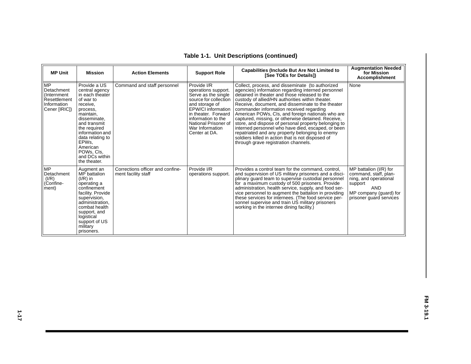| <b>MP Unit</b>                                                                          | <b>Mission</b>                                                                                                                                                                                                                                                  | <b>Action Elements</b>                                  | <b>Support Role</b>                                                                                                                                                                                                                 | <b>Capabilities (Include But Are Not Limited to</b><br>[See TOEs for Details])                                                                                                                                                                                                                                                                                                                                                                                                                                                                                                                                                                                                        | <b>Augmentation Needed</b><br>for Mission<br><b>Accomplishment</b>                                                                                     |
|-----------------------------------------------------------------------------------------|-----------------------------------------------------------------------------------------------------------------------------------------------------------------------------------------------------------------------------------------------------------------|---------------------------------------------------------|-------------------------------------------------------------------------------------------------------------------------------------------------------------------------------------------------------------------------------------|---------------------------------------------------------------------------------------------------------------------------------------------------------------------------------------------------------------------------------------------------------------------------------------------------------------------------------------------------------------------------------------------------------------------------------------------------------------------------------------------------------------------------------------------------------------------------------------------------------------------------------------------------------------------------------------|--------------------------------------------------------------------------------------------------------------------------------------------------------|
| <b>MP</b><br>Detachment<br>(Internment)<br>Resettlement<br>Information<br>Cener [IRIC]) | Provide a US<br>central agency<br>in each theater<br>of war to<br>receive,<br>process.<br>maintain,<br>disseminate.<br>and transmit<br>the required<br>information and<br>data relating to<br>EPWs.<br>American<br>POWs. Cls.<br>and DCs within<br>the theater. | Command and staff personnel                             | Provide I/R<br>operations support.<br>Serve as the single<br>source for collection<br>and storage of<br>EPW/CI information<br>in theater. Forward<br>information to the<br>National Prisoner of<br>War Information<br>Center at DA. | Collect, process, and disseminate (to authorized<br>agencies) information regarding interned personnel<br>detained in theater and those released to the<br>custody of allied/HN authorities within theater.<br>Receive, document, and disseminate to the theater<br>commander information received regarding<br>American POWs, CIs, and foreign nationals who are<br>captured, missing, or otherwise detained. Receive,<br>store, and dispose of personal property belonging to<br>interned personnel who have died, escaped, or been<br>repatriated and any property belonging to enemy<br>soldiers killed in action that is not disposed of<br>through grave registration channels. | None                                                                                                                                                   |
| <b>MP</b><br>Detachment<br>(I/R)<br>(Confine-<br>ment)                                  | Augment an<br>MP battalion<br>$(I/R)$ in<br>operating a<br>confinement<br>facility. Provide<br>supervision,<br>administration.<br>combat health<br>support, and<br>logistical<br>support of US<br>military<br>prisoners.                                        | Corrections officer and confine-<br>ment facility staff | Provide I/R<br>operations support.                                                                                                                                                                                                  | Provides a control team for the command, control,<br>and supervision of US military prisoners and a disci-<br>plinary guard team to supervise custodial personnel<br>for a maximum custody of 500 prisoners. Provide<br>administration, health service, supply, and food ser-<br>vice personnel to augment the battalion in providing<br>these services for internees. (The food service per-<br>sonnel supervise and train US military prisoners<br>working in the internee dining facility.)                                                                                                                                                                                        | MP battalion (I/R) for<br>command, staff, plan-<br>ning, and operational<br>support<br><b>AND</b><br>MP company (quard) for<br>prisoner quard services |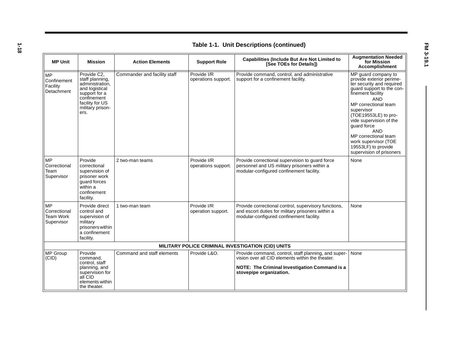| <b>Augmentation Needed</b><br><b>Capabilities (Include But Are Not Limited to</b> |                                                                                                                                                    |                              |                                    |                                                                                                                                                                                      |                                                                                                                                                                                                                                                                                                                                                                       |
|-----------------------------------------------------------------------------------|----------------------------------------------------------------------------------------------------------------------------------------------------|------------------------------|------------------------------------|--------------------------------------------------------------------------------------------------------------------------------------------------------------------------------------|-----------------------------------------------------------------------------------------------------------------------------------------------------------------------------------------------------------------------------------------------------------------------------------------------------------------------------------------------------------------------|
| <b>MP Unit</b>                                                                    | <b>Mission</b>                                                                                                                                     | <b>Action Elements</b>       | <b>Support Role</b>                | [See TOEs for Details])                                                                                                                                                              | for Mission<br><b>Accomplishment</b>                                                                                                                                                                                                                                                                                                                                  |
| <b>MP</b><br>Confinement<br>Facility<br>Detachment                                | Provide C2.<br>staff planning,<br>administration.<br>and logistical<br>support for a<br>confinement<br>facility for US<br>military prison-<br>ers. | Commander and facility staff | Provide I/R<br>operations support. | Provide command, control, and administrative<br>support for a confinement facility.                                                                                                  | MP guard company to<br>provide exterior perime-<br>ter security and required<br>guard support to the con-<br>finement facility<br><b>AND</b><br>MP correctional team<br>supervisor<br>(TOE19553LE) to pro-<br>vide supervision of the<br>quard force<br><b>AND</b><br>MP correctional team<br>work supervisor (TOE<br>19553LF) to provide<br>supervision of prisoners |
| <b>MP</b><br>Correctional<br>Team<br>Supervisor                                   | Provide<br>correctional<br>supervision of<br>prisoner work<br>quard forces<br>within a<br>confinement<br>facility.                                 | 2 two-man teams              | Provide I/R<br>operations support. | Provide correctional supervision to guard force<br>personnel and US military prisoners within a<br>modular-configured confinement facility.                                          | None                                                                                                                                                                                                                                                                                                                                                                  |
| <b>MP</b><br>Correctional<br>Team Work<br>Supervisor                              | Provide direct<br>control and<br>supervision of<br>military<br>prisoners within<br>a confinement<br>facility.                                      | 1 two-man team               | Provide I/R<br>operation support.  | Provide correctional control, supervisory functions,<br>and escort duties for military prisoners within a<br>modular-configured confinement facility.                                | None                                                                                                                                                                                                                                                                                                                                                                  |
|                                                                                   |                                                                                                                                                    |                              |                                    | MILITARY POLICE CRIMINAL INVESTIGATION (CID) UNITS                                                                                                                                   |                                                                                                                                                                                                                                                                                                                                                                       |
| <b>MP Group</b><br>(CID)                                                          | Provide<br>command,<br>control, staff<br>planning, and<br>supervision for<br>all CID<br>elements within<br>the theater.                            | Command and staff elements   | Provide L&O.                       | Provide command, control, staff planning, and super-<br>vision over all CID elements within the theater.<br>NOTE: The Criminal Investigation Command is a<br>stovepipe organization. | None                                                                                                                                                                                                                                                                                                                                                                  |

|  | Table 1-1. Unit Descriptions (continued) |  |
|--|------------------------------------------|--|
|--|------------------------------------------|--|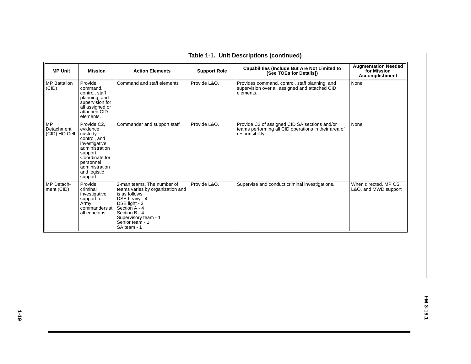| <b>MP Unit</b>                           | <b>Mission</b>                                                                                                                                                                 | <b>Action Elements</b>                                                                                                                                                                                         | <b>Support Role</b> | <b>Capabilities (Include But Are Not Limited to</b><br>[See TOEs for Details])                                           | <b>Augmentation Needed</b><br>for Mission<br>Accomplishment |
|------------------------------------------|--------------------------------------------------------------------------------------------------------------------------------------------------------------------------------|----------------------------------------------------------------------------------------------------------------------------------------------------------------------------------------------------------------|---------------------|--------------------------------------------------------------------------------------------------------------------------|-------------------------------------------------------------|
| <b>MP</b> Battalion<br>(CID)             | Provide<br>command,<br>control, staff<br>planning, and<br>supervision for<br>all assigned or<br>attached CID<br>elements.                                                      | Command and staff elements                                                                                                                                                                                     | Provide L&O.        | Provides command, control, staff planning, and<br>supervision over all assigned and attached CID<br>elements.            | None                                                        |
| <b>MP</b><br>Detachment<br>(CID) HQ Cell | Provide C2.<br>evidence<br>custody<br>control, and<br>investigative<br>administration<br>support.<br>Coordinate for<br>personnel<br>administration<br>and logistic<br>support. | Commander and support staff                                                                                                                                                                                    | Provide L&O.        | Provide C2 of assigned CID SA sections and/or<br>teams performing all CID operations in their area of<br>responsibility. | None                                                        |
| <b>MP</b> Detach-<br>ment (CID)          | Provide<br>criminal<br>investigative<br>support to<br>Army<br>commanders at<br>all echelons.                                                                                   | 2-man teams. The number of<br>teams varies by organization and<br>is as follows:<br>DSE heavy - 4<br>DSE light - 3<br>Section A - 4<br>Section B - 4<br>Supervisory team - 1<br>Senior team - 1<br>SA team - 1 | Provide L&O.        | Supervise and conduct criminal investigations.                                                                           | When directed, MP CS,<br>L&O, and MWD support               |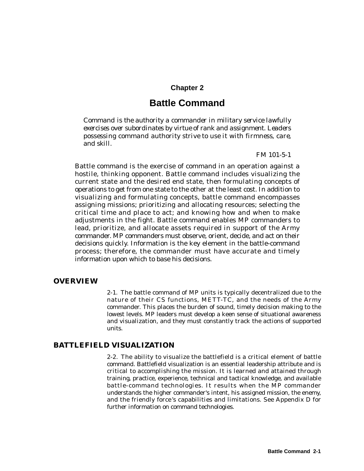## **Chapter 2**

## **Battle Command**

*Command is the authority a commander in military service lawfully exercises over subordinates by virtue of rank and assignment. Leaders possessing command authority strive to use it with firmness, care, and skill.*

*FM 101-5-1*

Battle command is the exercise of command in an operation against a hostile, thinking opponent. Battle command includes visualizing the current state and the desired end state, then formulating concepts of operations to get from one state to the other at the least cost. In addition to visualizing and formulating concepts, battle command encompasses assigning missions; prioritizing and allocating resources; selecting the critical time and place to act; and knowing how and when to make adjustments in the fight. Battle command enables MP commanders to lead, prioritize, and allocate assets required in support of the Army commander. MP commanders must observe, orient, decide, and act on their decisions quickly. Information is the key element in the battle-command process; therefore, the commander must have accurate and timely information upon which to base his decisions.

#### **OVERVIEW**

2-1. The battle command of MP units is typically decentralized due to the nature of their CS functions, METT-TC, and the needs of the Army commander. This places the burden of sound, timely decision making to the lowest levels. MP leaders must develop a keen sense of situational awareness and visualization, and they must constantly track the actions of supported units.

#### **BATTLEFIELD VISUALIZATION**

2-2. The ability to visualize the battlefield is a critical element of battle command. Battlefield visualization is an essential leadership attribute and is critical to accomplishing the mission. It is learned and attained through training, practice, experience, technical and tactical knowledge, and available battle-command technologies. It results when the MP commander understands the higher commander's intent, his assigned mission, the enemy, and the friendly force 's capabilities and limitations. See Appendix D for further information on command technologies.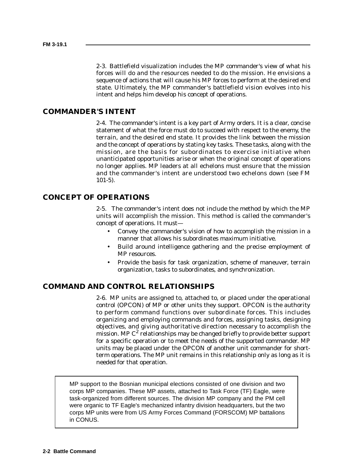2-3. Battlefield visualization includes the MP commander's view of what his forces will do and the resources needed to do the mission. He envisions a sequence of actions that will cause his MP forces to perform at the desired end state. Ultimately, the MP commander's battlefield vision evolves into his intent and helps him develop his concept of operations.

## **COMMANDER'S INTENT**

2-4. The commander's intent is a key part of Army orders. It is a clear, concise statement of what the force must do to succeed with respect to the enemy, the terrain, and the desired end state. It provides the link between the mission and the concept of operations by stating key tasks. These tasks, along with the mission, are the basis for subordinates to exercise initiative when unanticipated opportunities arise or when the original concept of operations no longer applies. MP leaders at all echelons must ensure that the mission and the commander's intent are understood two echelons down (see FM 101-5).

## **CONCEPT OF OPERATIONS**

2-5. The commander's intent does not include the method by which the MP units will accomplish the mission. This method is called the commander's concept of operations. It must—

- Convey the commander's vision of how to accomplish the mission in a manner that allows his subordinates maximum initiative.
- Build around intelligence gathering and the precise employment of MP resources.
- Provide the basis for task organization, scheme of maneuver, terrain organization, tasks to subordinates, and synchronization.

## **COMMAND AND CONTROL RELATIONSHIPS**

2-6. MP units are assigned to, attached to, or placed under the operational control (OPCON) of MP or other units they support. OPCON is the authority to perform command functions over subordinate forces. This includes organizing and employing commands and forces, assigning tasks, designing objectives, and giving authoritative direction necessary to accomplish the mission. MP  $C^2$  relationships may be changed briefly to provide better support for a specific operation or to meet the needs of the supported commander. MP units may be placed under the OPCON of another unit commander for shortterm operations. The MP unit remains in this relationship only as long as it is needed for that operation.

MP support to the Bosnian municipal elections consisted of one division and two corps MP companies. These MP assets, attached to Task Force (TF) Eagle, were task-organized from different sources. The division MP company and the PM cell were organic to TF Eagle's mechanized infantry division headquarters, but the two corps MP units were from US Army Forces Command (FORSCOM) MP battalions in CONUS.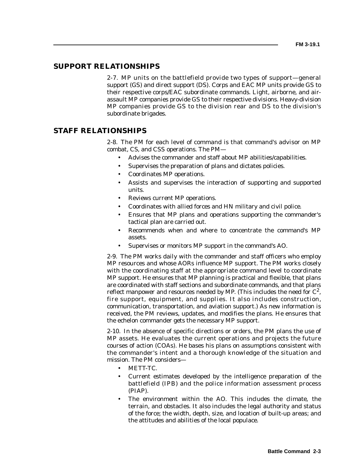## **SUPPORT RELATIONSHIPS**

2-7. MP units on the battlefield provide two types of support—general support (GS) and direct support (DS). Corps and EAC MP units provide GS to their respective corps/EAC subordinate commands. Light, airborne, and airassault MP companies provide GS to their respective divisions. Heavy-division MP companies provide GS to the division rear and DS to the division's subordinate brigades.

## **STAFF RELATIONSHIPS**

2-8. The PM for each level of command is that command's advisor on MP combat, CS, and CSS operations. The PM—

- Advises the commander and staff about MP abilities/capabilities.
- Supervises the preparation of plans and dictates policies.
- Coordinates MP operations.
- Assists and supervises the interaction of supporting and supported units.
- Reviews current MP operations.
- Coordinates with allied forces and HN military and civil police.
- Ensures that MP plans and operations supporting the commander's tactical plan are carried out.
- Recommends when and where to concentrate the command's MP assets.
- Supervises or monitors MP support in the command's AO.

2-9. The PM works daily with the commander and staff officers who employ MP resources and whose AORs influence MP support. The PM works closely with the coordinating staff at the appropriate command level to coordinate MP support. He ensures that MP planning is practical and flexible, that plans are coordinated with staff sections and subordinate commands, and that plans reflect manpower and resources needed by MP. (This includes the need for  $C^2$ , fire support, equipment, and supplies. It also includes construction, communication, transportation, and aviation support.) As new information is received, the PM reviews, updates, and modifies the plans. He ensures that the echelon commander gets the necessary MP support.

2-10. In the absence of specific directions or orders, the PM plans the use of MP assets. He evaluates the current operations and projects the future courses of action (COAs). He bases his plans on assumptions consistent with the commander's intent and a thorough knowledge of the situation and mission. The PM considers—

- METT-TC.
- Current estimates developed by the intelligence preparation of the battlefield (IPB) and the police information assessment process (PIAP).
- The environment within the AO. This includes the climate, the terrain, and obstacles. It also includes the legal authority and status of the force; the width, depth, size, and location of built-up areas; and the attitudes and abilities of the local populace.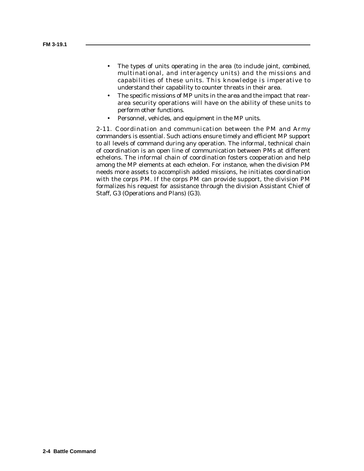- The types of units operating in the area (to include joint, combined, multinational, and interagency units) and the missions and capabilities of these units. This knowledge is imperative to understand their capability to counter threats in their area.
- The specific missions of MP units in the area and the impact that reararea security operations will have on the ability of these units to perform other functions.
- Personnel, vehicles, and equipment in the MP units.

2-11. Coordination and communication between the PM and Army commanders is essential. Such actions ensure timely and efficient MP support to all levels of command during any operation. The informal, technical chain of coordination is an open line of communication between PMs at different echelons. The informal chain of coordination fosters cooperation and help among the MP elements at each echelon. For instance, when the division PM needs more assets to accomplish added missions, he initiates coordination with the corps PM. If the corps PM can provide support, the division PM formalizes his request for assistance through the division Assistant Chief of Staff, G3 (Operations and Plans) (G3).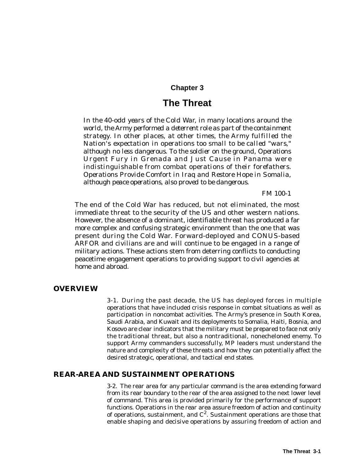## **Chapter 3**

## **The Threat**

*In the 40-odd years of the Cold War, in many locations around the world, the Army performed a deterrent role as part of the containment strategy. In other places, at other times, the Army fulfilled the Nation's expectation in operations too small to be called "wars," although no less dangerous. To the soldier on the ground, Operations Urgent Fury in Grenada and Just Cause in Panama were indistinguishable from combat operations of their forefathers. Operations Provide Comfort in Iraq and Restore Hope in Somalia, although peace operations, also proved to be dangerous.*

*FM 100-1*

The end of the Cold War has reduced, but not eliminated, the most immediate threat to the security of the US and other western nations. However, the absence of a dominant, identifiable threat has produced a far more complex and confusing strategic environment than the one that was present during the Cold War. Forward-deployed and CONUS-based ARFOR and civilians are and will continue to be engaged in a range of military actions. These actions stem from deterring conflicts to conducting peacetime engagement operations to providing support to civil agencies at home and abroad.

## **OVERVIEW**

3-1. During the past decade, the US has deployed forces in multiple operations that have included crisis response in combat situations as well as participation in noncombat activities. The Army's presence in South Korea, Saudi Arabia, and Kuwait and its deployments to Somalia, Haiti, Bosnia, and Kosovo are clear indicators that the military must be prepared to face not only the traditional threat, but also a nontraditional, nonecheloned enemy. To support Army commanders successfully, MP leaders must understand the nature and complexity of these threats and how they can potentially affect the desired strategic, operational, and tactical end states.

## **REAR-AREA AND SUSTAINMENT OPERATIONS**

3-2. The rear area for any particular command is the area extending forward from its rear boundary to the rear of the area assigned to the next lower level of command. This area is provided primarily for the performance of support functions. Operations in the rear area assure freedom of action and continuity of operations, sustainment, and  $C^2$ . Sustainment operations are those that enable shaping and decisive operations by assuring freedom of action and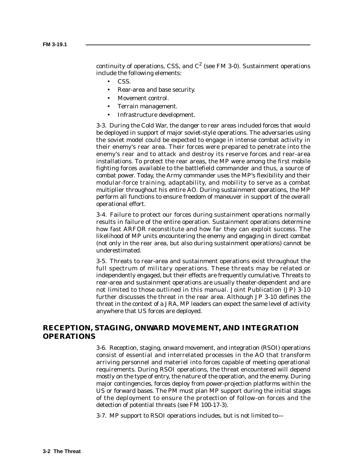continuity of operations, CSS, and  $C^2$  (see FM 3-0). Sustainment operations include the following elements:

- CSS.
- Rear-area and base security.
- Movement control.
- Terrain management.
- Infrastructure development.

3-3. During the Cold War, the danger to rear areas included forces that would be deployed in support of major soviet-style operations. The adversaries using the soviet model could be expected to engage in intense combat activity in their enemy's rear area. Their forces were prepared to penetrate into the enemy's rear and to attack and destroy its reserve forces and rear-area installations. To protect the rear areas, the MP were among the first mobile fighting forces available to the battlefield commander and thus, a source of combat power. Today, the Army commander uses the MP's flexibility and their modular-force training, adaptability, and mobility to serve as a combat multiplier throughout his entire AO. During sustainment operations, the MP perform all functions to ensure freedom of maneuver in support of the overall operational effort.

3-4. Failure to protect our forces during sustainment operations normally results in failure of the entire operation. Sustainment operations determine how fast ARFOR reconstitute and how far they can exploit success. The likelihood of MP units encountering the enemy and engaging in direct combat (not only in the rear area, but also during sustainment operations) cannot be underestimated.

3-5. Threats to rear-area and sustainment operations exist throughout the full spectrum of military operations. These threats may be related or independently engaged, but their effects are frequently cumulative. Threats to rear-area and sustainment operations are usually theater-dependent and are not limited to those outlined in this manual. Joint Publication (JP) 3-10 further discusses the threat in the rear area. Although JP 3-10 defines the threat in the context of a JRA, MP leaders can expect the same level of activity anywhere that US forces are deployed.

## **RECEPTION, STAGING, ONWARD MOVEMENT, AND INTEGRATION OPERATIONS**

3-6. Reception, staging, onward movement, and integration (RSOI) operations consist of essential and interrelated processes in the AO that transform arriving personnel and materiel into forces capable of meeting operational requirements. During RSOI operations, the threat encountered will depend mostly on the type of entry, the nature of the operation, and the enemy. During major contingencies, forces deploy from power-projection platforms within the US or forward bases. The PM must plan MP support during the initial stages of the deployment to ensure the protection of follow-on forces and the detection of potential threats (see FM 100-17-3).

3-7. MP support to RSOI operations includes, but is not limited to—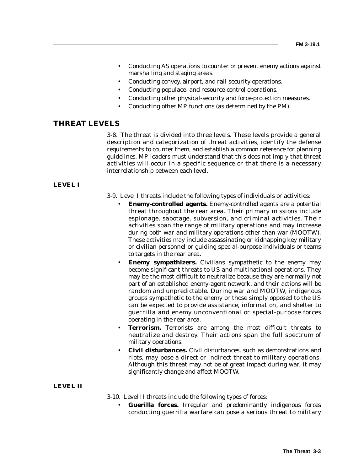- Conducting AS operations to counter or prevent enemy actions against marshalling and staging areas.
- Conducting convoy, airport, and rail security operations.
- Conducting populace- and resource-control operations.
- Conducting other physical-security and force-protection measures.
- Conducting other MP functions (as determined by the PM).

#### **THREAT LEVELS**

3-8. The threat is divided into three levels. These levels provide a general description and categorization of threat activities, identify the defense requirements to counter them, and establish a common reference for planning guidelines. MP leaders must understand that this does not imply that threat activities will occur in a specific sequence or that there is a necessary interrelationship between each level.

#### **LEVEL I**

- 3-9. Level I threats include the following types of individuals or activities:
	- **Enemy-controlled agents.** Enemy-controlled agents are a potential threat throughout the rear area. Their primary missions include espionage, sabotage, subversion, and criminal activities. Their activities span the range of military operations and may increase during both war and military operations other than war (MOOTW). These activities may include assassinating or kidnapping key military or civilian personnel or guiding special-purpose individuals or teams to targets in the rear area.
	- **Enemy sympathizers.** Civilians sympathetic to the enemy may become significant threats to US and multinational operations. They may be the most difficult to neutralize because they are normally not part of an established enemy-agent network, and their actions will be random and unpredictable. During war and MOOTW, indigenous groups sympathetic to the enemy or those simply opposed to the US can be expected to provide assistance, information, and shelter to guerrilla and enemy unconventional or special-purpose forces operating in the rear area.
	- **Terrorism.** Terrorists are among the most difficult threats to neutralize and destroy. Their actions span the full spectrum of military operations.
	- **Civil disturbances.** Civil disturbances, such as demonstrations and riots, may pose a direct or indirect threat to military operations. Although this threat may not be of great impact during war, it may significantly change and affect MOOTW.

#### **LEVEL II**

3-10. Level II threats include the following types of forces:

• **Guerilla forces.** Irregular and predominantly indigenous forces conducting guerrilla warfare can pose a serious threat to military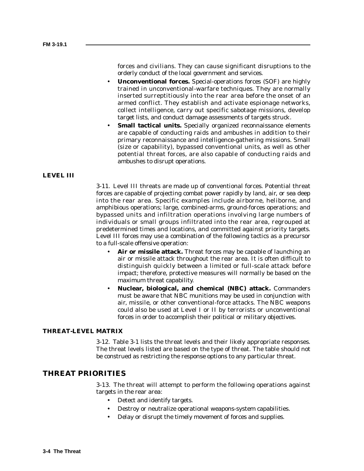forces and civilians. They can cause significant disruptions to the orderly conduct of the local government and services.

- **Unconventional forces.** Special-operations forces (SOF) are highly trained in unconventional-warfare techniques. They are normally inserted surreptitiously into the rear area before the onset of an armed conflict. They establish and activate espionage networks, collect intelligence, carry out specific sabotage missions, develop target lists, and conduct damage assessments of targets struck.
- **Small tactical units.** Specially organized reconnaissance elements are capable of conducting raids and ambushes in addition to their primary reconnaissance and intelligence-gathering missions. Small (size or capability), bypassed conventional units, as well as other potential threat forces, are also capable of conducting raids and ambushes to disrupt operations.

#### **LEVEL III**

3-11. Level III threats are made up of conventional forces. Potential threat forces are capable of projecting combat power rapidly by land, air, or sea deep into the rear area. Specific examples include airborne, heliborne, and amphibious operations; large, combined-arms, ground-forces operations; and bypassed units and infiltration operations involving large numbers of individuals or small groups infiltrated into the rear area, regrouped at predetermined times and locations, and committed against priority targets. Level III forces may use a combination of the following tactics as a precursor to a full-scale offensive operation:

- Air or missile attack. Threat forces may be capable of launching an air or missile attack throughout the rear area. It is often difficult to distinguish quickly between a limited or full-scale attack before impact; therefore, protective measures will normally be based on the maximum threat capability.
- **Nuclear, biological, and chemical (NBC) attack.** Commanders must be aware that NBC munitions may be used in conjunction with air, missile, or other conventional-force attacks. The NBC weapons could also be used at Level I or II by terrorists or unconventional forces in order to accomplish their political or military objectives.

#### **THREAT-LEVEL MATRIX**

3-12. Table 3-1 lists the threat levels and their likely appropriate responses. The threat levels listed are based on the type of threat. The table should not be construed as restricting the response options to any particular threat.

## **THREAT PRIORITIES**

3-13. The threat will attempt to perform the following operations against targets in the rear area:

- Detect and identify targets.
- Destroy or neutralize operational weapons-system capabilities.
- Delay or disrupt the timely movement of forces and supplies.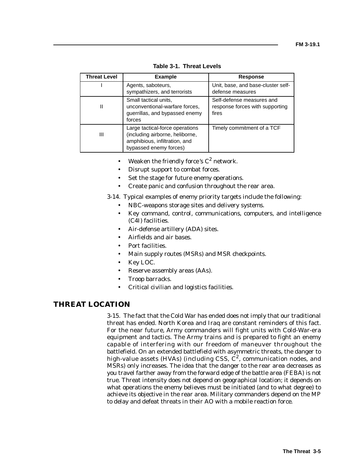| <b>Threat Level</b> | <b>Example</b>                                                                                                                | <b>Response</b>                                                       |
|---------------------|-------------------------------------------------------------------------------------------------------------------------------|-----------------------------------------------------------------------|
|                     | Agents, saboteurs,<br>sympathizers, and terrorists                                                                            | Unit, base, and base-cluster self-<br>defense measures                |
| Ш                   | Small tactical units,<br>unconventional-warfare forces,<br>guerrillas, and bypassed enemy<br>forces                           | Self-defense measures and<br>response forces with supporting<br>fires |
| Ш                   | Large tactical-force operations<br>(including airborne, heliborne,<br>amphibious, infiltration, and<br>bypassed enemy forces) | Timely commitment of a TCF                                            |

**Table 3-1. Threat Levels**

- Weaken the friendly force's  $C^2$  network.
- Disrupt support to combat forces.
- Set the stage for future enemy operations.
- Create panic and confusion throughout the rear area.

3-14. Typical examples of enemy priority targets include the following:

- NBC-weapons storage sites and delivery systems.
- Key command, control, communications, computers, and intelligence (C4I) facilities.
- Air-defense artillery (ADA) sites.
- Airfields and air bases.
- Port facilities.
- Main supply routes (MSRs) and MSR checkpoints.
- Key LOC.
- Reserve assembly areas (AAs).
- Troop barracks.
- Critical civilian and logistics facilities.

## **THREAT LOCATION**

3-15. The fact that the Cold War has ended does not imply that our traditional threat has ended. North Korea and Iraq are constant reminders of this fact. For the near future, Army commanders will fight units with Cold-War-era equipment and tactics. The Army trains and is prepared to fight an enemy capable of interfering with our freedom of maneuver throughout the battlefield. On an extended battlefield with asymmetric threats, the danger to high-value assets (HVAs) (including CSS,  $C^2$ , communication nodes, and MSRs) only increases. The idea that the danger to the rear area decreases as you travel farther away from the forward edge of the battle area (FEBA) is not true. Threat intensity does not depend on geographical location; it depends on what operations the enemy believes must be initiated (and to what degree) to achieve its objective in the rear area. Military commanders depend on the MP to delay and defeat threats in their AO with a mobile reaction force.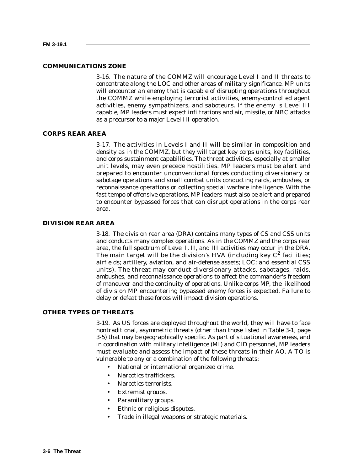#### **COMMUNICATIONS ZONE**

3-16. The nature of the COMMZ will encourage Level I and II threats to concentrate along the LOC and other areas of military significance. MP units will encounter an enemy that is capable of disrupting operations throughout the COMMZ while employing terrorist activities, enemy-controlled agent activities, enemy sympathizers, and saboteurs. If the enemy is Level III capable, MP leaders must expect infiltrations and air, missile, or NBC attacks as a precursor to a major Level III operation.

### **CORPS REAR AREA**

3-17. The activities in Levels I and II will be similar in composition and density as in the COMMZ, but they will target key corps units, key facilities, and corps sustainment capabilities. The threat activities, especially at smaller unit levels, may even precede hostilities. MP leaders must be alert and prepared to encounter unconventional forces conducting diversionary or sabotage operations and small combat units conducting raids, ambushes, or reconnaissance operations or collecting special warfare intelligence. With the fast tempo of offensive operations, MP leaders must also be alert and prepared to encounter bypassed forces that can disrupt operations in the corps rear area.

#### **DIVISION REAR AREA**

3-18. The division rear area (DRA) contains many types of CS and CSS units and conducts many complex operations. As in the COMMZ and the corps rear area, the full spectrum of Level I, II, and III activities may occur in the DRA. The main target will be the division's HVA (including key  $C^2$  facilities; airfields; artillery, aviation, and air-defense assets; LOC; and essential CSS units). The threat may conduct diversionary attacks, sabotages, raids, ambushes, and reconnaissance operations to affect the commander's freedom of maneuver and the continuity of operations. Unlike corps MP, the likelihood of division MP encountering bypassed enemy forces is expected. Failure to delay or defeat these forces will impact division operations.

#### **OTHER TYPES OF THREATS**

3-19. As US forces are deployed throughout the world, they will have to face nontraditional, asymmetric threats (other than those listed in Table 3-1, page 3-5) that may be geographically specific. As part of situational awareness, and in coordination with military intelligence (MI) and CID personnel, MP leaders must evaluate and assess the impact of these threats in their AO. A TO is vulnerable to any or a combination of the following threats:

- National or international organized crime.
- Narcotics traffickers.
- Narcotics terrorists.
- Extremist groups.
- Paramilitary groups.
- Ethnic or religious disputes.
- Trade in illegal weapons or strategic materials.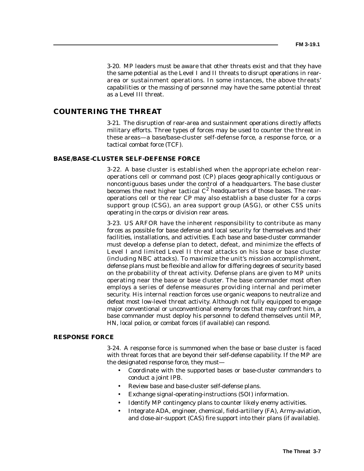3-20. MP leaders must be aware that other threats exist and that they have the same potential as the Level I and II threats to disrupt operations in reararea or sustainment operations. In some instances, the above threats' capabilities or the massing of personnel may have the same potential threat as a Level III threat.

# **COUNTERING THE THREAT**

3-21. The disruption of rear-area and sustainment operations directly affects military efforts. Three types of forces may be used to counter the threat in these areas—a base/base-cluster self-defense force, a response force, or a tactical combat force (TCF).

#### **BASE/BASE-CLUSTER SELF-DEFENSE FORCE**

3-22. A base cluster is established when the appropriate echelon rearoperations cell or command post (CP) places geographically contiguous or noncontiguous bases under the control of a headquarters. The base cluster becomes the next higher tactical  $C^2$  headquarters of those bases. The rearoperations cell or the rear CP may also establish a base cluster for a corps support group (CSG), an area support group (ASG), or other CSS units operating in the corps or division rear areas.

3-23. US ARFOR have the inherent responsibility to contribute as many forces as possible for base defense and local security for themselves and their facilities, installations, and activities. Each base and base-cluster commander must develop a defense plan to detect, defeat, and minimize the effects of Level I and limited Level II threat attacks on his base or base cluster (including NBC attacks). To maximize the unit's mission accomplishment, defense plans must be flexible and allow for differing degrees of security based on the probability of threat activity. Defense plans are given to MP units operating near the base or base cluster. The base commander most often employs a series of defense measures providing internal and perimeter security. His internal reaction forces use organic weapons to neutralize and defeat most low-level threat activity. Although not fully equipped to engage major conventional or unconventional enemy forces that may confront him, a base commander must deploy his personnel to defend themselves until MP, HN, local police, or combat forces (if available) can respond.

#### **RESPONSE FORCE**

3-24. A response force is summoned when the base or base cluster is faced with threat forces that are beyond their self-defense capability. If the MP are the designated response force, they must—

- Coordinate with the supported bases or base-cluster commanders to conduct a joint IPB.
- Review base and base-cluster self-defense plans.
- Exchange signal-operating-instructions (SOI) information.
- Identify MP contingency plans to counter likely enemy activities.
- Integrate ADA, engineer, chemical, field-artillery (FA), Army-aviation, and close-air-support (CAS) fire support into their plans (if available).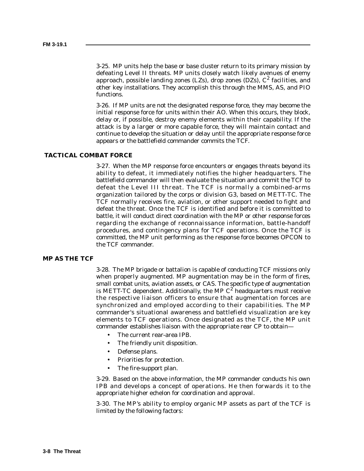3-25. MP units help the base or base cluster return to its primary mission by defeating Level II threats. MP units closely watch likely avenues of enemy approach, possible landing zones (LZs), drop zones (DZs),  $C^2$  facilities, and other key installations. They accomplish this through the MMS, AS, and PIO functions.

3-26. If MP units are not the designated response force, they may become the initial response force for units within their AO. When this occurs, they block, delay or, if possible, destroy enemy elements within their capability. If the attack is by a larger or more capable force, they will maintain contact and continue to develop the situation or delay until the appropriate response force appears or the battlefield commander commits the TCF.

## **TACTICAL COMBAT FORCE**

3-27. When the MP response force encounters or engages threats beyond its ability to defeat, it immediately notifies the higher headquarters. The battlefield commander will then evaluate the situation and commit the TCF to defeat the Level III threat. The TCF is normally a combined-arms organization tailored by the corps or division G3, based on METT-TC. The TCF normally receives fire, aviation, or other support needed to fight and defeat the threat. Once the TCF is identified and before it is committed to battle, it will conduct direct coordination with the MP or other response forces regarding the exchange of reconnaissance information, battle-handoff procedures, and contingency plans for TCF operations. Once the TCF is committed, the MP unit performing as the response force becomes OPCON to the TCF commander.

## **MP AS THE TCF**

3-28. The MP brigade or battalion is capable of conducting TCF missions only when properly augmented. MP augmentation may be in the form of fires, small combat units, aviation assets, or CAS. The specific type of augmentation is METT-TC dependent. Additionally, the MP  $C^2$  headquarters must receive the respective liaison officers to ensure that augmentation forces are synchronized and employed according to their capabilities. The MP commander's situational awareness and battlefield visualization are key elements to TCF operations. Once designated as the TCF, the MP unit commander establishes liaison with the appropriate rear CP to obtain—

- The current rear-area IPB.
- The friendly unit disposition.
- Defense plans.
- Priorities for protection.
- The fire-support plan.

3-29. Based on the above information, the MP commander conducts his own IPB and develops a concept of operations. He then forwards it to the appropriate higher echelon for coordination and approval.

3-30. The MP's ability to employ organic MP assets as part of the TCF is limited by the following factors: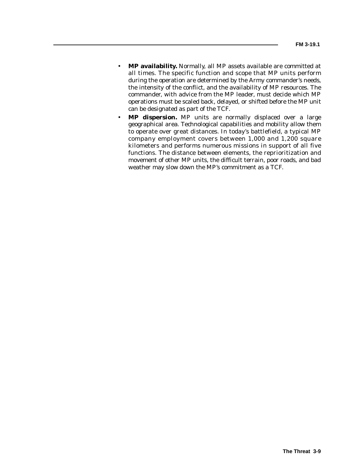- **MP availability.** Normally, all MP assets available are committed at all times. The specific function and scope that MP units perform during the operation are determined by the Army commander's needs, the intensity of the conflict, and the availability of MP resources. The commander, with advice from the MP leader, must decide which MP operations must be scaled back, delayed, or shifted before the MP unit can be designated as part of the TCF.
- **MP dispersion.** MP units are normally displaced over a large geographical area. Technological capabilities and mobility allow them to operate over great distances. In today's battlefield, a typical MP company employment covers between 1,000 and 1,200 square kilometers and performs numerous missions in support of all five functions. The distance between elements, the reprioritization and movement of other MP units, the difficult terrain, poor roads, and bad weather may slow down the MP's commitment as a TCF.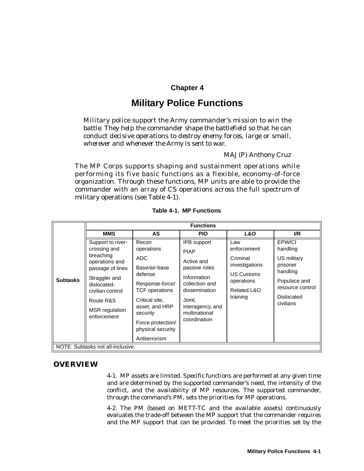# **Chapter 4**

# **Military Police Functions**

*Military police support the Army commander's mission to win the battle. They help the commander shape the battlefield so that he can conduct decisive operations to destroy enemy forces, large or small, wherever and whenever the Army is sent to war.*

## *MAJ(P) Anthony Cruz*

The MP Corps supports shaping and sustainment operations while performing its five basic functions as a flexible, economy-of-force organization. Through these functions, MP units are able to provide the commander with an array of CS operations across the full spectrum of military operations (see Table 4-1).

|                                   | <b>Functions</b>                                                                                                                                                                              |                                                                                                                                                                                                        |                                                                                                                                                                                   |                                                                                                                |                                                                                                                          |
|-----------------------------------|-----------------------------------------------------------------------------------------------------------------------------------------------------------------------------------------------|--------------------------------------------------------------------------------------------------------------------------------------------------------------------------------------------------------|-----------------------------------------------------------------------------------------------------------------------------------------------------------------------------------|----------------------------------------------------------------------------------------------------------------|--------------------------------------------------------------------------------------------------------------------------|
|                                   | <b>MMS</b>                                                                                                                                                                                    | AS                                                                                                                                                                                                     | <b>PIO</b>                                                                                                                                                                        | <b>L&amp;O</b>                                                                                                 | I/R                                                                                                                      |
| <b>Subtasks</b>                   | Support to river-<br>crossing and<br>breaching<br>operations and<br>passage of lines<br>Straggler and<br>dislocated-<br>civilian control<br>Route R&S<br><b>MSR</b> regulation<br>enforcement | Recon<br>operations<br>ADC<br>Base/air-base<br>defense<br>Response-force/<br>TCF operations<br>Critical site,<br>asset, and HRP<br>security<br>Force protection/<br>physical security<br>Antiterrorism | <b>IPB</b> support<br><b>PIAP</b><br>Active and<br>passive roles<br>Information<br>collection and<br>dissemination<br>Joint,<br>interagency, and<br>multinational<br>coordination | Law<br>enforcement<br>Criminal<br>investigations<br><b>US Customs</b><br>operations<br>Related L&O<br>training | EPW/CI<br>handling<br>US military<br>prisoner<br>handling<br>Populace and<br>resource control<br>Dislocated<br>civilians |
| NOTE: Subtasks not all-inclusive. |                                                                                                                                                                                               |                                                                                                                                                                                                        |                                                                                                                                                                                   |                                                                                                                |                                                                                                                          |

**Table 4-1. MP Functions**

## **OVERVIEW**

4-1. MP assets are limited. Specific functions are performed at any given time and are determined by the supported commander's need, the intensity of the conflict, and the availability of MP resources. The supported commander, through the command's PM, sets the priorities for MP operations.

4-2. The PM (based on METT-TC and the available assets) continuously evaluates the trade-off between the MP support that the commander requires and the MP support that can be provided. To meet the priorities set by the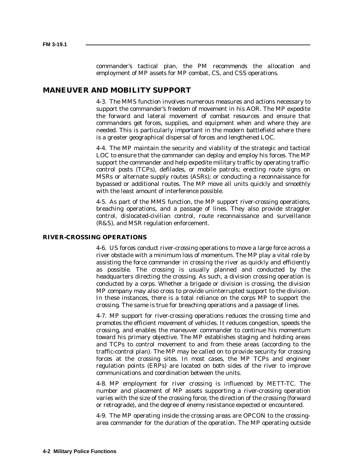commander's tactical plan, the PM recommends the allocation and employment of MP assets for MP combat, CS, and CSS operations.

## **MANEUVER AND MOBILITY SUPPORT**

4-3. The MMS function involves numerous measures and actions necessary to support the commander's freedom of movement in his AOR. The MP expedite the forward and lateral movement of combat resources and ensure that commanders get forces, supplies, and equipment when and where they are needed. This is particularly important in the modern battlefield where there is a greater geographical dispersal of forces and lengthened LOC.

4-4. The MP maintain the security and viability of the strategic and tactical LOC to ensure that the commander can deploy and employ his forces. The MP support the commander and help expedite military traffic by operating trafficcontrol posts (TCPs), defilades, or mobile patrols; erecting route signs on MSRs or alternate supply routes (ASRs); or conducting a reconnaissance for bypassed or additional routes. The MP move all units quickly and smoothly with the least amount of interference possible.

4-5. As part of the MMS function, the MP support river-crossing operations, breaching operations, and a passage of lines. They also provide straggler control, dislocated-civilian control, route reconnaissance and surveillance (R&S), and MSR regulation enforcement.

#### **RIVER-CROSSING OPERATIONS**

4-6. US forces conduct river-crossing operations to move a large force across a river obstacle with a minimum loss of momentum. The MP play a vital role by assisting the force commander in crossing the river as quickly and efficiently as possible. The crossing is usually planned and conducted by the headquarters directing the crossing. As such, a division crossing operation is conducted by a corps. Whether a brigade or division is crossing, the division MP company may also cross to provide uninterrupted support to the division. In these instances, there is a total reliance on the corps MP to support the crossing. The same is true for breaching operations and a passage of lines.

4-7. MP support for river-crossing operations reduces the crossing time and promotes the efficient movement of vehicles. It reduces congestion, speeds the crossing, and enables the maneuver commander to continue his momentum toward his primary objective. The MP establishes staging and holding areas and TCPs to control movement to and from these areas (according to the traffic-control plan). The MP may be called on to provide security for crossing forces at the crossing sites. In most cases, the MP TCPs and engineer regulation points (ERPs) are located on both sides of the river to improve communications and coordination between the units.

4-8. MP employment for river crossing is influenced by METT-TC. The number and placement of MP assets supporting a river-crossing operation varies with the size of the crossing force, the direction of the crossing (forward or retrograde), and the degree of enemy resistance expected or encountered.

4-9. The MP operating inside the crossing areas are OPCON to the crossingarea commander for the duration of the operation. The MP operating outside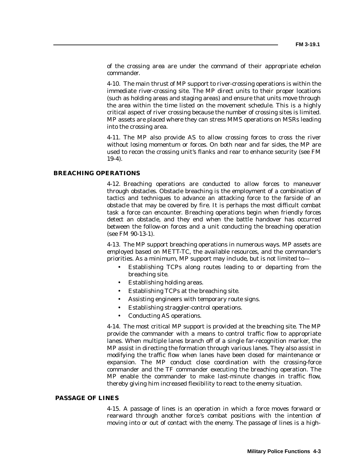of the crossing area are under the command of their appropriate echelon commander.

4-10. The main thrust of MP support to river-crossing operations is within the immediate river-crossing site. The MP direct units to their proper locations (such as holding areas and staging areas) and ensure that units move through the area within the time listed on the movement schedule. This is a highly critical aspect of river crossing because the number of crossing sites is limited. MP assets are placed where they can stress MMS operations on MSRs leading into the crossing area.

4-11. The MP also provide AS to allow crossing forces to cross the river without losing momentum or forces. On both near and far sides, the MP are used to recon the crossing unit's flanks and rear to enhance security (see FM 19-4).

## **BREACHING OPERATIONS**

4-12. Breaching operations are conducted to allow forces to maneuver through obstacles. Obstacle breaching is the employment of a combination of tactics and techniques to advance an attacking force to the farside of an obstacle that may be covered by fire. It is perhaps the most difficult combat task a force can encounter. Breaching operations begin when friendly forces detect an obstacle, and they end when the battle handover has occurred between the follow-on forces and a unit conducting the breaching operation (see FM 90-13-1).

4-13. The MP support breaching operations in numerous ways. MP assets are employed based on METT-TC, the available resources, and the commander's priorities. As a minimum, MP support may include, but is not limited to—

- Establishing TCPs along routes leading to or departing from the breaching site.
- Establishing holding areas.
- Establishing TCPs at the breaching site.
- Assisting engineers with temporary route signs.
- Establishing straggler-control operations.
- Conducting AS operations.

4-14. The most critical MP support is provided at the breaching site. The MP provide the commander with a means to control traffic flow to appropriate lanes. When multiple lanes branch off of a single far-recognition marker, the MP assist in directing the formation through various lanes. They also assist in modifying the traffic flow when lanes have been closed for maintenance or expansion. The MP conduct close coordination with the crossing-force commander and the TF commander executing the breaching operation. The MP enable the commander to make last-minute changes in traffic flow, thereby giving him increased flexibility to react to the enemy situation.

#### **PASSAGE OF LINES**

4-15. A passage of lines is an operation in which a force moves forward or rearward through another force 's combat positions with the intention of moving into or out of contact with the enemy. The passage of lines is a high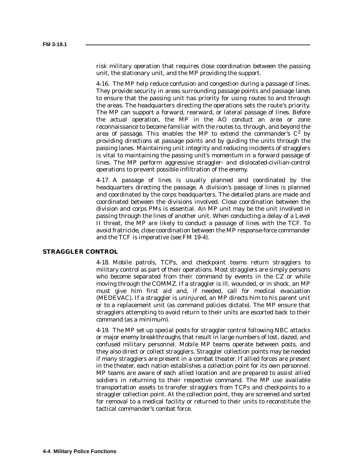risk military operation that requires close coordination between the passing unit, the stationary unit, and the MP providing the support.

4-16. The MP help reduce confusion and congestion during a passage of lines. They provide security in areas surrounding passage points and passage lanes to ensure that the passing unit has priority for using routes to and through the areas. The headquarters directing the operations sets the route 's priority. The MP can support a forward, rearward, or lateral passage of lines. Before the actual operation, the MP in the AO conduct an area or zone reconnaissance to become familiar with the routes to, through, and beyond the area of passage. This enables the MP to extend the commander's  $C^2$  by providing directions at passage points and by guiding the units through the passing lanes. Maintaining unit integrity and reducing incidents of stragglers is vital to maintaining the passing unit's momentum in a forward passage of lines. The MP perform aggressive straggler- and dislocated-civilian-control operations to prevent possible infiltration of the enemy.

4-17. A passage of lines is usually planned and coordinated by the headquarters directing the passage. A division's passage of lines is planned and coordinated by the corps headquarters. The detailed plans are made and coordinated between the divisions involved. Close coordination between the division and corps PMs is essential. An MP unit may be the unit involved in passing through the lines of another unit. When conducting a delay of a Level II threat, the MP are likely to conduct a passage of lines with the TCF. To avoid fratricide, close coordination between the MP response-force commander and the TCF is imperative (see FM 19-4).

#### **STRAGGLER CONTROL**

4-18. Mobile patrols, TCPs, and checkpoint teams return stragglers to military control as part of their operations. Most stragglers are simply persons who become separated from their command by events in the CZ or while moving through the COMMZ. If a straggler is ill, wounded, or in shock, an MP must give him first aid and, if needed, call for medical evacuation (MEDEVAC). If a straggler is uninjured, an MP directs him to his parent unit or to a replacement unit (as command policies dictate). The MP ensure that stragglers attempting to avoid return to their units are escorted back to their command (as a minimum).

4-19. The MP set up special posts for straggler control following NBC attacks or major enemy breakthroughs that result in large numbers of lost, dazed, and confused military personnel. Mobile MP teams operate between posts, and they also direct or collect stragglers. Straggler collection points may be needed if many stragglers are present in a combat theater. If allied forces are present in the theater, each nation establishes a collection point for its own personnel. MP teams are aware of each allied location and are prepared to assist allied soldiers in returning to their respective command. The MP use available transportation assets to transfer stragglers from TCPs and checkpoints to a straggler collection point. At the collection point, they are screened and sorted for removal to a medical facility or returned to their units to reconstitute the tactical commander's combat force.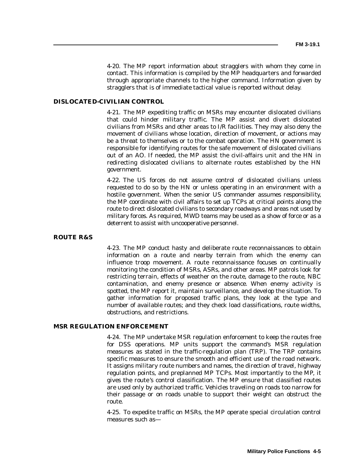4-20. The MP report information about stragglers with whom they come in contact. This information is compiled by the MP headquarters and forwarded through appropriate channels to the higher command. Information given by stragglers that is of immediate tactical value is reported without delay.

# **DISLOCATED-CIVILIAN CONTROL**

4-21. The MP expediting traffic on MSRs may encounter dislocated civilians that could hinder military traffic. The MP assist and divert dislocated civilians from MSRs and other areas to I/R facilities. They may also deny the movement of civilians whose location, direction of movement, or actions may be a threat to themselves or to the combat operation. The HN government is responsible for identifying routes for the safe movement of dislocated civilians out of an AO. If needed, the MP assist the civil-affairs unit and the HN in redirecting dislocated civilians to alternate routes established by the HN government.

4-22. The US forces do not assume control of dislocated civilians unless requested to do so by the HN or unless operating in an environment with a hostile government. When the senior US commander assumes responsibility, the MP coordinate with civil affairs to set up TCPs at critical points along the route to direct dislocated civilians to secondary roadways and areas not used by military forces. As required, MWD teams may be used as a show of force or as a deterrent to assist with uncooperative personnel.

### **ROUTE R&S**

4-23. The MP conduct hasty and deliberate route reconnaissances to obtain information on a route and nearby terrain from which the enemy can influence troop movement. A route reconnaissance focuses on continually monitoring the condition of MSRs, ASRs, and other areas. MP patrols look for restricting terrain, effects of weather on the route, damage to the route, NBC contamination, and enemy presence or absence. When enemy activity is spotted, the MP report it, maintain surveillance, and develop the situation. To gather information for proposed traffic plans, they look at the type and number of available routes; and they check load classifications, route widths, obstructions, and restrictions.

#### **MSR REGULATION ENFORCEMENT**

4-24. The MP undertake MSR regulation enforcement to keep the routes free for DSS operations. MP units support the command's MSR regulation measures as stated in the traffic-regulation plan (TRP). The TRP contains specific measures to ensure the smooth and efficient use of the road network. It assigns military route numbers and names, the direction of travel, highway regulation points, and preplanned MP TCPs. Most importantly to the MP, it gives the route 's control classification. The MP ensure that classified routes are used only by authorized traffic. Vehicles traveling on roads too narrow for their passage or on roads unable to support their weight can obstruct the route.

4-25. To expedite traffic on MSRs, the MP operate special circulation control measures such as—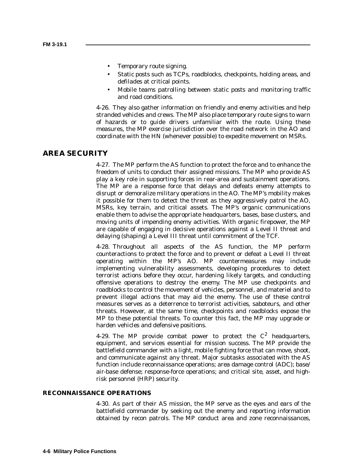- Temporary route signing.
- Static posts such as TCPs, roadblocks, checkpoints, holding areas, and defilades at critical points.
- Mobile teams patrolling between static posts and monitoring traffic and road conditions.

4-26. They also gather information on friendly and enemy activities and help stranded vehicles and crews. The MP also place temporary route signs to warn of hazards or to guide drivers unfamiliar with the route. Using these measures, the MP exercise jurisdiction over the road network in the AO and coordinate with the HN (whenever possible) to expedite movement on MSRs.

## **AREA SECURITY**

4-27. The MP perform the AS function to protect the force and to enhance the freedom of units to conduct their assigned missions. The MP who provide AS play a key role in supporting forces in rear-area and sustainment operations. The MP are a response force that delays and defeats enemy attempts to disrupt or demoralize military operations in the AO. The MP's mobility makes it possible for them to detect the threat as they aggressively patrol the AO, MSRs, key terrain, and critical assets. The MP's organic communications enable them to advise the appropriate headquarters, bases, base clusters, and moving units of impending enemy activities. With organic firepower, the MP are capable of engaging in decisive operations against a Level II threat and delaying (shaping) a Level III threat until commitment of the TCF.

4-28. Throughout all aspects of the AS function, the MP perform counteractions to protect the force and to prevent or defeat a Level II threat operating within the MP's AO. MP countermeasures may include implementing vulnerability assessments, developing procedures to detect terrorist actions before they occur, hardening likely targets, and conducting offensive operations to destroy the enemy. The MP use checkpoints and roadblocks to control the movement of vehicles, personnel, and materiel and to prevent illegal actions that may aid the enemy. The use of these control measures serves as a deterrence to terrorist activities, saboteurs, and other threats. However, at the same time, checkpoints and roadblocks expose the MP to these potential threats. To counter this fact, the MP may upgrade or harden vehicles and defensive positions.

4-29. The MP provide combat power to protect the  $C^2$  headquarters, equipment, and services essential for mission success. The MP provide the battlefield commander with a light, mobile fighting force that can move, shoot, and communicate against any threat. Major subtasks associated with the AS function include reconnaissance operations; area damage control (ADC); base/ air-base defense; response-force operations; and critical site, asset, and highrisk personnel (HRP) security.

## **RECONNAISSANCE OPERATIONS**

4-30. As part of their AS mission, the MP serve as the eyes and ears of the battlefield commander by seeking out the enemy and reporting information obtained by recon patrols. The MP conduct area and zone reconnaissances,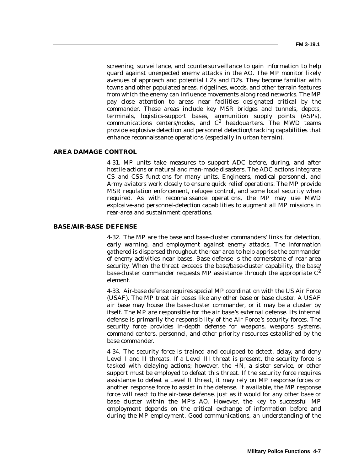screening, surveillance, and countersurveillance to gain information to help guard against unexpected enemy attacks in the AO. The MP monitor likely avenues of approach and potential LZs and DZs. They become familiar with towns and other populated areas, ridgelines, woods, and other terrain features from which the enemy can influence movements along road networks. The MP pay close attention to areas near facilities designated critical by the commander. These areas include key MSR bridges and tunnels, depots, terminals, logistics-support bases, ammunition supply points (ASPs), communications centers/nodes, and  $C^2$  headquarters. The MWD teams provide explosive detection and personnel detection/tracking capabilities that enhance reconnaissance operations (especially in urban terrain).

### **AREA DAMAGE CONTROL**

4-31. MP units take measures to support ADC before, during, and after hostile actions or natural and man-made disasters. The ADC actions integrate CS and CSS functions for many units. Engineers, medical personnel, and Army aviators work closely to ensure quick relief operations. The MP provide MSR regulation enforcement, refugee control, and some local security when required. As with reconnaissance operations, the MP may use MWD explosive-and personnel-detection capabilities to augment all MP missions in rear-area and sustainment operations.

#### **BASE/AIR-BASE DEFENSE**

4-32. The MP are the base and base-cluster commanders' links for detection, early warning, and employment against enemy attacks. The information gathered is dispersed throughout the rear area to help apprise the commander of enemy activities near bases. Base defense is the cornerstone of rear-area security. When the threat exceeds the base/base-cluster capability, the base/ base-cluster commander requests MP assistance through the appropriate  $C^2$ element.

4-33. Air-base defense requires special MP coordination with the US Air Force (USAF). The MP treat air bases like any other base or base cluster. A USAF air base may house the base-cluster commander, or it may be a cluster by itself. The MP are responsible for the air base 's external defense. Its internal defense is primarily the responsibility of the Air Force 's security forces. The security force provides in-depth defense for weapons, weapons systems, command centers, personnel, and other priority resources established by the base commander.

4-34. The security force is trained and equipped to detect, delay, and deny Level I and II threats. If a Level III threat is present, the security force is tasked with delaying actions; however, the HN, a sister service, or other support must be employed to defeat this threat. If the security force requires assistance to defeat a Level II threat, it may rely on MP response forces or another response force to assist in the defense. If available, the MP response force will react to the air-base defense, just as it would for any other base or base cluster within the MP's AO. However, the key to successful MP employment depends on the critical exchange of information before and during the MP employment. Good communications, an understanding of the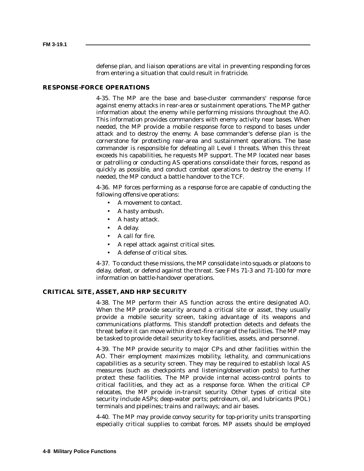defense plan, and liaison operations are vital in preventing responding forces from entering a situation that could result in fratricide.

#### **RESPONSE-FORCE OPERATIONS**

4-35. The MP are the base and base-cluster commanders' response force against enemy attacks in rear-area or sustainment operations. The MP gather information about the enemy while performing missions throughout the AO. This information provides commanders with enemy activity near bases. When needed, the MP provide a mobile response force to respond to bases under attack and to destroy the enemy. A base commander's defense plan is the cornerstone for protecting rear-area and sustainment operations. The base commander is responsible for defeating all Level I threats. When this threat exceeds his capabilities, he requests MP support. The MP located near bases or patrolling or conducting AS operations consolidate their forces, respond as quickly as possible, and conduct combat operations to destroy the enemy. If needed, the MP conduct a battle handover to the TCF.

4-36. MP forces performing as a response force are capable of conducting the following offensive operations:

- A movement to contact.
- A hasty ambush.
- A hasty attack.
- A delay.
- A call for fire.
- A repel attack against critical sites.
- A defense of critical sites.

4-37. To conduct these missions, the MP consolidate into squads or platoons to delay, defeat, or defend against the threat. See FMs 71-3 and 71-100 for more information on battle-handover operations.

### **CRITICAL SITE, ASSET, AND HRP SECURITY**

4-38. The MP perform their AS function across the entire designated AO. When the MP provide security around a critical site or asset, they usually provide a mobile security screen, taking advantage of its weapons and communications platforms. This standoff protection detects and defeats the threat before it can move within direct-fire range of the facilities. The MP may be tasked to provide detail security to key facilities, assets, and personnel.

4-39. The MP provide security to major CPs and other facilities within the AO. Their employment maximizes mobility, lethality, and communications capabilities as a security screen. They may be required to establish local AS measures (such as checkpoints and listening/observation posts) to further protect these facilities. The MP provide internal access-control points to critical facilities, and they act as a response force. When the critical CP relocates, the MP provide in-transit security. Other types of critical site security include ASPs; deep-water ports; petroleum, oil, and lubricants (POL) terminals and pipelines; trains and railways; and air bases.

4-40. The MP may provide convoy security for top-priority units transporting especially critical supplies to combat forces. MP assets should be employed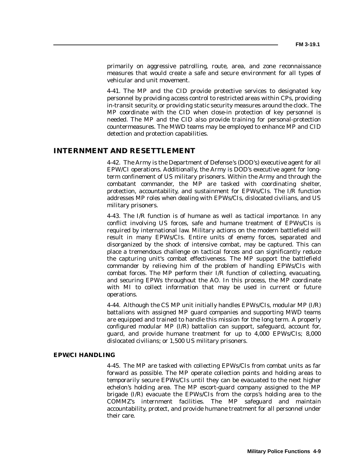primarily on aggressive patrolling, route, area, and zone reconnaissance measures that would create a safe and secure environment for all types of vehicular and unit movement.

4-41. The MP and the CID provide protective services to designated key personnel by providing access control to restricted areas within CPs, providing in-transit security, or providing static security measures around the clock. The MP coordinate with the CID when close-in protection of key personnel is needed. The MP and the CID also provide training for personal-protection countermeasures. The MWD teams may be employed to enhance MP and CID detection and protection capabilities.

## **INTERNMENT AND RESETTLEMENT**

4-42. The Army is the Department of Defense 's (DOD's) executive agent for all EPW/CI operations. Additionally, the Army is DOD's executive agent for longterm confinement of US military prisoners. Within the Army and through the combatant commander, the MP are tasked with coordinating shelter, protection, accountability, and sustainment for EPWs/CIs. The I/R function addresses MP roles when dealing with EPWs/CIs, dislocated civilians, and US military prisoners.

4-43. The I/R function is of humane as well as tactical importance. In any conflict involving US forces, safe and humane treatment of EPWs/CIs is required by international law. Military actions on the modern battlefield will result in many EPWs/CIs. Entire units of enemy forces, separated and disorganized by the shock of intensive combat, may be captured. This can place a tremendous challenge on tactical forces and can significantly reduce the capturing unit's combat effectiveness. The MP support the battlefield commander by relieving him of the problem of handling EPWs/CIs with combat forces. The MP perform their I/R function of collecting, evacuating, and securing EPWs throughout the AO. In this process, the MP coordinate with MI to collect information that may be used in current or future operations.

4-44. Although the CS MP unit initially handles EPWs/CIs, modular MP (I/R) battalions with assigned MP guard companies and supporting MWD teams are equipped and trained to handle this mission for the long term. A properly configured modular MP (I/R) battalion can support, safeguard, account for, guard, and provide humane treatment for up to 4,000 EPWs/CIs; 8,000 dislocated civilians; or 1,500 US military prisoners.

### **EPW/CI HANDLING**

4-45. The MP are tasked with collecting EPWs/CIs from combat units as far forward as possible. The MP operate collection points and holding areas to temporarily secure EPWs/CIs until they can be evacuated to the next higher echelon's holding area. The MP escort-guard company assigned to the MP brigade (I/R) evacuate the EPWs/CIs from the corps's holding area to the COMMZ's internment facilities. The MP safeguard and maintain accountability, protect, and provide humane treatment for all personnel under their care.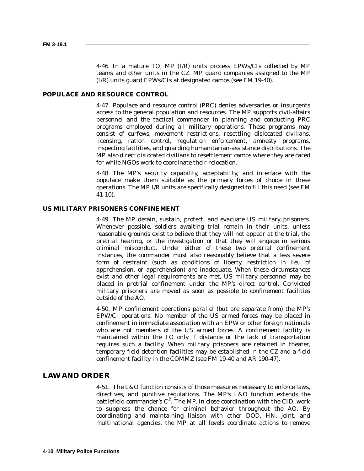4-46. In a mature TO, MP (I/R) units process EPWs/CIs collected by MP teams and other units in the CZ. MP guard companies assigned to the MP (I/R) units guard EPWs/CIs at designated camps (see FM 19-40).

## **POPULACE AND RESOURCE CONTROL**

4-47. Populace and resource control (PRC) denies adversaries or insurgents access to the general population and resources. The MP supports civil-affairs personnel and the tactical commander in planning and conducting PRC programs employed during all military operations. These programs may consist of curfews, movement restrictions, resettling dislocated civilians, licensing, ration control, regulation enforcement, amnesty programs, inspecting facilities, and guarding humanitarian-assistance distributions. The MP also direct dislocated civilians to resettlement camps where they are cared for while NGOs work to coordinate their relocation.

4-48. The MP's security capability, acceptability, and interface with the populace make them suitable as the primary forces of choice in these operations. The MP I/R units are specifically designed to fill this need (see FM 41-10).

#### **US MILITARY PRISONERS CONFINEMENT**

4-49. The MP detain, sustain, protect, and evacuate US military prisoners. Whenever possible, soldiers awaiting trial remain in their units, unless reasonable grounds exist to believe that they will not appear at the trial, the pretrial hearing, or the investigation or that they will engage in serious criminal misconduct. Under either of these two pretrial confinement instances, the commander must also reasonably believe that a less severe form of restraint (such as conditions of liberty, restriction in lieu of apprehension, or apprehension) are inadequate. When these circumstances exist and other legal requirements are met, US military personnel may be placed in pretrial confinement under the MP's direct control. Convicted military prisoners are moved as soon as possible to confinement facilities outside of the AO.

4-50. MP confinement operations parallel (but are separate from) the MP's EPW/CI operations. No member of the US armed forces may be placed in confinement in immediate association with an EPW or other foreign nationals who are not members of the US armed forces. A confinement facility is maintained within the TO only if distance or the lack of transportation requires such a facility. When military prisoners are retained in theater, temporary field detention facilities may be established in the CZ and a field confinement facility in the COMMZ (see FM 19-40 and AR 190-47).

## **LAW AND ORDER**

4-51. The L&O function consists of those measures necessary to enforce laws, directives, and punitive regulations. The MP's L&O function extends the battlefield commander's  $C^2$ . The MP, in close coordination with the CID, work to suppress the chance for criminal behavior throughout the AO. By coordinating and maintaining liaison with other DOD, HN, joint, and multinational agencies, the MP at all levels coordinate actions to remove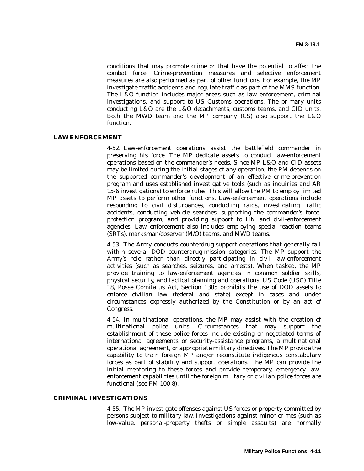conditions that may promote crime or that have the potential to affect the combat force. Crime-prevention measures and selective enforcement measures are also performed as part of other functions. For example, the MP investigate traffic accidents and regulate traffic as part of the MMS function. The L&O function includes major areas such as law enforcement, criminal investigations, and support to US Customs operations. The primary units conducting L&O are the L&O detachments, customs teams, and CID units. Both the MWD team and the MP company (CS) also support the L&O function.

## **LAW ENFORCEMENT**

4-52. Law-enforcement operations assist the battlefield commander in preserving his force. The MP dedicate assets to conduct law-enforcement operations based on the commander's needs. Since MP L&O and CID assets may be limited during the initial stages of any operation, the PM depends on the supported commander's development of an effective crime-prevention program and uses established investigative tools (such as inquiries and AR 15-6 investigations) to enforce rules. This will allow the PM to employ limited MP assets to perform other functions. Law-enforcement operations include responding to civil disturbances, conducting raids, investigating traffic accidents, conducting vehicle searches, supporting the commander's forceprotection program, and providing support to HN and civil-enforcement agencies. Law enforcement also includes employing special-reaction teams (SRTs), marksman/observer (M/O) teams, and MWD teams.

4-53. The Army conducts counterdrug-support operations that generally fall within several DOD counterdrug-mission categories. The MP support the Army's role rather than directly participating in civil law-enforcement activities (such as searches, seizures, and arrests). When tasked, the MP provide training to law-enforcement agencies in common soldier skills, physical security, and tactical planning and operations. US Code (USC) Title 18, Posse Comitatus Act, Section 1385 prohibits the use of DOD assets to enforce civilian law (federal and state) except in cases and under circumstances expressly authorized by the Constitution or by an act of Congress.

4-54. In multinational operations, the MP may assist with the creation of multinational police units. Circumstances that may support the establishment of these police forces include existing or negotiated terms of international agreements or security-assistance programs, a multinational operational agreement, or appropriate military directives. The MP provide the capability to train foreign MP and/or reconstitute indigenous constabulary forces as part of stability and support operations. The MP can provide the initial mentoring to these forces and provide temporary, emergency lawenforcement capabilities until the foreign military or civilian police forces are functional (see FM 100-8).

#### **CRIMINAL INVESTIGATIONS**

4-55. The MP investigate offenses against US forces or property committed by persons subject to military law. Investigations against minor crimes (such as low-value, personal-property thefts or simple assaults) are normally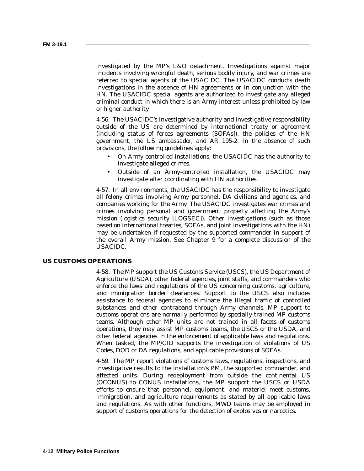investigated by the MP's L&O detachment. Investigations against major incidents involving wrongful death, serious bodily injury, and war crimes are referred to special agents of the USACIDC. The USACIDC conducts death investigations in the absence of HN agreements or in conjunction with the HN. The USACIDC special agents are authorized to investigate any alleged criminal conduct in which there is an Army interest unless prohibited by law or higher authority.

4-56. The USACIDC's investigative authority and investigative responsibility outside of the US are determined by international treaty or agreement (including status of forces agreements [SOFAs]), the policies of the HN government, the US ambassador, and AR 195-2. In the absence of such provisions, the following guidelines apply:

- On Army-controlled installations, the USACIDC has the authority to investigate alleged crimes.
- Outside of an Army-controlled installation, the USACIDC may investigate after coordinating with HN authorities.

4-57. In all environments, the USACIDC has the responsibility to investigate all felony crimes involving Army personnel, DA civilians and agencies, and companies working for the Army. The USACIDC investigates war crimes and crimes involving personal and government property affecting the Army's mission (logistics security [LOGSEC]). Other investigations (such as those based on international treaties, SOFAs, and joint investigations with the HN) may be undertaken if requested by the supported commander in support of the overall Army mission. See Chapter 9 for a complete discussion of the USACIDC.

#### **US CUSTOMS OPERATIONS**

4-58. The MP support the US Customs Service (USCS), the US Department of Agriculture (USDA), other federal agencies, joint staffs, and commanders who enforce the laws and regulations of the US concerning customs, agriculture, and immigration border clearances. Support to the USCS also includes assistance to federal agencies to eliminate the illegal traffic of controlled substances and other contraband through Army channels. MP support to customs operations are normally performed by specially trained MP customs teams. Although other MP units are not trained in all facets of customs operations, they may assist MP customs teams, the USCS or the USDA, and other federal agencies in the enforcement of applicable laws and regulations. When tasked, the MP/CID supports the investigation of violations of US Codes, DOD or DA regulations, and applicable provisions of SOFAs.

4-59. The MP report violations of customs laws, regulations, inspections, and investigative results to the installation's PM, the supported commander, and affected units. During redeployment from outside the continental US (OCONUS) to CONUS installations, the MP support the USCS or USDA efforts to ensure that personnel, equipment, and materiel meet customs, immigration, and agriculture requirements as stated by all applicable laws and regulations. As with other functions, MWD teams may be employed in support of customs operations for the detection of explosives or narcotics.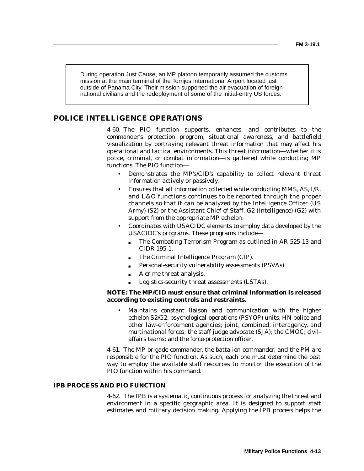During operation Just Cause, an MP platoon temporarily assumed the customs mission at the main terminal of the Torrijos International Airport located just outside of Panama City. Their mission supported the air evacuation of foreignnational civilians and the redeployment of some of the initial-entry US forces.

# **POLICE INTELLIGENCE OPERATIONS**

4-60. The PIO function supports, enhances, and contributes to the commander's protection program, situational awareness, and battlefield visualization by portraying relevant threat information that may affect his operational and tactical environments. This threat information—whether it is police, criminal, or combat information—is gathered while conducting MP functions. The PIO function—

- Demonstrates the MP's/CID's capability to collect relevant threat information actively or passively.
- Ensures that all information collected while conducting MMS, AS, I/R, and L&O functions continues to be reported through the proper channels so that it can be analyzed by the Intelligence Officer (US Army) (S2) or the Assistant Chief of Staff, G2 (Intelligence) (G2) with support from the appropriate MP echelon.
- Coordinates with USACIDC elements to employ data developed by the USACIDC's programs. These programs include—
	- The Combating Terrorism Program as outlined in AR 525-13 and CIDR 195-1.
	- The Criminal Intelligence Program (CIP).
	- Personal-security vulnerability assessments (PSVAs).
	- A crime threat analysis.
	- Logistics-security threat assessments (LSTAs).

## **NOTE: The MP/CID must ensure that criminal information is released according to existing controls and restraints.**

• Maintains constant liaison and communication with the higher echelon S2/G2; psychological-operations (PSYOP) units; HN police and other law-enforcement agencies; joint, combined, interagency, and multinational forces; the staff judge advocate (SJA); the CMOC; civilaffairs teams; and the force-protection officer.

4-61. The MP brigade commander, the battalion commander, and the PM are responsible for the PIO function. As such, each one must determine the best way to employ the available staff resources to monitor the execution of the PIO function within his command.

### **IPB PROCESS AND PIO FUNCTION**

4-62. The IPB is a systematic, continuous process for analyzing the threat and environment in a specific geographic area. It is designed to support staff estimates and military decision making. Applying the IPB process helps the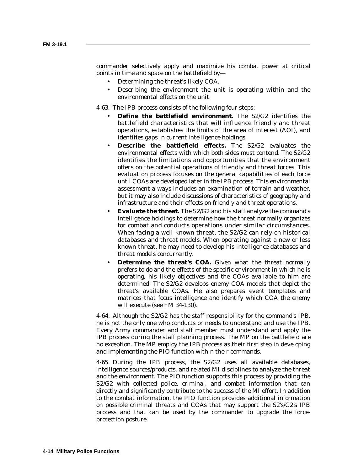commander selectively apply and maximize his combat power at critical points in time and space on the battlefield by—

- Determining the threat's likely COA.
- Describing the environment the unit is operating within and the environmental effects on the unit.

4-63. The IPB process consists of the following four steps:

- **Define the battlefield environment.** The S2/G2 identifies the battlefield characteristics that will influence friendly and threat operations, establishes the limits of the area of interest (AOI), and identifies gaps in current intelligence holdings.
- **Describe the battlefield effects.** The S2/G2 evaluates the environmental effects with which both sides must contend. The S2/G2 identifies the limitations and opportunities that the environment offers on the potential operations of friendly and threat forces. This evaluation process focuses on the general capabilities of each force until COAs are developed later in the IPB process. This environmental assessment always includes an examination of terrain and weather, but it may also include discussions of characteristics of geography and infrastructure and their effects on friendly and threat operations.
- **Evaluate the threat.** The S2/G2 and his staff analyze the command's intelligence holdings to determine how the threat normally organizes for combat and conducts operations under similar circumstances. When facing a well-known threat, the S2/G2 can rely on historical databases and threat models. When operating against a new or less known threat, he may need to develop his intelligence databases and threat models concurrently.
- **Determine the threat's COA.** Given what the threat normally prefers to do and the effects of the specific environment in which he is operating, his likely objectives and the COAs available to him are determined. The S2/G2 develops enemy COA models that depict the threat's available COAs. He also prepares event templates and matrices that focus intelligence and identify which COA the enemy will execute (see FM 34-130).

4-64. Although the S2/G2 has the staff responsibility for the command's IPB, he is not the only one who conducts or needs to understand and use the IPB. Every Army commander and staff member must understand and apply the IPB process during the staff planning process. The MP on the battlefield are no exception. The MP employ the IPB process as their first step in developing and implementing the PIO function within their commands.

4-65. During the IPB process, the S2/G2 uses all available databases, intelligence sources/products, and related MI disciplines to analyze the threat and the environment. The PIO function supports this process by providing the S2/G2 with collected police, criminal, and combat information that can directly and significantly contribute to the success of the MI effort. In addition to the combat information, the PIO function provides additional information on possible criminal threats and COAs that may support the S2's/G2's IPB process and that can be used by the commander to upgrade the forceprotection posture.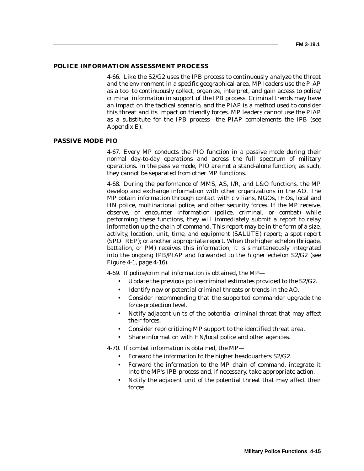#### **POLICE INFORMATION ASSESSMENT PROCESS**

4-66. Like the S2/G2 uses the IPB process to continuously analyze the threat and the environment in a specific geographical area, MP leaders use the PIAP as a tool to continuously collect, organize, interpret, and gain access to police/ criminal information in support of the IPB process. Criminal trends may have an impact on the tactical scenario, and the PIAP is a method used to consider this threat and its impact on friendly forces. MP leaders cannot use the PIAP as a substitute for the IPB process—the PIAP complements the IPB (see Appendix E).

#### **PASSIVE MODE PIO**

4-67. Every MP conducts the PIO function in a passive mode during their normal day-to-day operations and across the full spectrum of military operations. In the passive mode, PIO are not a stand-alone function; as such, they cannot be separated from other MP functions.

4-68. During the performance of MMS, AS, I/R, and L&O functions, the MP develop and exchange information with other organizations in the AO. The MP obtain information through contact with civilians, NGOs, IHOs, local and HN police, multinational police, and other security forces. If the MP receive, observe, or encounter information (police, criminal, or combat) while performing these functions, they will immediately submit a report to relay information up the chain of command. This report may be in the form of a size, activity, location, unit, time, and equipment (SALUTE) report; a spot report (SPOTREP); or another appropriate report. When the higher echelon (brigade, battalion, or PM) receives this information, it is simultaneously integrated into the ongoing IPB/PIAP and forwarded to the higher echelon S2/G2 (see Figure 4-1, page 4-16).

4-69. If police/criminal information is obtained, the MP—

- Update the previous police/criminal estimates provided to the S2/G2.
- Identify new or potential criminal threats or trends in the AO.
- Consider recommending that the supported commander upgrade the force-protection level.
- Notify adjacent units of the potential criminal threat that may affect their forces.
- Consider reprioritizing MP support to the identified threat area.
- Share information with HN/local police and other agencies.

4-70. If combat information is obtained, the MP—

- Forward the information to the higher headquarters S2/G2.
- Forward the information to the MP chain of command, integrate it into the MP's IPB process and, if necessary, take appropriate action.
- Notify the adjacent unit of the potential threat that may affect their forces.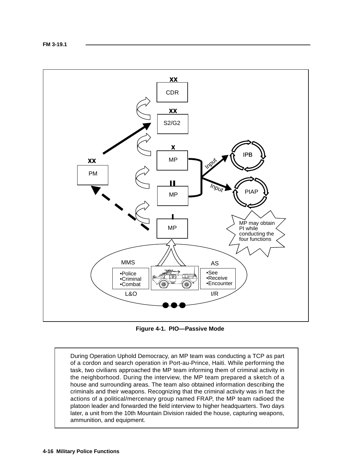

**Figure 4-1. PIO—Passive Mode**

During Operation Uphold Democracy, an MP team was conducting a TCP as part of a cordon and search operation in Port-au-Prince, Haiti. While performing the task, two civilians approached the MP team informing them of criminal activity in the neighborhood. During the interview, the MP team prepared a sketch of a house and surrounding areas. The team also obtained information describing the criminals and their weapons. Recognizing that the criminal activity was in fact the actions of a political/mercenary group named FRAP, the MP team radioed the platoon leader and forwarded the field interview to higher headquarters. Two days later, a unit from the 10th Mountain Division raided the house, capturing weapons, ammunition, and equipment.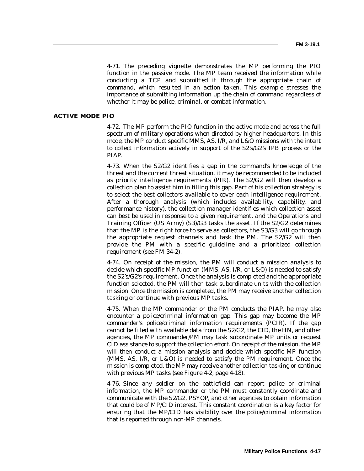4-71. The preceding vignette demonstrates the MP performing the PIO function in the passive mode. The MP team received the information while conducting a TCP and submitted it through the appropriate chain of command, which resulted in an action taken. This example stresses the importance of submitting information up the chain of command regardless of whether it may be police, criminal, or combat information.

#### **ACTIVE MODE PIO**

4-72. The MP perform the PIO function in the active mode and across the full spectrum of military operations when directed by higher headquarters. In this mode, the MP conduct specific MMS, AS, I/R, and L&O missions with the intent to collect information actively in support of the S2's/G2's IPB process or the PIAP.

4-73. When the S2/G2 identifies a gap in the command's knowledge of the threat and the current threat situation, it may be recommended to be included as priority intelligence requirements (PIR). The S2/G2 will then develop a collection plan to assist him in filling this gap. Part of his collection strategy is to select the best collectors available to cover each intelligence requirement. After a thorough analysis (which includes availability, capability, and performance history), the collection manager identifies which collection asset can best be used in response to a given requirement, and the Operations and Training Officer (US Army) (S3)/G3 tasks the asset. If the S2/G2 determines that the MP is the right force to serve as collectors, the S3/G3 will go through the appropriate request channels and task the PM. The S2/G2 will then provide the PM with a specific guideline and a prioritized collection requirement (see FM 34-2).

4-74. On receipt of the mission, the PM will conduct a mission analysis to decide which specific MP function (MMS, AS, I/R, or L&O) is needed to satisfy the S2's/G2's requirement. Once the analysis is completed and the appropriate function selected, the PM will then task subordinate units with the collection mission. Once the mission is completed, the PM may receive another collection tasking or continue with previous MP tasks.

4-75. When the MP commander or the PM conducts the PIAP, he may also encounter a police/criminal information gap. This gap may become the MP commander's police/criminal information requirements (PCIR). If the gap cannot be filled with available data from the S2/G2, the CID, the HN, and other agencies, the MP commander/PM may task subordinate MP units or request CID assistance to support the collection effort. On receipt of the mission, the MP will then conduct a mission analysis and decide which specific MP function (MMS, AS, I/R, or L&O) is needed to satisfy the PM requirement. Once the mission is completed, the MP may receive another collection tasking or continue with previous MP tasks (see Figure 4-2, page 4-18).

4-76. Since any soldier on the battlefield can report police or criminal information, the MP commander or the PM must constantly coordinate and communicate with the S2/G2, PSYOP, and other agencies to obtain information that could be of MP/CID interest. This constant coordination is a key factor for ensuring that the MP/CID has visibility over the police/criminal information that is reported through non-MP channels.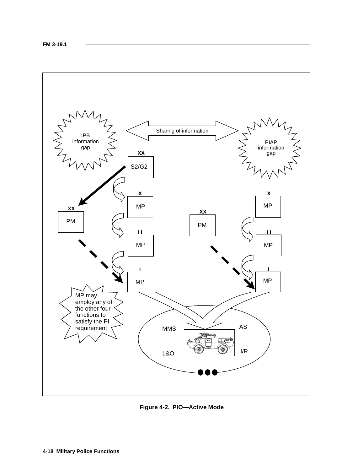

**Figure 4-2. PIO—Active Mode**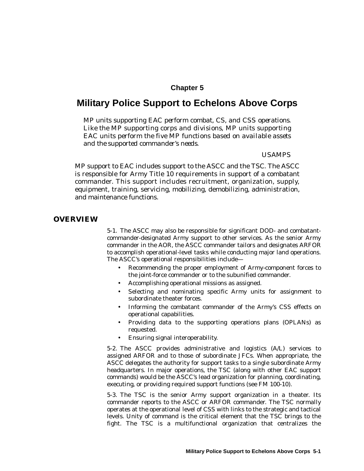# **Chapter 5**

# **Military Police Support to Echelons Above Corps**

*MP units supporting EAC perform combat, CS, and CSS operations. Like the MP supporting corps and divisions, MP units supporting EAC units perform the five MP functions based on available assets and the supported commander's needs.*

## *USAMPS*

MP support to EAC includes support to the ASCC and the TSC. The ASCC is responsible for Army Title 10 requirements in support of a combatant commander. This support includes recruitment, organization, supply, equipment, training, servicing, mobilizing, demobilizing, administration, and maintenance functions.

## **OVERVIEW**

5-1. The ASCC may also be responsible for significant DOD- and combatantcommander-designated Army support to other services. As the senior Army commander in the AOR, the ASCC commander tailors and designates ARFOR to accomplish operational-level tasks while conducting major land operations. The ASCC's operational responsibilities include—

- Recommending the proper employment of Army-component forces to the joint-force commander or to the subunified commander.
- Accomplishing operational missions as assigned.
- Selecting and nominating specific Army units for assignment to subordinate theater forces.
- Informing the combatant commander of the Army's CSS effects on operational capabilities.
- Providing data to the supporting operations plans (OPLANs) as requested.
- Ensuring signal interoperability.

5-2. The ASCC provides administrative and logistics (A/L) services to assigned ARFOR and to those of subordinate JFCs. When appropriate, the ASCC delegates the authority for support tasks to a single subordinate Army headquarters. In major operations, the TSC (along with other EAC support commands) would be the ASCC's lead organization for planning, coordinating, executing, or providing required support functions (see FM 100-10).

5-3. The TSC is the senior Army support organization in a theater. Its commander reports to the ASCC or ARFOR commander. The TSC normally operates at the operational level of CSS with links to the strategic and tactical levels. Unity of command is the critical element that the TSC brings to the fight. The TSC is a multifunctional organization that centralizes the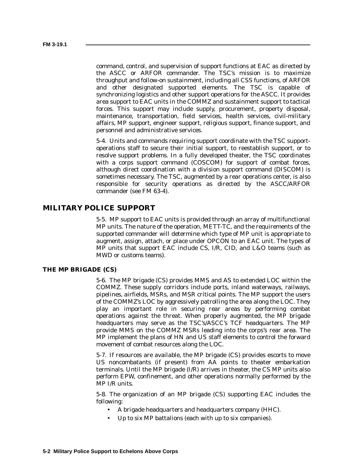command, control, and supervision of support functions at EAC as directed by the ASCC or ARFOR commander. The TSC's mission is to maximize throughput and follow-on sustainment, including all CSS functions, of ARFOR and other designated supported elements. The TSC is capable of synchronizing logistics and other support operations for the ASCC. It provides area support to EAC units in the COMMZ and sustainment support to tactical forces. This support may include supply, procurement, property disposal, maintenance, transportation, field services, health services, civil-military affairs, MP support, engineer support, religious support, finance support, and personnel and administrative services.

5-4. Units and commands requiring support coordinate with the TSC supportoperations staff to secure their initial support, to reestablish support, or to resolve support problems. In a fully developed theater, the TSC coordinates with a corps support command (COSCOM) for support of combat forces, although direct coordination with a division support command (DISCOM) is sometimes necessary. The TSC, augmented by a rear operations center, is also responsible for security operations as directed by the ASCC/ARFOR commander (see FM 63-4).

## **MILITARY POLICE SUPPORT**

5-5. MP support to EAC units is provided through an array of multifunctional MP units. The nature of the operation, METT-TC, and the requirements of the supported commander will determine which type of MP unit is appropriate to augment, assign, attach, or place under OPCON to an EAC unit. The types of MP units that support EAC include CS, I/R, CID, and L&O teams (such as MWD or customs teams).

### **THE MP BRIGADE (CS)**

5-6. The MP brigade (CS) provides MMS and AS to extended LOC within the COMMZ. These supply corridors include ports, inland waterways, railways, pipelines, airfields, MSRs, and MSR critical points. The MP support the users of the COMMZ's LOC by aggressively patrolling the area along the LOC. They play an important role in securing rear areas by performing combat operations against the threat. When properly augmented, the MP brigade headquarters may serve as the TSC's/ASCC's TCF headquarters. The MP provide MMS on the COMMZ MSRs leading into the corps's rear area. The MP implement the plans of HN and US staff elements to control the forward movement of combat resources along the LOC.

5-7. If resources are available, the MP brigade (CS) provides escorts to move US noncombatants (if present) from AA points to theater embarkation terminals. Until the MP brigade (I/R) arrives in theater, the CS MP units also perform EPW, confinement, and other operations normally performed by the MP I/R units.

5-8. The organization of an MP brigade (CS) supporting EAC includes the following:

- A brigade headquarters and headquarters company (HHC).
- Up to six MP battalions (each with up to six companies).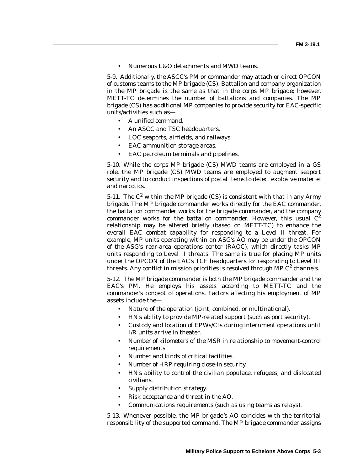• Numerous L&O detachments and MWD teams.

5-9. Additionally, the ASCC's PM or commander may attach or direct OPCON of customs teams to the MP brigade (CS). Battalion and company organization in the MP brigade is the same as that in the corps MP brigade; however, METT-TC determines the number of battalions and companies. The MP brigade (CS) has additional MP companies to provide security for EAC-specific units/activities such as—

- A unified command.
- An ASCC and TSC headquarters.
- LOC seaports, airfields, and railways.
- EAC ammunition storage areas.
- EAC petroleum terminals and pipelines.

5-10. While the corps MP brigade (CS) MWD teams are employed in a GS role, the MP brigade (CS) MWD teams are employed to augment seaport security and to conduct inspections of postal items to detect explosive materiel and narcotics.

5-11. The  $C^2$  within the MP brigade (CS) is consistent with that in any Army brigade. The MP brigade commander works directly for the EAC commander, the battalion commander works for the brigade commander, and the company commander works for the battalion commander. However, this usual  $C^2$ relationship may be altered briefly (based on METT-TC) to enhance the overall EAC combat capability for responding to a Level II threat. For example, MP units operating within an ASG's AO may be under the OPCON of the ASG's rear-area operations center (RAOC), which directly tasks MP units responding to Level II threats. The same is true for placing MP units under the OPCON of the EAC's TCF headquarters for responding to Level III threats. Any conflict in mission priorities is resolved through MP  $C^2$  channels.

5-12. The MP brigade commander is both the MP brigade commander and the EAC's PM. He employs his assets according to METT-TC and the commander's concept of operations. Factors affecting his employment of MP assets include the—

- Nature of the operation (joint, combined, or multinational).
- HN's ability to provide MP-related support (such as port security).
- Custody and location of EPWs/CIs during internment operations until I/R units arrive in theater.
- Number of kilometers of the MSR in relationship to movement-control requirements.
- Number and kinds of critical facilities.
- Number of HRP requiring close-in security.
- HN's ability to control the civilian populace, refugees, and dislocated civilians.
- Supply distribution strategy.
- Risk acceptance and threat in the AO.
- Communications requirements (such as using teams as relays).

5-13. Whenever possible, the MP brigade 's AO coincides with the territorial responsibility of the supported command. The MP brigade commander assigns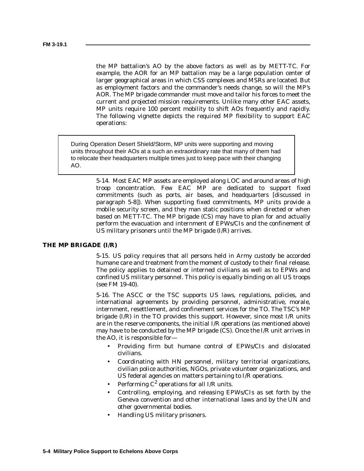the MP battalion's AO by the above factors as well as by METT-TC. For example, the AOR for an MP battalion may be a large population center of larger geographical areas in which CSS complexes and MSRs are located. But as employment factors and the commander's needs change, so will the MP's AOR. The MP brigade commander must move and tailor his forces to meet the current and projected mission requirements. Unlike many other EAC assets, MP units require 100 percent mobility to shift AOs frequently and rapidly. The following vignette depicts the required MP flexibility to support EAC operations:

During Operation Desert Shield/Storm, MP units were supporting and moving units throughout their AOs at a such an extraordinary rate that many of them had to relocate their headquarters multiple times just to keep pace with their changing AO.

> 5-14. Most EAC MP assets are employed along LOC and around areas of high troop concentration. Few EAC MP are dedicated to support fixed commitments (such as ports, air bases, and headquarters [discussed in paragraph 5-8]). When supporting fixed commitments, MP units provide a mobile security screen, and they man static positions when directed or when based on METT-TC. The MP brigade (CS) may have to plan for and actually perform the evacuation and internment of EPWs/CIs and the confinement of US military prisoners until the MP brigade (I/R) arrives.

## **THE MP BRIGADE (I/R)**

5-15. US policy requires that all persons held in Army custody be accorded humane care and treatment from the moment of custody to their final release. The policy applies to detained or interned civilians as well as to EPWs and confined US military personnel. This policy is equally binding on all US troops (see FM 19-40).

5-16. The ASCC or the TSC supports US laws, regulations, policies, and international agreements by providing personnel, administrative, morale, internment, resettlement, and confinement services for the TO. The TSC's MP brigade (I/R) in the TO provides this support. However, since most I/R units are in the reserve components, the initial I/R operations (as mentioned above) may have to be conducted by the MP brigade (CS). Once the I/R unit arrives in the AO, it is responsible for—

- Providing firm but humane control of EPWs/CIs and dislocated civilians.
- Coordinating with HN personnel, military territorial organizations, civilian police authorities, NGOs, private volunteer organizations, and US federal agencies on matters pertaining to I/R operations.
- Performing  $C^2$  operations for all I/R units.
- Controlling, employing, and releasing EPWs/CIs as set forth by the Geneva convention and other international laws and by the UN and other governmental bodies.
- Handling US military prisoners.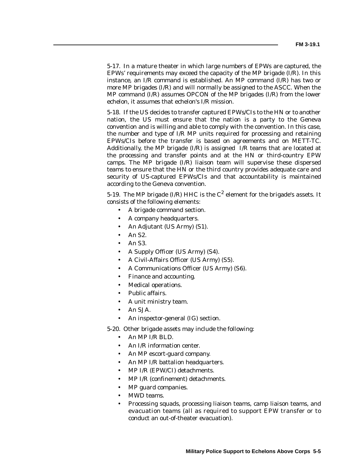5-17. In a mature theater in which large numbers of EPWs are captured, the EPWs' requirements may exceed the capacity of the MP brigade (I/R). In this instance, an I/R command is established. An MP command (I/R) has two or more MP brigades (I/R) and will normally be assigned to the ASCC. When the MP command (I/R) assumes OPCON of the MP brigades (I/R) from the lower echelon, it assumes that echelon's I/R mission.

5-18. If the US decides to transfer captured EPWs/CIs to the HN or to another nation, the US must ensure that the nation is a party to the Geneva convention and is willing and able to comply with the convention. In this case, the number and type of I/R MP units required for processing and retaining EPWs/CIs before the transfer is based on agreements and on METT-TC. Additionally, the MP brigade  $(I/R)$  is assigned  $I/R$  teams that are located at the processing and transfer points and at the HN or third-country EPW camps. The MP brigade (I/R) liaison team will supervise these dispersed teams to ensure that the HN or the third country provides adequate care and security of US-captured EPWs/CIs and that accountability is maintained according to the Geneva convention.

5-19. The MP brigade (I/R) HHC is the  $C^2$  element for the brigade's assets. It consists of the following elements:

- A brigade command section.
- A company headquarters.
- An Adjutant (US Army) (S1).
- An S2.
- An S3.
- A Supply Officer (US Army) (S4).
- A Civil-Affairs Officer (US Army) (S5).
- A Communications Officer (US Army) (S6).
- Finance and accounting.
- Medical operations.
- Public affairs.
- A unit ministry team.
- An SJA.
- An inspector-general (IG) section.

5-20. Other brigade assets may include the following:

- An MP I/R BLD.
- An I/R information center.
- An MP escort-guard company.
- An MP I/R battalion headquarters.
- MP I/R (EPW/CI) detachments.
- MP I/R (confinement) detachments.
- MP guard companies.
- MWD teams.
- Processing squads, processing liaison teams, camp liaison teams, and evacuation teams (all as required to support EPW transfer or to conduct an out-of-theater evacuation).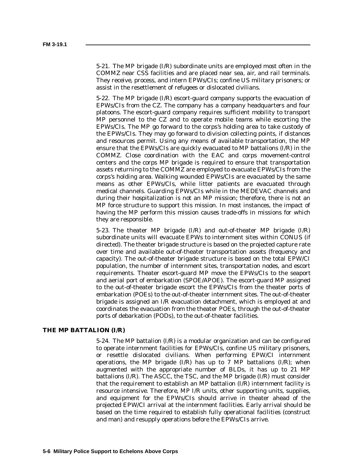5-21. The MP brigade (I/R) subordinate units are employed most often in the COMMZ near CSS facilities and are placed near sea, air, and rail terminals. They receive, process, and intern EPWs/CIs; confine US military prisoners; or assist in the resettlement of refugees or dislocated civilians.

5-22. The MP brigade (I/R) escort-guard company supports the evacuation of EPWs/CIs from the CZ. The company has a company headquarters and four platoons. The escort-guard company requires sufficient mobility to transport MP personnel to the CZ and to operate mobile teams while escorting the EPWs/CIs. The MP go forward to the corps's holding area to take custody of the EPWs/CIs. They may go forward to division collecting points, if distances and resources permit. Using any means of available transportation, the MP ensure that the EPWs/CIs are quickly evacuated to MP battalions (I/R) in the COMMZ. Close coordination with the EAC and corps movement-control centers and the corps MP brigade is required to ensure that transportation assets returning to the COMMZ are employed to evacuate EPWs/CIs from the corps's holding area. Walking wounded EPWs/CIs are evacuated by the same means as other EPWs/CIs, while litter patients are evacuated through medical channels. Guarding EPWs/CIs while in the MEDEVAC channels and during their hospitalization is not an MP mission; therefore, there is not an MP force structure to support this mission. In most instances, the impact of having the MP perform this mission causes trade-offs in missions for which they are responsible.

5-23. The theater MP brigade (I/R) and out-of-theater MP brigade (I/R) subordinate units will evacuate EPWs to internment sites within CONUS (if directed). The theater brigade structure is based on the projected capture rate over time and available out-of-theater transportation assets (frequency and capacity). The out-of-theater brigade structure is based on the total EPW/CI population, the number of internment sites, transportation nodes, and escort requirements. Theater escort-guard MP move the EPWs/CIs to the seaport and aerial port of embarkation (SPOE/APOE). The escort-guard MP assigned to the out-of-theater brigade escort the EPWs/CIs from the theater ports of embarkation (POEs) to the out-of-theater internment sites. The out-of-theater brigade is assigned an I/R evacuation detachment, which is employed at and coordinates the evacuation from the theater POEs, through the out-of-theater ports of debarkation (PODs), to the out-of-theater facilities.

#### **THE MP BATTALION (I/R)**

5-24. The MP battalion (I/R) is a modular organization and can be configured to operate internment facilities for EPWs/CIs, confine US military prisoners, or resettle dislocated civilians. When performing EPW/CI internment operations, the MP brigade  $(I/R)$  has up to 7 MP battalions  $(I/R)$ ; when augmented with the appropriate number of BLDs, it has up to 21 MP battalions (I/R). The ASCC, the TSC, and the MP brigade (I/R) must consider that the requirement to establish an MP battalion (I/R) internment facility is resource intensive. Therefore, MP I/R units, other supporting units, supplies, and equipment for the EPWs/CIs should arrive in theater ahead of the projected EPW/CI arrival at the internment facilities. Early arrival should be based on the time required to establish fully operational facilities (construct and man) and resupply operations before the EPWs/CIs arrive.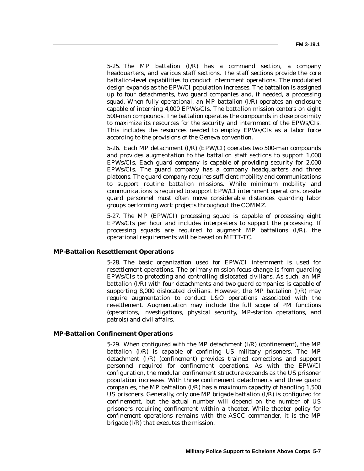5-25. The MP battalion (I/R) has a command section, a company headquarters, and various staff sections. The staff sections provide the core battalion-level capabilities to conduct internment operations. The modulated design expands as the EPW/CI population increases. The battalion is assigned up to four detachments, two guard companies and, if needed, a processing squad. When fully operational, an MP battalion (I/R) operates an enclosure capable of interning 4,000 EPWs/CIs. The battalion mission centers on eight 500-man compounds. The battalion operates the compounds in close proximity to maximize its resources for the security and internment of the EPWs/CIs. This includes the resources needed to employ EPWs/CIs as a labor force according to the provisions of the Geneva convention.

5-26. Each MP detachment (I/R) (EPW/CI) operates two 500-man compounds and provides augmentation to the battalion staff sections to support 1,000 EPWs/CIs. Each guard company is capable of providing security for 2,000 EPWs/CIs. The guard company has a company headquarters and three platoons. The guard company requires sufficient mobility and communications to support routine battalion missions. While minimum mobility and communications is required to support EPW/CI internment operations, on-site guard personnel must often move considerable distances guarding labor groups performing work projects throughout the COMMZ.

5-27. The MP (EPW/CI) processing squad is capable of processing eight EPWs/CIs per hour and includes interpreters to support the processing. If processing squads are required to augment MP battalions (I/R), the operational requirements will be based on METT-TC.

### **MP-Battalion Resettlement Operations**

5-28. The basic organization used for EPW/CI internment is used for resettlement operations. The primary mission-focus change is from guarding EPWs/CIs to protecting and controlling dislocated civilians. As such, an MP battalion (I/R) with four detachments and two guard companies is capable of supporting 8,000 dislocated civilians. However, the MP battalion (I/R) may require augmentation to conduct L&O operations associated with the resettlement. Augmentation may include the full scope of PM functions (operations, investigations, physical security, MP-station operations, and patrols) and civil affairs.

#### **MP-Battalion Confinement Operations**

5-29. When configured with the MP detachment (I/R) (confinement), the MP battalion (I/R) is capable of confining US military prisoners. The MP detachment (I/R) (confinement) provides trained corrections and support personnel required for confinement operations. As with the EPW/CI configuration, the modular confinement structure expands as the US prisoner population increases. With three confinement detachments and three guard companies, the MP battalion  $(I/R)$  has a maximum capacity of handling 1,500 US prisoners. Generally, only one MP brigade battalion (I/R) is configured for confinement, but the actual number will depend on the number of US prisoners requiring confinement within a theater. While theater policy for confinement operations remains with the ASCC commander, it is the MP brigade (I/R) that executes the mission.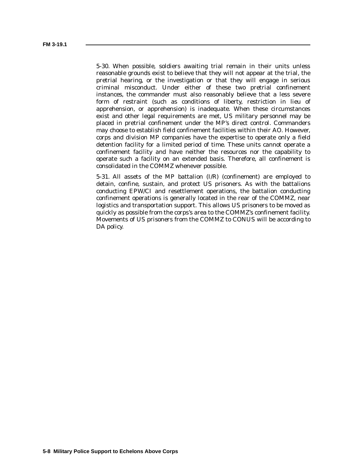5-30. When possible, soldiers awaiting trial remain in their units unless reasonable grounds exist to believe that they will not appear at the trial, the pretrial hearing, or the investigation or that they will engage in serious criminal misconduct. Under either of these two pretrial confinement instances, the commander must also reasonably believe that a less severe form of restraint (such as conditions of liberty, restriction in lieu of apprehension, or apprehension) is inadequate. When these circumstances exist and other legal requirements are met, US military personnel may be placed in pretrial confinement under the MP's direct control. Commanders may choose to establish field confinement facilities within their AO. However, corps and division MP companies have the expertise to operate only a field detention facility for a limited period of time. These units cannot operate a confinement facility and have neither the resources nor the capability to operate such a facility on an extended basis. Therefore, all confinement is consolidated in the COMMZ whenever possible.

5-31. All assets of the MP battalion (I/R) (confinement) are employed to detain, confine, sustain, and protect US prisoners. As with the battalions conducting EPW/CI and resettlement operations, the battalion conducting confinement operations is generally located in the rear of the COMMZ, near logistics and transportation support. This allows US prisoners to be moved as quickly as possible from the corps's area to the COMMZ's confinement facility. Movements of US prisoners from the COMMZ to CONUS will be according to DA policy.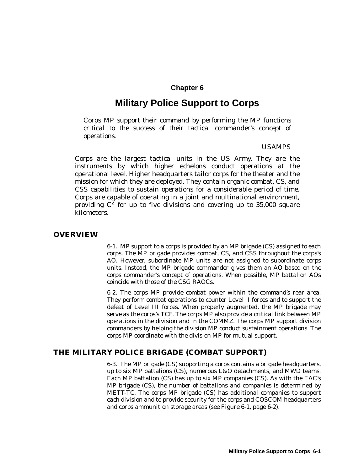# **Chapter 6**

# **Military Police Support to Corps**

*Corps MP support their command by performing the MP functions critical to the success of their tactical commander's concept of operations.*

## *USAMPS*

Corps are the largest tactical units in the US Army. They are the instruments by which higher echelons conduct operations at the operational level. Higher headquarters tailor corps for the theater and the mission for which they are deployed. They contain organic combat, CS, and CSS capabilities to sustain operations for a considerable period of time. Corps are capable of operating in a joint and multinational environment, providing  $C^2$  for up to five divisions and covering up to 35,000 square kilometers.

## **OVERVIEW**

6-1. MP support to a corps is provided by an MP brigade (CS) assigned to each corps. The MP brigade provides combat, CS, and CSS throughout the corps's AO. However, subordinate MP units are not assigned to subordinate corps units. Instead, the MP brigade commander gives them an AO based on the corps commander's concept of operations. When possible, MP battalion AOs coincide with those of the CSG RAOCs.

6-2. The corps MP provide combat power within the command's rear area. They perform combat operations to counter Level II forces and to support the defeat of Level III forces. When properly augmented, the MP brigade may serve as the corps's TCF. The corps MP also provide a critical link between MP operations in the division and in the COMMZ. The corps MP support division commanders by helping the division MP conduct sustainment operations. The corps MP coordinate with the division MP for mutual support.

## **THE MILITARY POLICE BRIGADE (COMBAT SUPPORT)**

6-3. The MP brigade (CS) supporting a corps contains a brigade headquarters, up to six MP battalions (CS), numerous L&O detachments, and MWD teams. Each MP battalion (CS) has up to six MP companies (CS). As with the EAC's MP brigade (CS), the number of battalions and companies is determined by METT-TC. The corps MP brigade (CS) has additional companies to support each division and to provide security for the corps and COSCOM headquarters and corps ammunition storage areas (see Figure 6-1, page 6-2).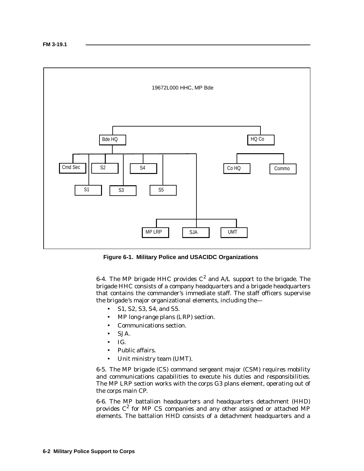

**Figure 6-1. Military Police and USACIDC Organizations**

6-4. The MP brigade HHC provides  $C^2$  and A/L support to the brigade. The brigade HHC consists of a company headquarters and a brigade headquarters that contains the commander's immediate staff. The staff officers supervise the brigade 's major organizational elements, including the—

- S1, S2, S3, S4, and S5.
- MP long-range plans (LRP) section.
- Communications section.
- SJA.
- IG.
- Public affairs.
- Unit ministry team (UMT).

6-5. The MP brigade (CS) command sergeant major (CSM) requires mobility and communications capabilities to execute his duties and responsibilities. The MP LRP section works with the corps G3 plans element, operating out of the corps main CP.

6-6. The MP battalion headquarters and headquarters detachment (HHD) provides  $C^2$  for MP CS companies and any other assigned or attached MP elements. The battalion HHD consists of a detachment headquarters and a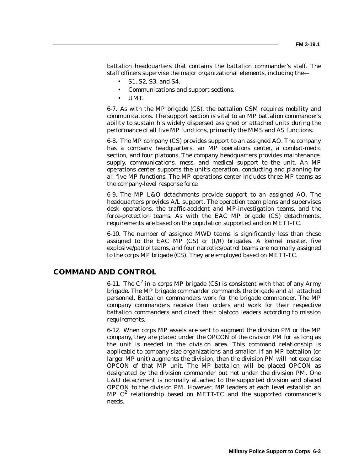battalion headquarters that contains the battalion commander's staff. The staff officers supervise the major organizational elements, including the—

- S1, S2, S3, and S4.
- Communications and support sections.
- UMT.

6-7. As with the MP brigade (CS), the battalion CSM requires mobility and communications. The support section is vital to an MP battalion commander's ability to sustain his widely dispersed assigned or attached units during the performance of all five MP functions, primarily the MMS and AS functions.

6-8. The MP company (CS) provides support to an assigned AO. The company has a company headquarters, an MP operations center, a combat-medic section, and four platoons. The company headquarters provides maintenance, supply, communications, mess, and medical support to the unit. An MP operations center supports the unit's operation, conducting and planning for all five MP functions. The MP operations center includes three MP teams as the company-level response force.

6-9. The MP L&O detachments provide support to an assigned AO. The headquarters provides A/L support. The operation team plans and supervises desk operations, the traffic-accident and MP-investigation teams, and the force-protection teams. As with the EAC MP brigade (CS) detachments, requirements are based on the population supported and on METT-TC.

6-10. The number of assigned MWD teams is significantly less than those assigned to the EAC MP (CS) or (I/R) brigades. A kennel master, five explosive/patrol teams, and four narcotics/patrol teams are normally assigned to the corps MP brigade (CS). They are employed based on METT-TC.

## **COMMAND AND CONTROL**

6-11. The  $C^2$  in a corps MP brigade (CS) is consistent with that of any Army brigade. The MP brigade commander commands the brigade and all attached personnel. Battalion commanders work for the brigade commander. The MP company commanders receive their orders and work for their respective battalion commanders and direct their platoon leaders according to mission requirements.

6-12. When corps MP assets are sent to augment the division PM or the MP company, they are placed under the OPCON of the division PM for as long as the unit is needed in the division area. This command relationship is applicable to company-size organizations and smaller. If an MP battalion (or larger MP unit) augments the division, then the division PM will not exercise OPCON of that MP unit. The MP battalion will be placed OPCON as designated by the division commander but not under the division PM. One L&O detachment is normally attached to the supported division and placed OPCON to the division PM. However, MP leaders at each level establish an MP  $C^2$  relationship based on METT-TC and the supported commander's needs.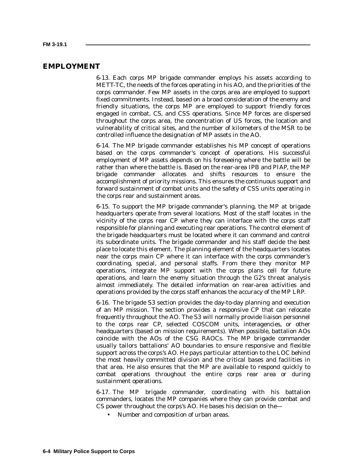## **EMPLOYMENT**

6-13. Each corps MP brigade commander employs his assets according to METT-TC, the needs of the forces operating in his AO, and the priorities of the corps commander. Few MP assets in the corps area are employed to support fixed commitments. Instead, based on a broad consideration of the enemy and friendly situations, the corps MP are employed to support friendly forces engaged in combat, CS, and CSS operations. Since MP forces are dispersed throughout the corps area, the concentration of US forces, the location and vulnerability of critical sites, and the number of kilometers of the MSR to be controlled influence the designation of MP assets in the AO.

6-14. The MP brigade commander establishes his MP concept of operations based on the corps commander's concept of operations. His successful employment of MP assets depends on his foreseeing where the battle will be rather than where the battle is. Based on the rear-area IPB and PIAP, the MP brigade commander allocates and shifts resources to ensure the accomplishment of priority missions. This ensures the continuous support and forward sustainment of combat units and the safety of CSS units operating in the corps rear and sustainment areas.

6-15. To support the MP brigade commander's planning, the MP at brigade headquarters operate from several locations. Most of the staff locates in the vicinity of the corps rear CP where they can interface with the corps staff responsible for planning and executing rear operations. The control element of the brigade headquarters must be located where it can command and control its subordinate units. The brigade commander and his staff decide the best place to locate this element. The planning element of the headquarters locates near the corps main CP where it can interface with the corps commander's coordinating, special, and personal staffs. From there they monitor MP operations, integrate MP support with the corps plans cell for future operations, and learn the enemy situation through the G2's threat analysis almost immediately. The detailed information on rear-area activities and operations provided by the corps staff enhances the accuracy of the MP LRP.

6-16. The brigade S3 section provides the day-to-day planning and execution of an MP mission. The section provides a responsive CP that can relocate frequently throughout the AO. The S3 will normally provide liaison personnel to the corps rear CP, selected COSCOM units, interagencies, or other headquarters (based on mission requirements). When possible, battalion AOs coincide with the AOs of the CSG RAOCs. The MP brigade commander usually tailors battalions' AO boundaries to ensure responsive and flexible support across the corps's AO. He pays particular attention to the LOC behind the most heavily committed division and the critical bases and facilities in that area. He also ensures that the MP are available to respond quickly to combat operations throughout the entire corps rear area or during sustainment operations.

6-17. The MP brigade commander, coordinating with his battalion commanders, locates the MP companies where they can provide combat and CS power throughout the corps's AO. He bases his decision on the—

• Number and composition of urban areas.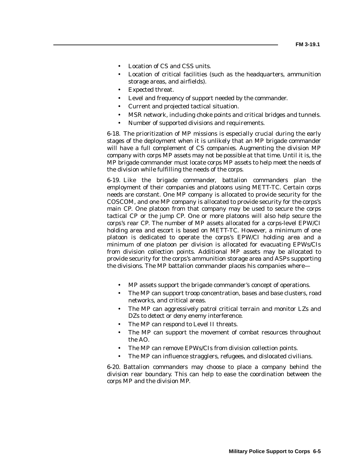- Location of CS and CSS units.
- Location of critical facilities (such as the headquarters, ammunition storage areas, and airfields).
- Expected threat.
- Level and frequency of support needed by the commander.
- Current and projected tactical situation.
- MSR network, including choke points and critical bridges and tunnels.
- Number of supported divisions and requirements.

6-18. The prioritization of MP missions is especially crucial during the early stages of the deployment when it is unlikely that an MP brigade commander will have a full complement of CS companies. Augmenting the division MP company with corps MP assets may not be possible at that time. Until it is, the MP brigade commander must locate corps MP assets to help meet the needs of the division while fulfilling the needs of the corps.

6-19. Like the brigade commander, battalion commanders plan the employment of their companies and platoons using METT-TC. Certain corps needs are constant. One MP company is allocated to provide security for the COSCOM, and one MP company is allocated to provide security for the corps's main CP. One platoon from that company may be used to secure the corps tactical CP or the jump CP. One or more platoons will also help secure the corps's rear CP. The number of MP assets allocated for a corps-level EPW/CI holding area and escort is based on METT-TC. However, a minimum of one platoon is dedicated to operate the corps's EPW/CI holding area and a minimum of one platoon per division is allocated for evacuating EPWs/CIs from division collection points. Additional MP assets may be allocated to provide security for the corps's ammunition storage area and ASPs supporting the divisions. The MP battalion commander places his companies where—

- MP assets support the brigade commander's concept of operations.
- The MP can support troop concentration, bases and base clusters, road networks, and critical areas.
- The MP can aggressively patrol critical terrain and monitor LZs and DZs to detect or deny enemy interference.
- The MP can respond to Level II threats.
- The MP can support the movement of combat resources throughout the AO.
- The MP can remove EPWs/CIs from division collection points.
- The MP can influence stragglers, refugees, and dislocated civilians.

6-20. Battalion commanders may choose to place a company behind the division rear boundary. This can help to ease the coordination between the corps MP and the division MP.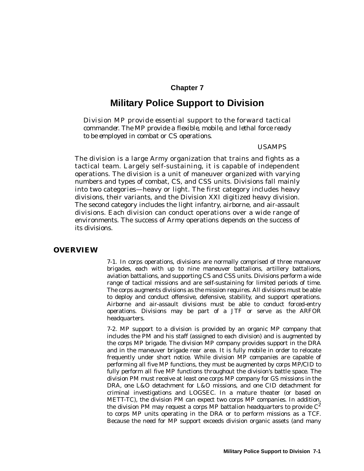# **Chapter 7**

# **Military Police Support to Division**

*Division MP provide essential support to the forward tactical commander. The MP provide a flexible, mobile, and lethal force ready to be employed in combat or CS operations.*

#### *USAMPS*

The division is a large Army organization that trains and fights as a tactical team. Largely self-sustaining, it is capable of independent operations. The division is a unit of maneuver organized with varying numbers and types of combat, CS, and CSS units. Divisions fall mainly into two categories—heavy or light. The first category includes heavy divisions, their variants, and the Division XXI digitized heavy division. The second category includes the light infantry, airborne, and air-assault divisions. Each division can conduct operations over a wide range of environments. The success of Army operations depends on the success of its divisions.

## **OVERVIEW**

7-1. In corps operations, divisions are normally comprised of three maneuver brigades, each with up to nine maneuver battalions, artillery battalions, aviation battalions, and supporting CS and CSS units. Divisions perform a wide range of tactical missions and are self-sustaining for limited periods of time. The corps augments divisions as the mission requires. All divisions must be able to deploy and conduct offensive, defensive, stability, and support operations. Airborne and air-assault divisions must be able to conduct forced-entry operations. Divisions may be part of a JTF or serve as the ARFOR headquarters.

7-2. MP support to a division is provided by an organic MP company that includes the PM and his staff (assigned to each division) and is augmented by the corps MP brigade. The division MP company provides support in the DRA and in the maneuver brigade rear area. It is fully mobile in order to relocate frequently under short notice. While division MP companies are capable of performing all five MP functions, they must be augmented by corps MP/CID to fully perform all five MP functions throughout the division's battle space. The division PM must receive at least one corps MP company for GS missions in the DRA, one L&O detachment for L&O missions, and one CID detachment for criminal investigations and LOGSEC. In a mature theater (or based on METT-TC), the division PM can expect two corps MP companies. In addition, the division PM may request a corps MP battalion headquarters to provide  $C^2$ to corps MP units operating in the DRA or to perform missions as a TCF. Because the need for MP support exceeds division organic assets (and many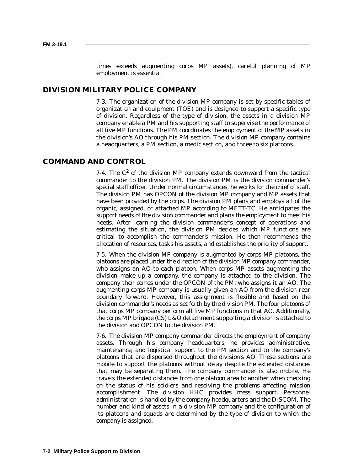times exceeds augmenting corps MP assets), careful planning of MP employment is essential.

## **DIVISION MILITARY POLICE COMPANY**

7-3. The organization of the division MP company is set by specific tables of organization and equipment (TOE) and is designed to support a specific type of division. Regardless of the type of division, the assets in a division MP company enable a PM and his supporting staff to supervise the performance of all five MP functions. The PM coordinates the employment of the MP assets in the division's AO through his PM section. The division MP company contains a headquarters, a PM section, a medic section, and three to six platoons.

# **COMMAND AND CONTROL**

7-4. The  $C^2$  of the division MP company extends downward from the tactical commander to the division PM. The division PM is the division commander's special staff officer. Under normal circumstances, he works for the chief of staff. The division PM has OPCON of the division MP company and MP assets that have been provided by the corps. The division PM plans and employs all of the organic, assigned, or attached MP according to METT-TC. He anticipates the support needs of the division commander and plans the employment to meet his needs. After learning the division commander's concept of operations and estimating the situation, the division PM decides which MP functions are critical to accomplish the commander's mission. He then recommends the allocation of resources, tasks his assets, and establishes the priority of support.

7-5. When the division MP company is augmented by corps MP platoons, the platoons are placed under the direction of the division MP company commander, who assigns an AO to each platoon. When corps MP assets augmenting the division make up a company, the company is attached to the division. The company then comes under the OPCON of the PM, who assigns it an AO. The augmenting corps MP company is usually given an AO from the division rear boundary forward. However, this assignment is flexible and based on the division commander's needs as set forth by the division PM. The four platoons of that corps MP company perform all five MP functions in that AO. Additionally, the corps MP brigade (CS) L&O detachment supporting a division is attached to the division and OPCON to the division PM.

7-6. The division MP company commander directs the employment of company assets. Through his company headquarters, he provides administrative, maintenance, and logistical support to the PM section and to the company's platoons that are dispersed throughout the division's AO. These sections are mobile to support the platoons without delay despite the extended distances that may be separating them. The company commander is also mobile. He travels the extended distances from one platoon area to another when checking on the status of his soldiers and resolving the problems affecting mission accomplishment. The division HHC provides mess support. Personnel administration is handled by the company headquarters and the DISCOM. The number and kind of assets in a division MP company and the configuration of its platoons and squads are determined by the type of division to which the company is assigned.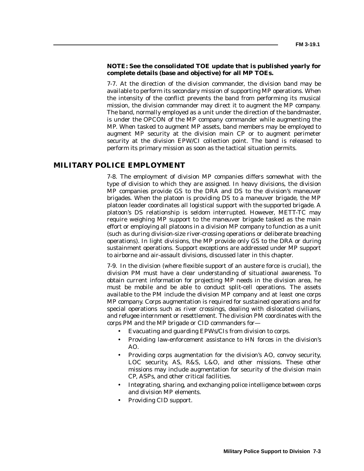## **NOTE: See the consolidated TOE update that is published yearly for complete details (base and objective) for all MP TOEs.**

7-7. At the direction of the division commander, the division band may be available to perform its secondary mission of supporting MP operations. When the intensity of the conflict prevents the band from performing its musical mission, the division commander may direct it to augment the MP company. The band, normally employed as a unit under the direction of the bandmaster, is under the OPCON of the MP company commander while augmenting the MP. When tasked to augment MP assets, band members may be employed to augment MP security at the division main CP or to augment perimeter security at the division EPW/CI collection point. The band is released to perform its primary mission as soon as the tactical situation permits.

## **MILITARY POLICE EMPLOYMENT**

7-8. The employment of division MP companies differs somewhat with the type of division to which they are assigned. In heavy divisions, the division MP companies provide GS to the DRA and DS to the division's maneuver brigades. When the platoon is providing DS to a maneuver brigade, the MP platoon leader coordinates all logistical support with the supported brigade. A platoon's DS relationship is seldom interrupted. However, METT-TC may require weighing MP support to the maneuver brigade tasked as the main effort or employing all platoons in a division MP company to function as a unit (such as during division-size river-crossing operations or deliberate breaching operations). In light divisions, the MP provide only GS to the DRA or during sustainment operations. Support exceptions are addressed under MP support to airborne and air-assault divisions, discussed later in this chapter.

7-9. In the division (where flexible support of an austere force is crucial), the division PM must have a clear understanding of situational awareness. To obtain current information for projecting MP needs in the division area, he must be mobile and be able to conduct split-cell operations. The assets available to the PM include the division MP company and at least one corps MP company. Corps augmentation is required for sustained operations and for special operations such as river crossings, dealing with dislocated civilians, and refugee internment or resettlement. The division PM coordinates with the corps PM and the MP brigade or CID commanders for—

- Evacuating and guarding EPWs/CIs from division to corps.
- Providing law-enforcement assistance to HN forces in the division's AO.
- Providing corps augmentation for the division's AO, convoy security, LOC security, AS, R&S, L&O, and other missions. These other missions may include augmentation for security of the division main CP, ASPs, and other critical facilities.
- Integrating, sharing, and exchanging police intelligence between corps and division MP elements.
- Providing CID support.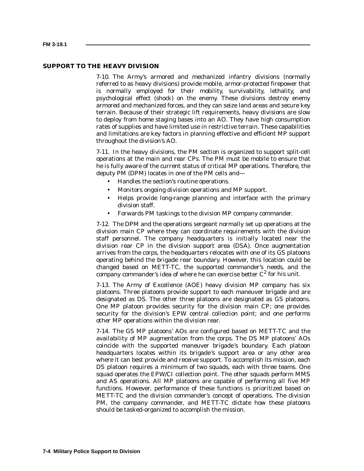#### **SUPPORT TO THE HEAVY DIVISION**

7-10. The Army's armored and mechanized infantry divisions (normally referred to as heavy divisions) provide mobile, armor-protected firepower that is normally employed for their mobility, survivability, lethality, and psychological effect (shock) on the enemy. These divisions destroy enemy armored and mechanized forces, and they can seize land areas and secure key terrain. Because of their strategic lift requirements, heavy divisions are slow to deploy from home staging bases into an AO. They have high consumption rates of supplies and have limited use in restrictive terrain. These capabilities and limitations are key factors in planning effective and efficient MP support throughout the division's AO.

7-11. In the heavy divisions, the PM section is organized to support split-cell operations at the main and rear CPs. The PM must be mobile to ensure that he is fully aware of the current status of critical MP operations. Therefore, the deputy PM (DPM) locates in one of the PM cells and—

- Handles the section's routine operations.
- Monitors ongoing division operations and MP support.
- Helps provide long-range planning and interface with the primary division staff.
- Forwards PM taskings to the division MP company commander.

7-12. The DPM and the operations sergeant normally set up operations at the division main CP where they can coordinate requirements with the division staff personnel. The company headquarters is initially located near the division rear CP in the division support area (DSA). Once augmentation arrives from the corps, the headquarters relocates with one of its GS platoons operating behind the brigade rear boundary. However, this location could be changed based on METT-TC, the supported commander's needs, and the company commander's idea of where he can exercise better  $C^2$  for his unit.

7-13. The Army of Excellence (AOE) heavy division MP company has six platoons. Three platoons provide support to each maneuver brigade and are designated as DS. The other three platoons are designated as GS platoons. One MP platoon provides security for the division main CP; one provides security for the division's EPW central collection point; and one performs other MP operations within the division rear.

7-14. The GS MP platoons' AOs are configured based on METT-TC and the availability of MP augmentation from the corps. The DS MP platoons' AOs coincide with the supported maneuver brigade 's boundary. Each platoon headquarters locates within its brigade 's support area or any other area where it can best provide and receive support. To accomplish its mission, each DS platoon requires a minimum of two squads, each with three teams. One squad operates the EPW/CI collection point. The other squads perform MMS and AS operations. All MP platoons are capable of performing all five MP functions. However, performance of these functions is prioritized based on METT-TC and the division commander's concept of operations. The division PM, the company commander, and METT-TC dictate how these platoons should be tasked-organized to accomplish the mission.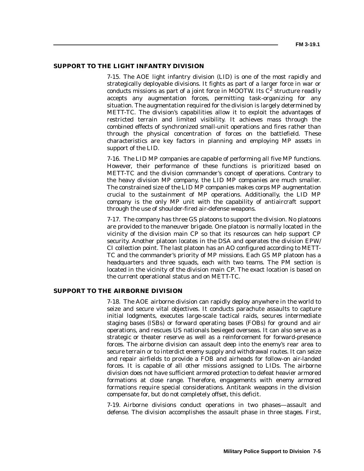#### **SUPPORT TO THE LIGHT INFANTRY DIVISION**

7-15. The AOE light infantry division (LID) is one of the most rapidly and strategically deployable divisions. It fights as part of a larger force in war or conducts missions as part of a joint force in MOOTW. Its  $C^2$  structure readily accepts any augmentation forces, permitting task-organizing for any situation. The augmentation required for the division is largely determined by METT-TC. The division's capabilities allow it to exploit the advantages of restricted terrain and limited visibility. It achieves mass through the combined effects of synchronized small-unit operations and fires rather than through the physical concentration of forces on the battlefield. These characteristics are key factors in planning and employing MP assets in support of the LID.

7-16. The LID MP companies are capable of performing all five MP functions. However, their performance of these functions is prioritized based on METT-TC and the division commander's concept of operations. Contrary to the heavy division MP company, the LID MP companies are much smaller. The constrained size of the LID MP companies makes corps MP augmentation crucial to the sustainment of MP operations. Additionally, the LID MP company is the only MP unit with the capability of antiaircraft support through the use of shoulder-fired air-defense weapons.

7-17. The company has three GS platoons to support the division. No platoons are provided to the maneuver brigade. One platoon is normally located in the vicinity of the division main CP so that its resources can help support CP security. Another platoon locates in the DSA and operates the division EPW/ CI collection point. The last platoon has an AO configured according to METT-TC and the commander's priority of MP missions. Each GS MP platoon has a headquarters and three squads, each with two teams. The PM section is located in the vicinity of the division main CP. The exact location is based on the current operational status and on METT-TC.

## **SUPPORT TO THE AIRBORNE DIVISION**

7-18. The AOE airborne division can rapidly deploy anywhere in the world to seize and secure vital objectives. It conducts parachute assaults to capture initial lodgments, executes large-scale tactical raids, secures intermediate staging bases (ISBs) or forward operating bases (FOBs) for ground and air operations, and rescues US nationals besieged overseas. It can also serve as a strategic or theater reserve as well as a reinforcement for forward-presence forces. The airborne division can assault deep into the enemy's rear area to secure terrain or to interdict enemy supply and withdrawal routes. It can seize and repair airfields to provide a FOB and airheads for follow-on air-landed forces. It is capable of all other missions assigned to LIDs. The airborne division does not have sufficient armored protection to defeat heavier armored formations at close range. Therefore, engagements with enemy armored formations require special considerations. Antitank weapons in the division compensate for, but do not completely offset, this deficit.

7-19. Airborne divisions conduct operations in two phases—assault and defense. The division accomplishes the assault phase in three stages. First,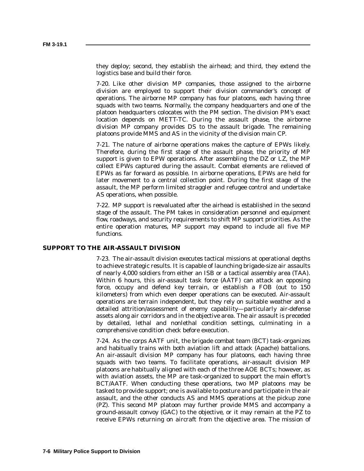they deploy; second, they establish the airhead; and third, they extend the logistics base and build their force.

7-20. Like other division MP companies, those assigned to the airborne division are employed to support their division commander's concept of operations. The airborne MP company has four platoons, each having three squads with two teams. Normally, the company headquarters and one of the platoon headquarters colocates with the PM section. The division PM's exact location depends on METT-TC. During the assault phase, the airborne division MP company provides DS to the assault brigade. The remaining platoons provide MMS and AS in the vicinity of the division main CP.

7-21. The nature of airborne operations makes the capture of EPWs likely. Therefore, during the first stage of the assault phase, the priority of MP support is given to EPW operations. After assembling the DZ or LZ, the MP collect EPWs captured during the assault. Combat elements are relieved of EPWs as far forward as possible. In airborne operations, EPWs are held for later movement to a central collection point. During the first stage of the assault, the MP perform limited straggler and refugee control and undertake AS operations, when possible.

7-22. MP support is reevaluated after the airhead is established in the second stage of the assault. The PM takes in consideration personnel and equipment flow, roadways, and security requirements to shift MP support priorities. As the entire operation matures, MP support may expand to include all five MP functions.

#### **SUPPORT TO THE AIR-ASSAULT DIVISION**

7-23. The air-assault division executes tactical missions at operational depths to achieve strategic results. It is capable of launching brigade-size air assaults of nearly 4,000 soldiers from either an ISB or a tactical assembly area (TAA). Within 6 hours, this air-assault task force (AATF) can attack an opposing force, occupy and defend key terrain, or establish a FOB (out to 150 kilometers) from which even deeper operations can be executed. Air-assault operations are terrain independent, but they rely on suitable weather and a detailed attrition/assessment of enemy capability—particularly air-defense assets along air corridors and in the objective area. The air assault is preceded by detailed, lethal and nonlethal condition settings, culminating in a comprehensive condition check before execution.

7-24. As the corps AATF unit, the brigade combat team (BCT) task-organizes and habitually trains with both aviation lift and attack (Apache) battalions. An air-assault division MP company has four platoons, each having three squads with two teams. To facilitate operations, air-assault division MP platoons are habitually aligned with each of the three AOE BCTs; however, as with aviation assets, the MP are task-organized to support the main effort's BCT/AATF. When conducting these operations, two MP platoons may be tasked to provide support; one is available to posture and participate in the air assault, and the other conducts AS and MMS operations at the pickup zone (PZ). This second MP platoon may further provide MMS and accompany a ground-assault convoy (GAC) to the objective, or it may remain at the PZ to receive EPWs returning on aircraft from the objective area. The mission of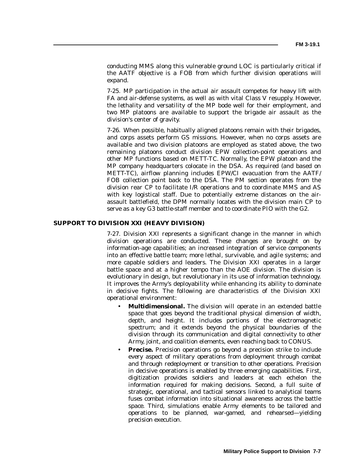conducting MMS along this vulnerable ground LOC is particularly critical if the AATF objective is a FOB from which further division operations will expand.

7-25. MP participation in the actual air assault competes for heavy lift with FA and air-defense systems, as well as with vital Class V resupply. However, the lethality and versatility of the MP bode well for their employment, and two MP platoons are available to support the brigade air assault as the division's center of gravity.

7-26. When possible, habitually aligned platoons remain with their brigades, and corps assets perform GS missions. However, when no corps assets are available and two division platoons are employed as stated above, the two remaining platoons conduct division EPW collection-point operations and other MP functions based on METT-TC. Normally, the EPW platoon and the MP company headquarters colocate in the DSA. As required (and based on METT-TC), airflow planning includes EPW/CI evacuation from the AATF/ FOB collection point back to the DSA. The PM section operates from the division rear CP to facilitate I/R operations and to coordinate MMS and AS with key logistical staff. Due to potentially extreme distances on the airassault battlefield, the DPM normally locates with the division main CP to serve as a key G3 battle-staff member and to coordinate PIO with the G2.

### **SUPPORT TO DIVISION XXI (HEAVY DIVISION)**

7-27. Division XXI represents a significant change in the manner in which division operations are conducted. These changes are brought on by information-age capabilities; an increased integration of service components into an effective battle team; more lethal, survivable, and agile systems; and more capable soldiers and leaders. The Division XXI operates in a larger battle space and at a higher tempo than the AOE division. The division is evolutionary in design, but revolutionary in its use of information technology. It improves the Army's deployability while enhancing its ability to dominate in decisive fights. The following are characteristics of the Division XXI operational environment:

- **Multidimensional.** The division will operate in an extended battle space that goes beyond the traditional physical dimension of width, depth, and height. It includes portions of the electromagnetic spectrum; and it extends beyond the physical boundaries of the division through its communication and digital connectivity to other Army, joint, and coalition elements, even reaching back to CONUS.
- **Precise.** Precision operations go beyond a precision strike to include every aspect of military operations from deployment through combat and through redeployment or transition to other operations. Precision in decisive operations is enabled by three emerging capabilities. First, digitization provides soldiers and leaders at each echelon the information required for making decisions. Second, a full suite of strategic, operational, and tactical sensors linked to analytical teams fuses combat information into situational awareness across the battle space. Third, simulations enable Army elements to be tailored and operations to be planned, war-gamed, and rehearsed—yielding precision execution.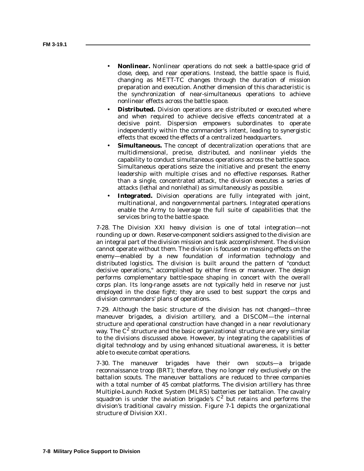- **Nonlinear.** Nonlinear operations do not seek a battle-space grid of close, deep, and rear operations. Instead, the battle space is fluid, changing as METT-TC changes through the duration of mission preparation and execution. Another dimension of this characteristic is the synchronization of near-simultaneous operations to achieve nonlinear effects across the battle space.
- **Distributed.** Division operations are distributed or executed where and when required to achieve decisive effects concentrated at a decisive point. Dispersion empowers subordinates to operate independently within the commander's intent, leading to synergistic effects that exceed the effects of a centralized headquarters.
- **Simultaneous.** The concept of decentralization operations that are multidimensional, precise, distributed, and nonlinear yields the capability to conduct simultaneous operations across the battle space. Simultaneous operations seize the initiative and present the enemy leadership with multiple crises and no effective responses. Rather than a single, concentrated attack, the division executes a series of attacks (lethal and nonlethal) as simultaneously as possible.
- **Integrated.** Division operations are fully integrated with joint, multinational, and nongovernmental partners. Integrated operations enable the Army to leverage the full suite of capabilities that the services bring to the battle space.

7-28. The Division XXI heavy division is one of total integration—not rounding up or down. Reserve-component soldiers assigned to the division are an integral part of the division mission and task accomplishment. The division cannot operate without them. The division is focused on massing effects on the enemy—enabled by a new foundation of information technology and distributed logistics. The division is built around the pattern of "conduct decisive operations," accomplished by either fires or maneuver. The design performs complementary battle-space shaping in concert with the overall corps plan. Its long-range assets are not typically held in reserve nor just employed in the close fight; they are used to best support the corps and division commanders' plans of operations.

7-29. Although the basic structure of the division has not changed—three maneuver brigades, a division artillery, and a DISCOM—the internal structure and operational construction have changed in a near revolutionary way. The  $C^2$  structure and the basic organizational structure are very similar to the divisions discussed above. However, by integrating the capabilities of digital technology and by using enhanced situational awareness, it is better able to execute combat operations.

7-30. The maneuver brigades have their own scouts—a brigade reconnaissance troop (BRT); therefore, they no longer rely exclusively on the battalion scouts. The maneuver battalions are reduced to three companies with a total number of 45 combat platforms. The division artillery has three Multiple-Launch Rocket System (MLRS) batteries per battalion. The cavalry squadron is under the aviation brigade's  $C^2$  but retains and performs the division's traditional cavalry mission. Figure 7-1 depicts the organizational structure of Division XXI.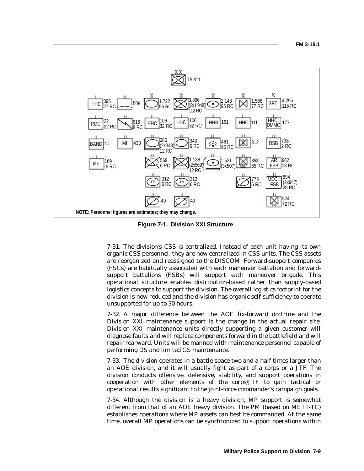

**Figure 7-1. Division XXI Structure**

7-31. The division's CSS is centralized. Instead of each unit having its own organic CSS personnel, they are now centralized in CSS units. The CSS assets are reorganized and reassigned to the DISCOM. Forward-support companies (FSCs) are habitually associated with each maneuver battalion and forwardsupport battalions (FSBs) will support each maneuver brigade. This operational structure enables distribution-based rather than supply-based logistics concepts to support the division. The overall logistics footprint for the division is now reduced and the division has organic self-sufficiency to operate unsupported for up to 30 hours.

7-32. A major difference between the AOE fix-forward doctrine and the Division XXI maintenance support is the change in the actual repair site. Division XXI maintenance units directly supporting a given customer will diagnose faults and will replace components forward in the battlefield and will repair rearward. Units will be manned with maintenance personnel capable of performing DS and limited GS maintenance.

7-33. The division operates in a battle space two and a half times larger than an AOE division, and it will usually fight as part of a corps or a JTF. The division conducts offensive, defensive, stability, and support operations in cooperation with other elements of the corps/JTF to gain tactical or operational results significant to the joint-force commander's campaign goals.

7-34. Although the division is a heavy division, MP support is somewhat different from that of an AOE heavy division. The PM (based on METT-TC) establishes operations where MP assets can best be commanded. At the same time, overall MP operations can be synchronized to support operations within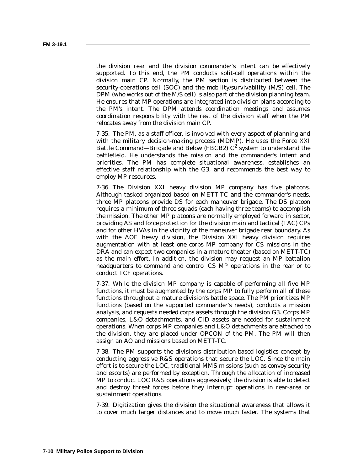the division rear and the division commander's intent can be effectively supported. To this end, the PM conducts split-cell operations within the division main CP. Normally, the PM section is distributed between the security-operations cell (SOC) and the mobility/survivability (M/S) cell. The DPM (who works out of the M/S cell) is also part of the division planning team. He ensures that MP operations are integrated into division plans according to the PM's intent. The DPM attends coordination meetings and assumes coordination responsibility with the rest of the division staff when the PM relocates away from the division main CP.

7-35. The PM, as a staff officer, is involved with every aspect of planning and with the military decision-making process (MDMP). He uses the Force XXI Battle Command—Brigade and Below (FBCB2)  $C^2$  system to understand the battlefield. He understands the mission and the commander's intent and priorities. The PM has complete situational awareness, establishes an effective staff relationship with the G3, and recommends the best way to employ MP resources.

7-36. The Division XXI heavy division MP company has five platoons. Although tasked-organized based on METT-TC and the commander's needs, three MP platoons provide DS for each maneuver brigade. The DS platoon requires a minimum of three squads (each having three teams) to accomplish the mission. The other MP platoons are normally employed forward in sector, providing AS and force protection for the division main and tactical (TAC) CPs and for other HVAs in the vicinity of the maneuver brigade rear boundary. As with the AOE heavy division, the Division XXI heavy division requires augmentation with at least one corps MP company for CS missions in the DRA and can expect two companies in a mature theater (based on METT-TC) as the main effort. In addition, the division may request an MP battalion headquarters to command and control CS MP operations in the rear or to conduct TCF operations.

7-37. While the division MP company is capable of performing all five MP functions, it must be augmented by the corps MP to fully perform all of these functions throughout a mature division's battle space. The PM prioritizes MP functions (based on the supported commander's needs), conducts a mission analysis, and requests needed corps assets through the division G3. Corps MP companies, L&O detachments, and CID assets are needed for sustainment operations. When corps MP companies and L&O detachments are attached to the division, they are placed under OPCON of the PM. The PM will then assign an AO and missions based on METT-TC.

7-38. The PM supports the division's distribution-based logistics concept by conducting aggressive R&S operations that secure the LOC. Since the main effort is to secure the LOC, traditional MMS missions (such as convoy security and escorts) are performed by exception. Through the allocation of increased MP to conduct LOC R&S operations aggressively, the division is able to detect and destroy threat forces before they interrupt operations in rear-area or sustainment operations.

7-39. Digitization gives the division the situational awareness that allows it to cover much larger distances and to move much faster. The systems that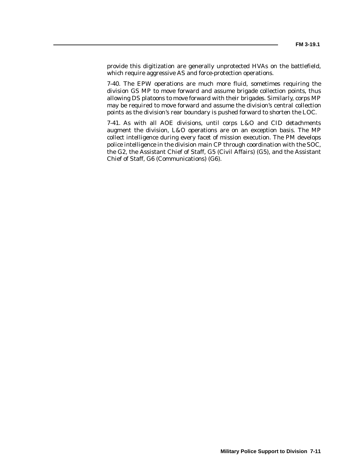provide this digitization are generally unprotected HVAs on the battlefield, which require aggressive AS and force-protection operations.

7-40. The EPW operations are much more fluid, sometimes requiring the division GS MP to move forward and assume brigade collection points, thus allowing DS platoons to move forward with their brigades. Similarly, corps MP may be required to move forward and assume the division's central collection points as the division's rear boundary is pushed forward to shorten the LOC.

7-41. As with all AOE divisions, until corps L&O and CID detachments augment the division, L&O operations are on an exception basis. The MP collect intelligence during every facet of mission execution. The PM develops police intelligence in the division main CP through coordination with the SOC, the G2, the Assistant Chief of Staff, G5 (Civil Affairs) (G5), and the Assistant Chief of Staff, G6 (Communications) (G6).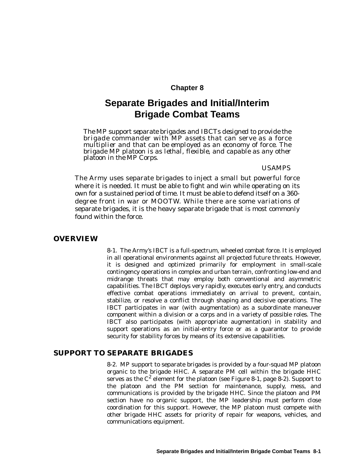# **Chapter 8**

# **Separate Brigades and Initial/Interim Brigade Combat Teams**

*The MP support separate brigades and IBCTs designed to provide the brigade commander with MP assets that can serve as a force multiplier and that can be employed as an economy of force. The brigade MP platoon is as lethal, flexible, and capable as any other platoon in the MP Corps.*

#### *USAMPS*

The Army uses separate brigades to inject a small but powerful force where it is needed. It must be able to fight and win while operating on its own for a sustained period of time. It must be able to defend itself on a 360 degree front in war or MOOTW. While there are some variations of separate brigades, it is the heavy separate brigade that is most commonly found within the force.

## **OVERVIEW**

8-1. The Army's IBCT is a full-spectrum, wheeled combat force. It is employed in all operational environments against all projected future threats. However, it is designed and optimized primarily for employment in small-scale contingency operations in complex and urban terrain, confronting low-end and midrange threats that may employ both conventional and asymmetric capabilities. The IBCT deploys very rapidly, executes early entry, and conducts effective combat operations immediately on arrival to prevent, contain, stabilize, or resolve a conflict through shaping and decisive operations. The IBCT participates in war (with augmentation) as a subordinate maneuver component within a division or a corps and in a variety of possible roles. The IBCT also participates (with appropriate augmentation) in stability and support operations as an initial-entry force or as a guarantor to provide security for stability forces by means of its extensive capabilities.

# **SUPPORT TO SEPARATE BRIGADES**

8-2. MP support to separate brigades is provided by a four-squad MP platoon organic to the brigade HHC. A separate PM cell within the brigade HHC serves as the  $C^2$  element for the platoon (see Figure 8-1, page 8-2). Support to the platoon and the PM section for maintenance, supply, mess, and communications is provided by the brigade HHC. Since the platoon and PM section have no organic support, the MP leadership must perform close coordination for this support. However, the MP platoon must compete with other brigade HHC assets for priority of repair for weapons, vehicles, and communications equipment.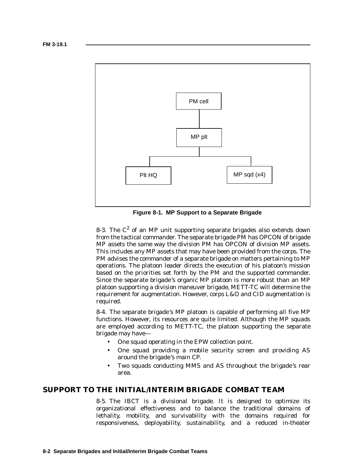

**Figure 8-1. MP Support to a Separate Brigade**

8-3. The  $C^2$  of an MP unit supporting separate brigades also extends down from the tactical commander. The separate brigade PM has OPCON of brigade MP assets the same way the division PM has OPCON of division MP assets. This includes any MP assets that may have been provided from the corps. The PM advises the commander of a separate brigade on matters pertaining to MP operations. The platoon leader directs the execution of his platoon's mission based on the priorities set forth by the PM and the supported commander. Since the separate brigade 's organic MP platoon is more robust than an MP platoon supporting a division maneuver brigade, METT-TC will determine the requirement for augmentation. However, corps L&O and CID augmentation is required.

8-4. The separate brigade 's MP platoon is capable of performing all five MP functions. However, its resources are quite limited. Although the MP squads are employed according to METT-TC, the platoon supporting the separate brigade may have—

- One squad operating in the EPW collection point.
- One squad providing a mobile security screen and providing AS around the brigade 's main CP.
- Two squads conducting MMS and AS throughout the brigade 's rear area.

# **SUPPORT TO THE INITIAL/INTERIM BRIGADE COMBAT TEAM**

8-5. The IBCT is a divisional brigade. It is designed to optimize its organizational effectiveness and to balance the traditional domains of lethality, mobility, and survivability with the domains required for responsiveness, deployability, sustainability, and a reduced in-theater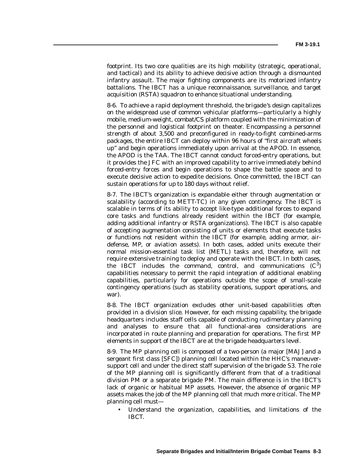footprint. Its two core qualities are its high mobility (strategic, operational, and tactical) and its ability to achieve decisive action through a dismounted infantry assault. The major fighting components are its motorized infantry battalions. The IBCT has a unique reconnaissance, surveillance, and target acquisition (RSTA) squadron to enhance situational understanding.

8-6. To achieve a rapid deployment threshold, the brigade 's design capitalizes on the widespread use of common vehicular platforms—particularly a highly mobile, medium-weight, combat/CS platform coupled with the minimization of the personnel and logistical footprint on theater. Encompassing a personnel strength of about 3,500 and preconfigured in ready-to-fight combined-arms packages, the entire IBCT can deploy within 96 hours of "first aircraft wheels up" and begin operations immediately upon arrival at the APOD. In essence, the APOD is the TAA. The IBCT cannot conduct forced-entry operations, but it provides the JFC with an improved capability to arrive immediately behind forced-entry forces and begin operations to shape the battle space and to execute decisive action to expedite decisions. Once committed, the IBCT can sustain operations for up to 180 days without relief.

8-7. The IBCT's organization is expandable either through augmentation or scalability (according to METT-TC) in any given contingency. The IBCT is scalable in terms of its ability to accept like-type additional forces to expand core tasks and functions already resident within the IBCT (for example, adding additional infantry or RSTA organizations). The IBCT is also capable of accepting augmentation consisting of units or elements that execute tasks or functions not resident within the IBCT (for example, adding armor, airdefense, MP, or aviation assets). In both cases, added units execute their normal mission-essential task list (METL) tasks and, therefore, will not require extensive training to deploy and operate with the IBCT. In both cases, the IBCT includes the command, control, and communications  $(C<sup>3</sup>)$ capabilities necessary to permit the rapid integration of additional enabling capabilities, particularly for operations outside the scope of small-scale contingency operations (such as stability operations, support operations, and war).

8-8. The IBCT organization excludes other unit-based capabilities often provided in a division slice. However, for each missing capability, the brigade headquarters includes staff cells capable of conducting rudimentary planning and analyses to ensure that all functional-area considerations are incorporated in route planning and preparation for operations. The first MP elements in support of the IBCT are at the brigade headquarters level.

8-9. The MP planning cell is composed of a two-person (a major [MAJ] and a sergeant first class [SFC]) planning cell located within the HHC's maneuversupport cell and under the direct staff supervision of the brigade S3. The role of the MP planning cell is significantly different from that of a traditional division PM or a separate brigade PM. The main difference is in the IBCT's lack of organic or habitual MP assets. However, the absence of organic MP assets makes the job of the MP planning cell that much more critical. The MP planning cell must—

• Understand the organization, capabilities, and limitations of the IBCT.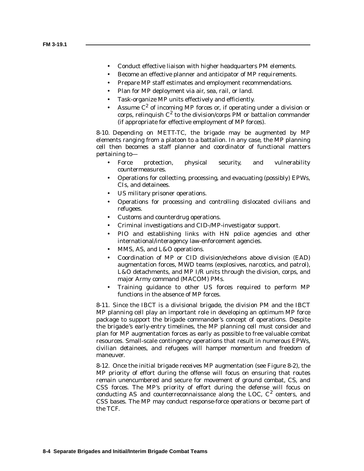- Conduct effective liaison with higher headquarters PM elements.
- Become an effective planner and anticipator of MP requirements.
- Prepare MP staff estimates and employment recommendations.
- Plan for MP deployment via air, sea, rail, or land.
- Task-organize MP units effectively and efficiently.
- Assume  $C^2$  of incoming MP forces or, if operating under a division or corps, relinguish  $C^2$  to the division/corps PM or battalion commander (if appropriate for effective employment of MP forces).

8-10. Depending on METT-TC, the brigade may be augmented by MP elements ranging from a platoon to a battalion. In any case, the MP planning cell then becomes a staff planner and coordinator of functional matters pertaining to—

- Force protection, physical security, and vulnerability countermeasures.
- Operations for collecting, processing, and evacuating (possibly) EPWs, CIs, and detainees.
- US military prisoner operations.
- Operations for processing and controlling dislocated civilians and refugees.
- Customs and counterdrug operations.
- Criminal investigations and CID-/MP-investigator support.
- PIO and establishing links with HN police agencies and other international/interagency law-enforcement agencies.
- MMS, AS, and L&O operations.
- Coordination of MP or CID division/echelons above division (EAD) augmentation forces, MWD teams (explosives, narcotics, and patrol), L&O detachments, and MP I/R units through the division, corps, and major Army command (MACOM) PMs.
- Training guidance to other US forces required to perform MP functions in the absence of MP forces.

8-11. Since the IBCT is a divisional brigade, the division PM and the IBCT MP planning cell play an important role in developing an optimum MP force package to support the brigade commander's concept of operations. Despite the brigade 's early-entry timelines, the MP planning cell must consider and plan for MP augmentation forces as early as possible to free valuable combat resources. Small-scale contingency operations that result in numerous EPWs, civilian detainees, and refugees will hamper momentum and freedom of maneuver.

8-12. Once the initial brigade receives MP augmentation (see Figure 8-2), the MP priority of effort during the offense will focus on ensuring that routes remain unencumbered and secure for movement of ground combat, CS, and CSS forces. The MP's priority of effort during the defense will focus on conducting AS and counterreconnaissance along the LOC,  $C^2$  centers, and CSS bases. The MP may conduct response-force operations or become part of the TCF.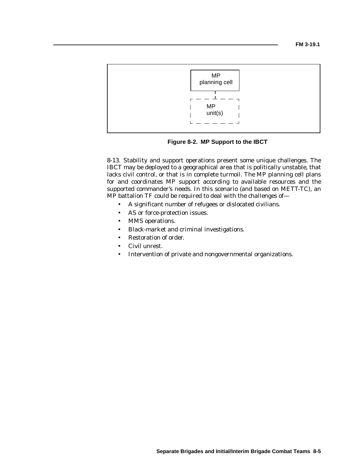

**Figure 8-2. MP Support to the IBCT**

8-13. Stability and support operations present some unique challenges. The IBCT may be deployed to a geographical area that is politically unstable, that lacks civil control, or that is in complete turmoil. The MP planning cell plans for and coordinates MP support according to available resources and the supported commander's needs. In this scenario (and based on METT-TC), an MP battalion TF could be required to deal with the challenges of—

- A significant number of refugees or dislocated civilians.
- AS or force-protection issues.
- MMS operations.
- Black-market and criminal investigations.
- Restoration of order.
- Civil unrest.
- Intervention of private and nongovernmental organizations.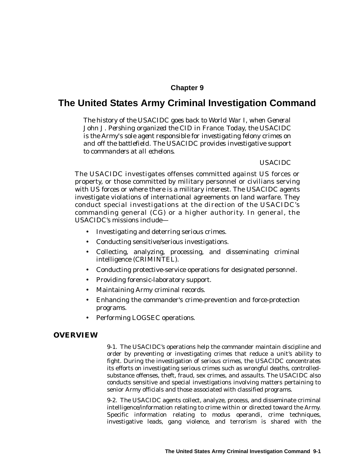# **Chapter 9**

# **The United States Army Criminal Investigation Command**

*The history of the USACIDC goes back to World War I, when General John J. Pershing organized the CID in France. Today, the USACIDC is the Army's sole agent responsible for investigating felony crimes on and off the battlefield. The USACIDC provides investigative support to commanders at all echelons.*

### *USACIDC*

The USACIDC investigates offenses committed against US forces or property, or those committed by military personnel or civilians serving with US forces or where there is a military interest. The USACIDC agents investigate violations of international agreements on land warfare. They conduct special investigations at the direction of the USACIDC's commanding general  $(CG)$  or a higher authority. In general, the USACIDC's missions include—

- Investigating and deterring serious crimes.
- Conducting sensitive/serious investigations.
- Collecting, analyzing, processing, and disseminating criminal intelligence (CRIMINTEL).
- Conducting protective-service operations for designated personnel.
- Providing forensic-laboratory support.
- Maintaining Army criminal records.
- Enhancing the commander's crime-prevention and force-protection programs.
- Performing LOGSEC operations.

## **OVERVIEW**

9-1. The USACIDC's operations help the commander maintain discipline and order by preventing or investigating crimes that reduce a unit's ability to fight. During the investigation of serious crimes, the USACIDC concentrates its efforts on investigating serious crimes such as wrongful deaths, controlledsubstance offenses, theft, fraud, sex crimes, and assaults. The USACIDC also conducts sensitive and special investigations involving matters pertaining to senior Army officials and those associated with classified programs.

9-2. The USACIDC agents collect, analyze, process, and disseminate criminal intelligence/information relating to crime within or directed toward the Army. Specific information relating to modus operandi, crime techniques, investigative leads, gang violence, and terrorism is shared with the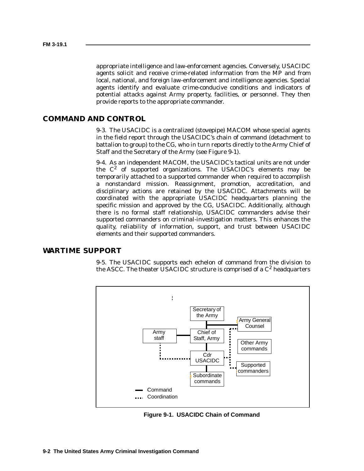appropriate intelligence and law-enforcement agencies. Conversely, USACIDC agents solicit and receive crime-related information from the MP and from local, national, and foreign law-enforcement and intelligence agencies. Special agents identify and evaluate crime-conducive conditions and indicators of potential attacks against Army property, facilities, or personnel. They then provide reports to the appropriate commander.

# **COMMAND AND CONTROL**

9-3. The USACIDC is a centralized (stovepipe) MACOM whose special agents in the field report through the USACIDC's chain of command (detachment to battalion to group) to the CG, who in turn reports directly to the Army Chief of Staff and the Secretary of the Army (see Figure 9-1).

9-4. As an independent MACOM, the USACIDC's tactical units are not under the  $C^2$  of supported organizations. The USACIDC's elements may be temporarily attached to a supported commander when required to accomplish a nonstandard mission. Reassignment, promotion, accreditation, and disciplinary actions are retained by the USACIDC. Attachments will be coordinated with the appropriate USACIDC headquarters planning the specific mission and approved by the CG, USACIDC. Additionally, although there is no formal staff relationship, USACIDC commanders advise their supported commanders on criminal-investigation matters. This enhances the quality, reliability of information, support, and trust between USACIDC elements and their supported commanders.

## **WARTIME SUPPORT**

9-5. The USACIDC supports each echelon of command from the division to the ASCC. The theater USACIDC structure is comprised of a  $C^2$  headquarters



**Figure 9-1. USACIDC Chain of Command**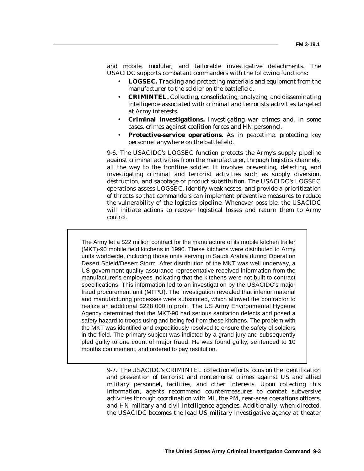and mobile, modular, and tailorable investigative detachments. The USACIDC supports combatant commanders with the following functions:

- **LOGSEC.** Tracking and protecting materials and equipment from the manufacturer to the soldier on the battlefield.
- **CRIMINTEL.** Collecting, consolidating, analyzing, and disseminating intelligence associated with criminal and terrorists activities targeted at Army interests.
- **Criminal investigations.** Investigating war crimes and, in some cases, crimes against coalition forces and HN personnel.
- **Protective-service operations.** As in peacetime, protecting key personnel anywhere on the battlefield.

9-6. The USACIDC's LOGSEC function protects the Army's supply pipeline against criminal activities from the manufacturer, through logistics channels, all the way to the frontline soldier. It involves preventing, detecting, and investigating criminal and terrorist activities such as supply diversion, destruction, and sabotage or product substitution. The USACIDC's LOGSEC operations assess LOGSEC, identify weaknesses, and provide a prioritization of threats so that commanders can implement preventive measures to reduce the vulnerability of the logistics pipeline. Whenever possible, the USACIDC will initiate actions to recover logistical losses and return them to Army control.

The Army let a \$22 million contract for the manufacture of its mobile kitchen trailer (MKT)-90 mobile field kitchens in 1990. These kitchens were distributed to Army units worldwide, including those units serving in Saudi Arabia during Operation Desert Shield/Desert Storm. After distribution of the MKT was well underway, a US government quality-assurance representative received information from the manufacturer's employees indicating that the kitchens were not built to contract specifications. This information led to an investigation by the USACIDC's major fraud procurement unit (MFPU). The investigation revealed that inferior material and manufacturing processes were substituted, which allowed the contractor to realize an additional \$228,000 in profit. The US Army Environmental Hygiene Agency determined that the MKT-90 had serious sanitation defects and posed a safety hazard to troops using and being fed from these kitchens. The problem with the MKT was identified and expeditiously resolved to ensure the safety of soldiers in the field. The primary subject was indicted by a grand jury and subsequently pled guilty to one count of major fraud. He was found guilty, sentenced to 10 months confinement, and ordered to pay restitution.

> 9-7. The USACIDC's CRIMINTEL collection efforts focus on the identification and prevention of terrorist and nonterrorist crimes against US and allied military personnel, facilities, and other interests. Upon collecting this information, agents recommend countermeasures to combat subversive activities through coordination with MI, the PM, rear-area operations officers, and HN military and civil intelligence agencies. Additionally, when directed, the USACIDC becomes the lead US military investigative agency at theater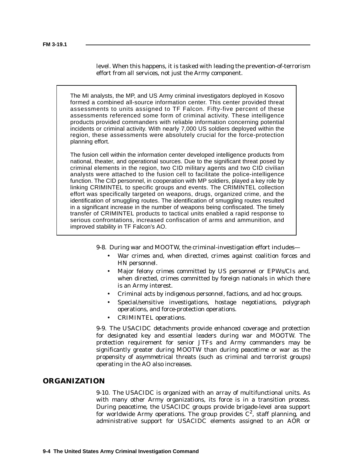level. When this happens, it is tasked with leading the prevention-of-terrorism effort from all services, not just the Army component.

The MI analysts, the MP, and US Army criminal investigators deployed in Kosovo formed a combined all-source information center. This center provided threat assessments to units assigned to TF Falcon. Fifty-five percent of these assessments referenced some form of criminal activity. These intelligence products provided commanders with reliable information concerning potential incidents or criminal activity. With nearly 7,000 US soldiers deployed within the region, these assessments were absolutely crucial for the force-protection planning effort.

The fusion cell within the information center developed intelligence products from national, theater, and operational sources. Due to the significant threat posed by criminal elements in the region, two CID military agents and two CID civilian analysts were attached to the fusion cell to facilitate the police-intelligence function. The CID personnel, in cooperation with MP soldiers, played a key role by linking CRIMINTEL to specific groups and events. The CRIMINTEL collection effort was specifically targeted on weapons, drugs, organized crime, and the identification of smuggling routes. The identification of smuggling routes resulted in a significant increase in the number of weapons being confiscated. The timely transfer of CRIMINTEL products to tactical units enabled a rapid response to serious confrontations, increased confiscation of arms and ammunition, and improved stability in TF Falcon's AO.

- 9-8. During war and MOOTW, the criminal-investigation effort includes—
	- War crimes and, when directed, crimes against coalition forces and HN personnel.
	- Major felony crimes committed by US personnel or EPWs/CIs and, when directed, crimes committed by foreign nationals in which there is an Army interest.
	- Criminal acts by indigenous personnel, factions, and ad hoc groups.
	- Special/sensitive investigations, hostage negotiations, polygraph operations, and force-protection operations.
	- CRIMINTEL operations.

9-9. The USACIDC detachments provide enhanced coverage and protection for designated key and essential leaders during war and MOOTW. The protection requirement for senior JTFs and Army commanders may be significantly greater during MOOTW than during peacetime or war as the propensity of asymmetrical threats (such as criminal and terrorist groups) operating in the AO also increases.

# **ORGANIZATION**

9-10. The USACIDC is organized with an array of multifunctional units. As with many other Army organizations, its force is in a transition process. During peacetime, the USACIDC groups provide brigade-level area support for worldwide Army operations. The group provides  $C^2$ , staff planning, and administrative support for USACIDC elements assigned to an AOR or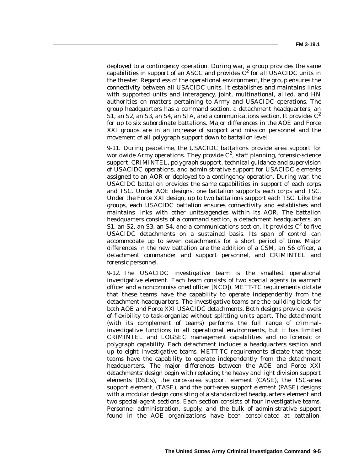deployed to a contingency operation. During war, a group provides the same capabilities in support of an ASCC and provides  $C^2$  for all USACIDC units in the theater. Regardless of the operational environment, the group ensures the connectivity between all USACIDC units. It establishes and maintains links with supported units and interagency, joint, multinational, allied, and HN authorities on matters pertaining to Army and USACIDC operations. The group headquarters has a command section, a detachment headquarters, an S1, an S2, an S3, an S4, an SJA, and a communications section. It provides  $C^2$ for up to six subordinate battalions. Major differences in the AOE and Force XXI groups are in an increase of support and mission personnel and the movement of all polygraph support down to battalion level.

9-11. During peacetime, the USACIDC battalions provide area support for worldwide Army operations. They provide  $C^2$ , staff planning, forensic-science support, CRIMINTEL, polygraph support, technical guidance and supervision of USACIDC operations, and administrative support for USACIDC elements assigned to an AOR or deployed to a contingency operation. During war, the USACIDC battalion provides the same capabilities in support of each corps and TSC. Under AOE designs, one battalion supports each corps and TSC. Under the Force XXI design, up to two battalions support each TSC. Like the groups, each USACIDC battalion ensures connectivity and establishes and maintains links with other units/agencies within its AOR. The battalion headquarters consists of a command section, a detachment headquarters, an S1, an S2, an S3, an S4, and a communications section. It provides  $C^2$  to five USACIDC detachments on a sustained basis. Its span of control can accommodate up to seven detachments for a short period of time. Major differences in the new battalion are the addition of a CSM, an S6 officer, a detachment commander and support personnel, and CRIMINTEL and forensic personnel.

9-12. The USACIDC investigative team is the smallest operational investigative element. Each team consists of two special agents (a warrant officer and a noncommissioned officer [NCO]). METT-TC requirements dictate that these teams have the capability to operate independently from the detachment headquarters. The investigative teams are the building block for both AOE and Force XXI USACIDC detachments. Both designs provide levels of flexibility to task-organize without splitting units apart. The detachment (with its complement of teams) performs the full range of criminalinvestigative functions in all operational environments, but it has limited CRIMINTEL and LOGSEC management capabilities and no forensic or polygraph capability. Each detachment includes a headquarters section and up to eight investigative teams. METT-TC requirements dictate that these teams have the capability to operate independently from the detachment headquarters. The major differences between the AOE and Force XXI detachments' design begin with replacing the heavy and light division support elements (DSEs), the corps-area support element (CASE), the TSC-area support element, (TASE), and the port-area support element (PASE) designs with a modular design consisting of a standardized headquarters element and two special-agent sections. Each section consists of four investigative teams. Personnel administration, supply, and the bulk of administrative support found in the AOE organizations have been consolidated at battalion.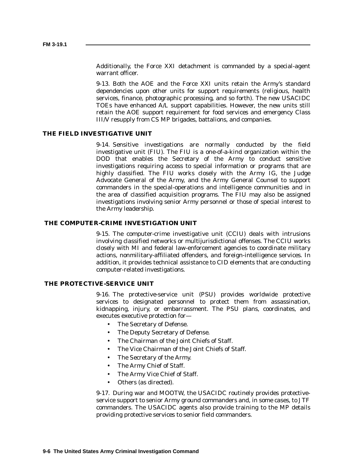Additionally, the Force XXI detachment is commanded by a special-agent warrant officer.

9-13. Both the AOE and the Force XXI units retain the Army's standard dependencies upon other units for support requirements (religious, health services, finance, photographic processing, and so forth). The new USACIDC TOEs have enhanced A/L support capabilities. However, the new units still retain the AOE support requirement for food services and emergency Class III/V resupply from CS MP brigades, battalions, and companies.

## **THE FIELD INVESTIGATIVE UNIT**

9-14. Sensitive investigations are normally conducted by the field investigative unit (FIU). The FIU is a one-of-a-kind organization within the DOD that enables the Secretary of the Army to conduct sensitive investigations requiring access to special information or programs that are highly classified. The FIU works closely with the Army IG, the Judge Advocate General of the Army, and the Army General Counsel to support commanders in the special-operations and intelligence communities and in the area of classified acquisition programs. The FIU may also be assigned investigations involving senior Army personnel or those of special interest to the Army leadership.

#### **THE COMPUTER-CRIME INVESTIGATION UNIT**

9-15. The computer-crime investigative unit (CCIU) deals with intrusions involving classified networks or multijurisdictional offenses. The CCIU works closely with MI and federal law-enforcement agencies to coordinate military actions, nonmilitary-affiliated offenders, and foreign-intelligence services. In addition, it provides technical assistance to CID elements that are conducting computer-related investigations.

#### **THE PROTECTIVE-SERVICE UNIT**

9-16. The protective-service unit (PSU) provides worldwide protective services to designated personnel to protect them from assassination, kidnapping, injury, or embarrassment. The PSU plans, coordinates, and executes executive protection for—

- The Secretary of Defense.
- The Deputy Secretary of Defense.
- The Chairman of the Joint Chiefs of Staff.
- The Vice Chairman of the Joint Chiefs of Staff.
- The Secretary of the Army.
- The Army Chief of Staff.
- The Army Vice Chief of Staff.
- Others (as directed).

9-17. During war and MOOTW, the USACIDC routinely provides protectiveservice support to senior Army ground commanders and, in some cases, to JTF commanders. The USACIDC agents also provide training to the MP details providing protective services to senior field commanders.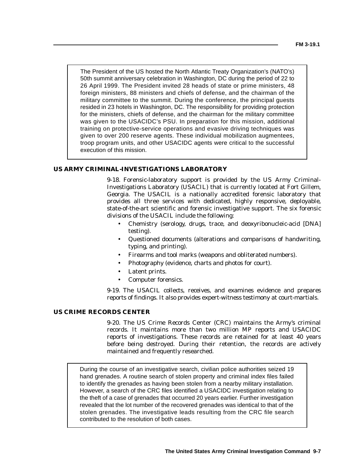The President of the US hosted the North Atlantic Treaty Organization's (NATO's) 50th summit anniversary celebration in Washington, DC during the period of 22 to 26 April 1999. The President invited 28 heads of state or prime ministers, 48 foreign ministers, 88 ministers and chiefs of defense, and the chairman of the military committee to the summit. During the conference, the principal guests resided in 23 hotels in Washington, DC. The responsibility for providing protection for the ministers, chiefs of defense, and the chairman for the military committee was given to the USACIDC's PSU. In preparation for this mission, additional training on protective-service operations and evasive driving techniques was given to over 200 reserve agents. These individual mobilization augmentees, troop program units, and other USACIDC agents were critical to the successful execution of this mission.

## **US ARMY CRIMINAL-INVESTIGATIONS LABORATORY**

9-18. Forensic-laboratory support is provided by the US Army Criminal-Investigations Laboratory (USACIL) that is currently located at Fort Gillem, Georgia. The USACIL is a nationally accredited forensic laboratory that provides all three services with dedicated, highly responsive, deployable, state-of-the-art scientific and forensic investigative support. The six forensic divisions of the USACIL include the following:

- Chemistry (serology, drugs, trace, and deoxyribonucleic-acid [DNA] testing).
- Questioned documents (alterations and comparisons of handwriting, typing, and printing).
- Firearms and tool marks (weapons and obliterated numbers).
- Photography (evidence, charts and photos for court).
- Latent prints.
- Computer forensics.

9-19. The USACIL collects, receives, and examines evidence and prepares reports of findings. It also provides expert-witness testimony at court-martials.

# **US CRIME RECORDS CENTER**

9-20. The US Crime Records Center (CRC) maintains the Army's criminal records. It maintains more than two million MP reports and USACIDC reports of investigations. These records are retained for at least 40 years before being destroyed. During their retention, the records are actively maintained and frequently researched.

During the course of an investigative search, civilian police authorities seized 19 hand grenades. A routine search of stolen property and criminal index files failed to identify the grenades as having been stolen from a nearby military installation. However, a search of the CRC files identified a USACIDC investigation relating to the theft of a case of grenades that occurred 20 years earlier. Further investigation revealed that the lot number of the recovered grenades was identical to that of the stolen grenades. The investigative leads resulting from the CRC file search contributed to the resolution of both cases.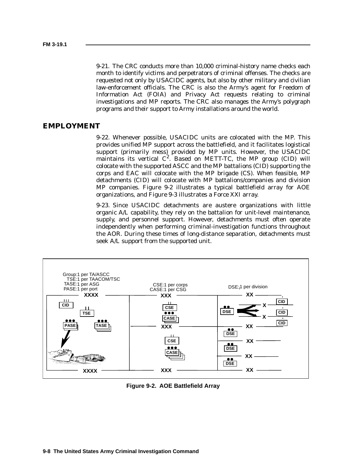9-21. The CRC conducts more than 10,000 criminal-history name checks each month to identify victims and perpetrators of criminal offenses. The checks are requested not only by USACIDC agents, but also by other military and civilian law-enforcement officials. The CRC is also the Army's agent for Freedom of Information Act (FOIA) and Privacy Act requests relating to criminal investigations and MP reports. The CRC also manages the Army's polygraph programs and their support to Army installations around the world.

## **EMPLOYMENT**

9-22. Whenever possible, USACIDC units are colocated with the MP. This provides unified MP support across the battlefield, and it facilitates logistical support (primarily mess) provided by MP units. However, the USACIDC maintains its vertical  $C^2$ . Based on METT-TC, the MP group (CID) will colocate with the supported ASCC and the MP battalions (CID) supporting the corps and EAC will colocate with the MP brigade (CS). When feasible, MP detachments (CID) will colocate with MP battalions/companies and division MP companies. Figure 9-2 illustrates a typical battlefield array for AOE organizations, and Figure 9-3 illustrates a Force XXI array.

9-23. Since USACIDC detachments are austere organizations with little organic A/L capability, they rely on the battalion for unit-level maintenance, supply, and personnel support. However, detachments must often operate independently when performing criminal-investigation functions throughout the AOR. During these times of long-distance separation, detachments must seek A/L support from the supported unit.



Figure 9-2 **Figure 9-2. AOE Battlefield Array**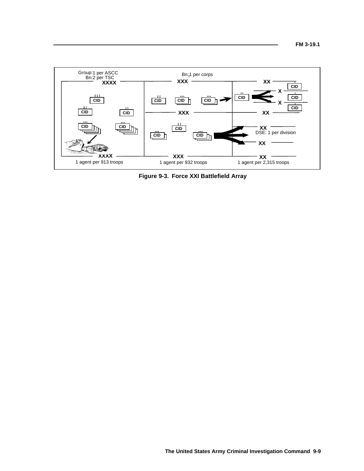

Figure 9-3 **Figure 9-3. Force XXI Battlefield Array**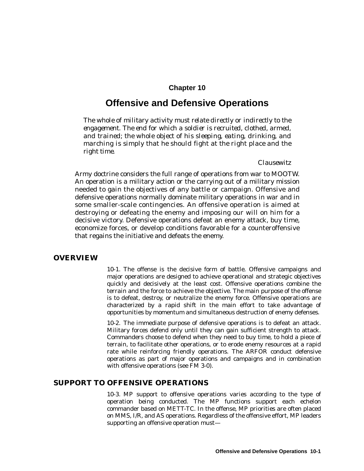# **Chapter 10**

# **Offensive and Defensive Operations**

*The whole of military activity must relate directly or indirectly to the engagement. The end for which a soldier is recruited, clothed, armed, and trained; the whole object of his sleeping, eating, drinking, and marching is simply that he should fight at the right place and the right time.*

*Clausewitz*

Army doctrine considers the full range of operations from war to MOOTW. An operation is a military action or the carrying out of a military mission needed to gain the objectives of any battle or campaign. Offensive and defensive operations normally dominate military operations in war and in some smaller-scale contingencies. An offensive operation is aimed at destroying or defeating the enemy and imposing our will on him for a decisive victory. Defensive operations defeat an enemy attack, buy time, economize forces, or develop conditions favorable for a counteroffensive that regains the initiative and defeats the enemy.

## **OVERVIEW**

10-1. The offense is the decisive form of battle. Offensive campaigns and major operations are designed to achieve operational and strategic objectives quickly and decisively at the least cost. Offensive operations combine the terrain and the force to achieve the objective. The main purpose of the offense is to defeat, destroy, or neutralize the enemy force. Offensive operations are characterized by a rapid shift in the main effort to take advantage of opportunities by momentum and simultaneous destruction of enemy defenses.

10-2. The immediate purpose of defensive operations is to defeat an attack. Military forces defend only until they can gain sufficient strength to attack. Commanders choose to defend when they need to buy time, to hold a piece of terrain, to facilitate other operations, or to erode enemy resources at a rapid rate while reinforcing friendly operations. The ARFOR conduct defensive operations as part of major operations and campaigns and in combination with offensive operations (see FM 3-0).

# **SUPPORT TO OFFENSIVE OPERATIONS**

10-3. MP support to offensive operations varies according to the type of operation being conducted. The MP functions support each echelon commander based on METT-TC. In the offense, MP priorities are often placed on MMS, I/R, and AS operations. Regardless of the offensive effort, MP leaders supporting an offensive operation must—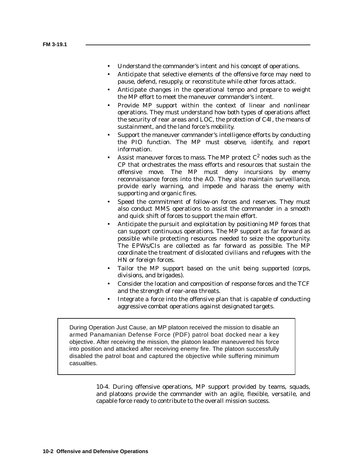- Understand the commander's intent and his concept of operations.
- Anticipate that selective elements of the offensive force may need to pause, defend, resupply, or reconstitute while other forces attack.
- Anticipate changes in the operational tempo and prepare to weight the MP effort to meet the maneuver commander's intent.
- Provide MP support within the context of linear and nonlinear operations. They must understand how both types of operations affect the security of rear areas and LOC, the protection of C4I, the means of sustainment, and the land force 's mobility.
- Support the maneuver commander's intelligence efforts by conducting the PIO function. The MP must observe, identify, and report information.
- Assist maneuver forces to mass. The MP protect  $C^2$  nodes such as the CP that orchestrates the mass efforts and resources that sustain the offensive move. The MP must deny incursions by enemy reconnaissance forces into the AO. They also maintain surveillance, provide early warning, and impede and harass the enemy with supporting and organic fires.
- Speed the commitment of follow-on forces and reserves. They must also conduct MMS operations to assist the commander in a smooth and quick shift of forces to support the main effort.
- Anticipate the pursuit and exploitation by positioning MP forces that can support continuous operations. The MP support as far forward as possible while protecting resources needed to seize the opportunity. The EPWs/CIs are collected as far forward as possible. The MP coordinate the treatment of dislocated civilians and refugees with the HN or foreign forces.
- Tailor the MP support based on the unit being supported (corps, divisions, and brigades).
- Consider the location and composition of response forces and the TCF and the strength of rear-area threats.
- Integrate a force into the offensive plan that is capable of conducting aggressive combat operations against designated targets.

During Operation Just Cause, an MP platoon received the mission to disable an armed Panamanian Defense Force (PDF) patrol boat docked near a key objective. After receiving the mission, the platoon leader maneuvered his force into position and attacked after receiving enemy fire. The platoon successfully disabled the patrol boat and captured the objective while suffering minimum casualties.

> 10-4. During offensive operations, MP support provided by teams, squads, and platoons provide the commander with an agile, flexible, versatile, and capable force ready to contribute to the overall mission success.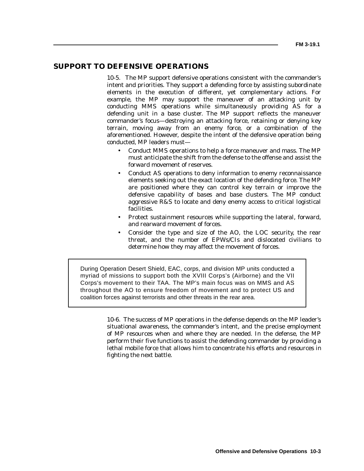# **SUPPORT TO DEFENSIVE OPERATIONS**

10-5. The MP support defensive operations consistent with the commander's intent and priorities. They support a defending force by assisting subordinate elements in the execution of different, yet complementary actions. For example, the MP may support the maneuver of an attacking unit by conducting MMS operations while simultaneously providing AS for a defending unit in a base cluster. The MP support reflects the maneuver commander's focus—destroying an attacking force, retaining or denying key terrain, moving away from an enemy force, or a combination of the aforementioned. However, despite the intent of the defensive operation being conducted, MP leaders must—

- Conduct MMS operations to help a force maneuver and mass. The MP must anticipate the shift from the defense to the offense and assist the forward movement of reserves.
- Conduct AS operations to deny information to enemy reconnaissance elements seeking out the exact location of the defending force. The MP are positioned where they can control key terrain or improve the defensive capability of bases and base clusters. The MP conduct aggressive R&S to locate and deny enemy access to critical logistical facilities.
- Protect sustainment resources while supporting the lateral, forward, and rearward movement of forces.
- Consider the type and size of the AO, the LOC security, the rear threat, and the number of EPWs/CIs and dislocated civilians to determine how they may affect the movement of forces.

During Operation Desert Shield, EAC, corps, and division MP units conducted a myriad of missions to support both the XVIII Corps's (Airborne) and the VII Corps's movement to their TAA. The MP's main focus was on MMS and AS throughout the AO to ensure freedom of movement and to protect US and coalition forces against terrorists and other threats in the rear area.

> 10-6. The success of MP operations in the defense depends on the MP leader's situational awareness, the commander's intent, and the precise employment of MP resources when and where they are needed. In the defense, the MP perform their five functions to assist the defending commander by providing a lethal mobile force that allows him to concentrate his efforts and resources in fighting the next battle.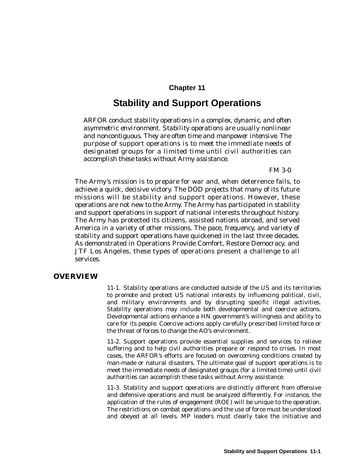# **Chapter 11**

# **Stability and Support Operations**

*ARFOR conduct stability operations in a complex, dynamic, and often asymmetric environment. Stability operations are usually nonlinear and noncontiguous. They are often time and manpower intensive. The purpose of support operations is to meet the immediate needs of designated groups for a limited time until civil authorities can accomplish these tasks without Army assistance.*

*FM 3-0*

The Army's mission is to prepare for war and, when deterrence fails, to achieve a quick, decisive victory. The DOD projects that many of its future missions will be stability and support operations. However, these operations are not new to the Army. The Army has participated in stability and support operations in support of national interests throughout history. The Army has protected its citizens, assisted nations abroad, and served America in a variety of other missions. The pace, frequency, and variety of stability and support operations have quickened in the last three decades. As demonstrated in Operations Provide Comfort, Restore Democracy, and JTF Los Angeles, these types of operations present a challenge to all services.

## **OVERVIEW**

11-1. Stability operations are conducted outside of the US and its territories to promote and protect US national interests by influencing political, civil, and military environments and by disrupting specific illegal activities. Stability operations may include both developmental and coercive actions. Developmental actions enhance a HN government's willingness and ability to care for its people. Coercive actions apply carefully prescribed limited force or the threat of forces to change the AO's environment.

11-2. Support operations provide essential supplies and services to relieve suffering and to help civil authorities prepare or respond to crises. In most cases, the ARFOR's efforts are focused on overcoming conditions created by man-made or natural disasters. The ultimate goal of support operations is to meet the immediate needs of designated groups (for a limited time) until civil authorities can accomplish these tasks without Army assistance.

11-3. Stability and support operations are distinctly different from offensive and defensive operations and must be analyzed differently. For instance, the application of the rules of engagement (ROE) will be unique to the operation. The restrictions on combat operations and the use of force must be understood and obeyed at all levels. MP leaders must clearly take the initiative and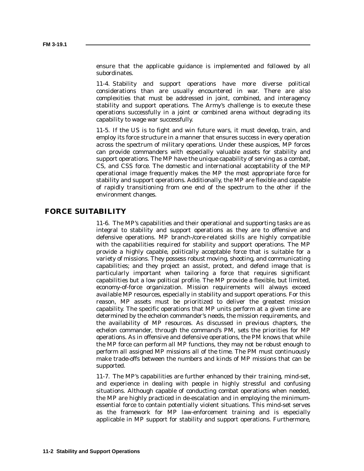ensure that the applicable guidance is implemented and followed by all subordinates.

11-4. Stability and support operations have more diverse political considerations than are usually encountered in war. There are also complexities that must be addressed in joint, combined, and interagency stability and support operations. The Army's challenge is to execute these operations successfully in a joint or combined arena without degrading its capability to wage war successfully.

11-5. If the US is to fight and win future wars, it must develop, train, and employ its force structure in a manner that ensures success in every operation across the spectrum of military operations. Under these auspices, MP forces can provide commanders with especially valuable assets for stability and support operations. The MP have the unique capability of serving as a combat, CS, and CSS force. The domestic and international acceptability of the MP operational image frequently makes the MP the most appropriate force for stability and support operations. Additionally, the MP are flexible and capable of rapidly transitioning from one end of the spectrum to the other if the environment changes.

## **FORCE SUITABILITY**

11-6. The MP's capabilities and their operational and supporting tasks are as integral to stability and support operations as they are to offensive and defensive operations. MP branch-/core-related skills are highly compatible with the capabilities required for stability and support operations. The MP provide a highly capable, politically acceptable force that is suitable for a variety of missions. They possess robust moving, shooting, and communicating capabilities; and they project an assist, protect, and defend image that is particularly important when tailoring a force that requires significant capabilities but a low political profile. The MP provide a flexible, but limited, economy-of-force organization. Mission requirements will always exceed available MP resources, especially in stability and support operations. For this reason, MP assets must be prioritized to deliver the greatest mission capability. The specific operations that MP units perform at a given time are determined by the echelon commander's needs, the mission requirements, and the availability of MP resources. As discussed in previous chapters, the echelon commander, through the command's PM, sets the priorities for MP operations. As in offensive and defensive operations, the PM knows that while the MP force can perform all MP functions, they may not be robust enough to perform all assigned MP missions all of the time. The PM must continuously make trade-offs between the numbers and kinds of MP missions that can be supported.

11-7. The MP's capabilities are further enhanced by their training, mind-set, and experience in dealing with people in highly stressful and confusing situations. Although capable of conducting combat operations when needed, the MP are highly practiced in de-escalation and in employing the minimumessential force to contain potentially violent situations. This mind-set serves as the framework for MP law-enforcement training and is especially applicable in MP support for stability and support operations. Furthermore,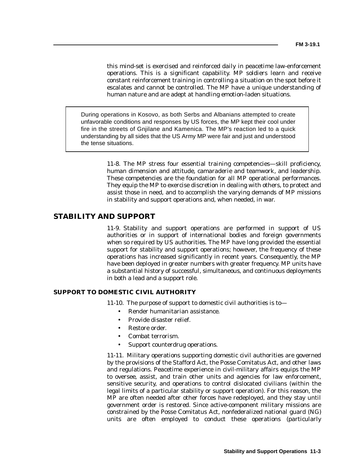this mind-set is exercised and reinforced daily in peacetime law-enforcement operations. This is a significant capability. MP soldiers learn and receive constant reinforcement training in controlling a situation on the spot before it escalates and cannot be controlled. The MP have a unique understanding of human nature and are adept at handling emotion-laden situations.

During operations in Kosovo, as both Serbs and Albanians attempted to create unfavorable conditions and responses by US forces, the MP kept their cool under fire in the streets of Gnjilane and Kamenica. The MP's reaction led to a quick understanding by all sides that the US Army MP were fair and just and understood the tense situations.

> 11-8. The MP stress four essential training competencies—skill proficiency, human dimension and attitude, camaraderie and teamwork, and leadership. These competencies are the foundation for all MP operational performances. They equip the MP to exercise discretion in dealing with others, to protect and assist those in need, and to accomplish the varying demands of MP missions in stability and support operations and, when needed, in war.

# **STABILITY AND SUPPORT**

11-9. Stability and support operations are performed in support of US authorities or in support of international bodies and foreign governments when so required by US authorities. The MP have long provided the essential support for stability and support operations; however, the frequency of these operations has increased significantly in recent years. Consequently, the MP have been deployed in greater numbers with greater frequency. MP units have a substantial history of successful, simultaneous, and continuous deployments in both a lead and a support role.

### **SUPPORT TO DOMESTIC CIVIL AUTHORITY**

11-10. The purpose of support to domestic civil authorities is to—

- Render humanitarian assistance.
- Provide disaster relief.
- Restore order.
- Combat terrorism.
- Support counterdrug operations.

11-11. Military operations supporting domestic civil authorities are governed by the provisions of the Stafford Act, the Posse Comitatus Act, and other laws and regulations. Peacetime experience in civil-military affairs equips the MP to oversee, assist, and train other units and agencies for law enforcement, sensitive security, and operations to control dislocated civilians (within the legal limits of a particular stability or support operation). For this reason, the MP are often needed after other forces have redeployed, and they stay until government order is restored. Since active-component military missions are constrained by the Posse Comitatus Act, nonfederalized national guard (NG) units are often employed to conduct these operations (particularly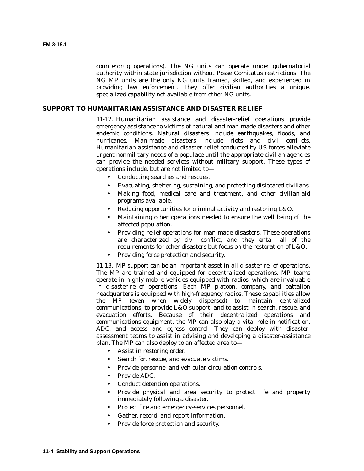counterdrug operations). The NG units can operate under gubernatorial authority within state jurisdiction without Posse Comitatus restrictions. The NG MP units are the only NG units trained, skilled, and experienced in providing law enforcement. They offer civilian authorities a unique, specialized capability not available from other NG units.

### **SUPPORT TO HUMANITARIAN ASSISTANCE AND DISASTER RELIEF**

11-12. Humanitarian assistance and disaster-relief operations provide emergency assistance to victims of natural and man-made disasters and other endemic conditions. Natural disasters include earthquakes, floods, and hurricanes. Man-made disasters include riots and civil conflicts. Humanitarian assistance and disaster relief conducted by US forces alleviate urgent nonmilitary needs of a populace until the appropriate civilian agencies can provide the needed services without military support. These types of operations include, but are not limited to—

- Conducting searches and rescues.
- Evacuating, sheltering, sustaining, and protecting dislocated civilians.
- Making food, medical care and treatment, and other civilian-aid programs available.
- Reducing opportunities for criminal activity and restoring L&O.
- Maintaining other operations needed to ensure the well being of the affected population.
- Providing relief operations for man-made disasters. These operations are characterized by civil conflict, and they entail all of the requirements for other disasters but focus on the restoration of L&O.
- Providing force protection and security.

11-13. MP support can be an important asset in all disaster-relief operations. The MP are trained and equipped for decentralized operations. MP teams operate in highly mobile vehicles equipped with radios, which are invaluable in disaster-relief operations. Each MP platoon, company, and battalion headquarters is equipped with high-frequency radios. These capabilities allow the MP (even when widely dispersed) to maintain centralized communications; to provide L&O support; and to assist in search, rescue, and evacuation efforts. Because of their decentralized operations and communications equipment, the MP can also play a vital role in notification, ADC, and access and egress control. They can deploy with disasterassessment teams to assist in advising and developing a disaster-assistance plan. The MP can also deploy to an affected area to—

- Assist in restoring order.
- Search for, rescue, and evacuate victims.
- Provide personnel and vehicular circulation controls.
- Provide ADC.
- Conduct detention operations.
- Provide physical and area security to protect life and property immediately following a disaster.
- Protect fire and emergency-services personnel.
- Gather, record, and report information.
- Provide force protection and security.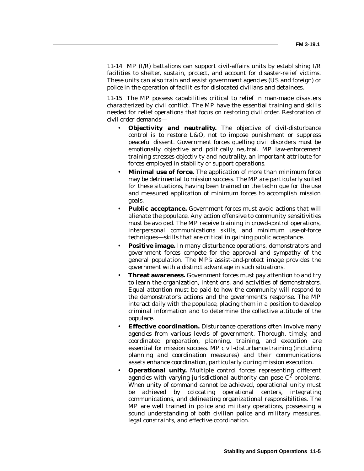11-14. MP (I/R) battalions can support civil-affairs units by establishing I/R facilities to shelter, sustain, protect, and account for disaster-relief victims. These units can also train and assist government agencies (US and foreign) or police in the operation of facilities for dislocated civilians and detainees.

11-15. The MP possess capabilities critical to relief in man-made disasters characterized by civil conflict. The MP have the essential training and skills needed for relief operations that focus on restoring civil order. Restoration of civil order demands—

- **Objectivity and neutrality.** The objective of civil-disturbance control is to restore L&O, not to impose punishment or suppress peaceful dissent. Government forces quelling civil disorders must be emotionally objective and politically neutral. MP law-enforcement training stresses objectivity and neutrality, an important attribute for forces employed in stability or support operations.
- **Minimal use of force.** The application of more than minimum force may be detrimental to mission success. The MP are particularly suited for these situations, having been trained on the technique for the use and measured application of minimum forces to accomplish mission goals.
- **Public acceptance.** Government forces must avoid actions that will alienate the populace. Any action offensive to community sensitivities must be avoided. The MP receive training in crowd-control operations, interpersonal communications skills, and minimum use-of-force techniques—skills that are critical in gaining public acceptance.
- **Positive image.** In many disturbance operations, demonstrators and government forces compete for the approval and sympathy of the general population. The MP's assist-and-protect image provides the government with a distinct advantage in such situations.
- **Threat awareness.** Government forces must pay attention to and try to learn the organization, intentions, and activities of demonstrators. Equal attention must be paid to how the community will respond to the demonstrator's actions and the government's response. The MP interact daily with the populace, placing them in a position to develop criminal information and to determine the collective attitude of the populace.
- **Effective coordination.** Disturbance operations often involve many agencies from various levels of government. Thorough, timely, and coordinated preparation, planning, training, and execution are essential for mission success. MP civil-disturbance training (including planning and coordination measures) and their communications assets enhance coordination, particularly during mission execution.
- **Operational unity.** Multiple control forces representing different agencies with varying jurisdictional authority can pose  $C^2$  problems. When unity of command cannot be achieved, operational unity must be achieved by colocating operational centers, integrating communications, and delineating organizational responsibilities. The MP are well trained in police and military operations, possessing a sound understanding of both civilian police and military measures, legal constraints, and effective coordination.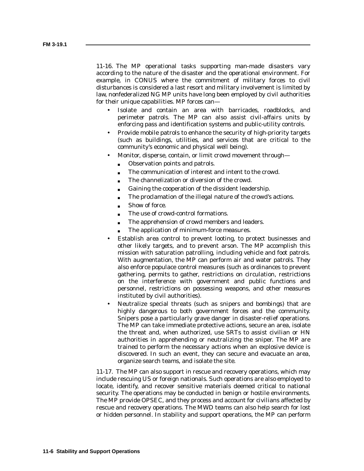11-16. The MP operational tasks supporting man-made disasters vary according to the nature of the disaster and the operational environment. For example, in CONUS where the commitment of military forces to civil disturbances is considered a last resort and military involvement is limited by law, nonfederalized NG MP units have long been employed by civil authorities for their unique capabilities. MP forces can—

- Isolate and contain an area with barricades, roadblocks, and perimeter patrols. The MP can also assist civil-affairs units by enforcing pass and identification systems and public-utility controls.
- Provide mobile patrols to enhance the security of high-priority targets (such as buildings, utilities, and services that are critical to the community's economic and physical well being).
- Monitor, disperse, contain, or limit crowd movement through—
	- Observation points and patrols.
	- The communication of interest and intent to the crowd.
	- The channelization or diversion of the crowd.
	- Gaining the cooperation of the dissident leadership.
	- The proclamation of the illegal nature of the crowd's actions.
	- Show of force.
	- The use of crowd-control formations.
	- The apprehension of crowd members and leaders.
	- The application of minimum-force measures.
- Establish area control to prevent looting, to protect businesses and other likely targets, and to prevent arson. The MP accomplish this mission with saturation patrolling, including vehicle and foot patrols. With augmentation, the MP can perform air and water patrols. They also enforce populace control measures (such as ordinances to prevent gathering, permits to gather, restrictions on circulation, restrictions on the interference with government and public functions and personnel, restrictions on possessing weapons, and other measures instituted by civil authorities).
- Neutralize special threats (such as snipers and bombings) that are highly dangerous to both government forces and the community. Snipers pose a particularly grave danger in disaster-relief operations. The MP can take immediate protective actions, secure an area, isolate the threat and, when authorized, use SRTs to assist civilian or HN authorities in apprehending or neutralizing the sniper. The MP are trained to perform the necessary actions when an explosive device is discovered. In such an event, they can secure and evacuate an area, organize search teams, and isolate the site.

11-17. The MP can also support in rescue and recovery operations, which may include rescuing US or foreign nationals. Such operations are also employed to locate, identify, and recover sensitive materials deemed critical to national security. The operations may be conducted in benign or hostile environments. The MP provide OPSEC, and they process and account for civilians affected by rescue and recovery operations. The MWD teams can also help search for lost or hidden personnel. In stability and support operations, the MP can perform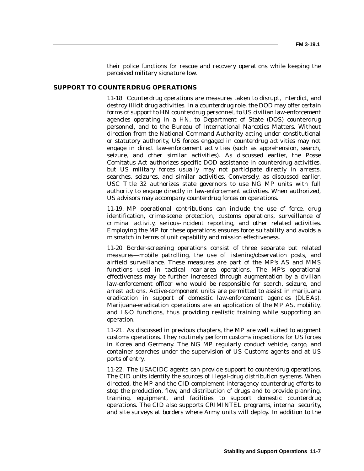their police functions for rescue and recovery operations while keeping the perceived military signature low.

#### **SUPPORT TO COUNTERDRUG OPERATIONS**

11-18. Counterdrug operations are measures taken to disrupt, interdict, and destroy illicit drug activities. In a counterdrug role, the DOD may offer certain forms of support to HN counterdrug personnel, to US civilian law-enforcement agencies operating in a HN, to Department of State (DOS) counterdrug personnel, and to the Bureau of International Narcotics Matters. Without direction from the National Command Authority acting under constitutional or statutory authority, US forces engaged in counterdrug activities may not engage in direct law-enforcement activities (such as apprehension, search, seizure, and other similar activities). As discussed earlier, the Posse Comitatus Act authorizes specific DOD assistance in counterdrug activities, but US military forces usually may not participate directly in arrests, searches, seizures, and similar activities. Conversely, as discussed earlier, USC Title 32 authorizes state governors to use NG MP units with full authority to engage directly in law-enforcement activities. When authorized, US advisors may accompany counterdrug forces on operations.

11-19. MP operational contributions can include the use of force, drug identification, crime-scene protection, customs operations, surveillance of criminal activity, serious-incident reporting, and other related activities. Employing the MP for these operations ensures force suitability and avoids a mismatch in terms of unit capability and mission effectiveness.

11-20. Border-screening operations consist of three separate but related measures—mobile patrolling, the use of listening/observation posts, and airfield surveillance. These measures are part of the MP's AS and MMS functions used in tactical rear-area operations. The MP's operational effectiveness may be further increased through augmentation by a civilian law-enforcement officer who would be responsible for search, seizure, and arrest actions. Active-component units are permitted to assist in marijuana eradication in support of domestic law-enforcement agencies (DLEAs). Marijuana-eradication operations are an application of the MP AS, mobility, and L&O functions, thus providing realistic training while supporting an operation.

11-21. As discussed in previous chapters, the MP are well suited to augment customs operations. They routinely perform customs inspections for US forces in Korea and Germany. The NG MP regularly conduct vehicle, cargo, and container searches under the supervision of US Customs agents and at US ports of entry.

11-22. The USACIDC agents can provide support to counterdrug operations. The CID units identify the sources of illegal-drug distribution systems. When directed, the MP and the CID complement interagency counterdrug efforts to stop the production, flow, and distribution of drugs and to provide planning, training, equipment, and facilities to support domestic counterdrug operations. The CID also supports CRIMINTEL programs, internal security, and site surveys at borders where Army units will deploy. In addition to the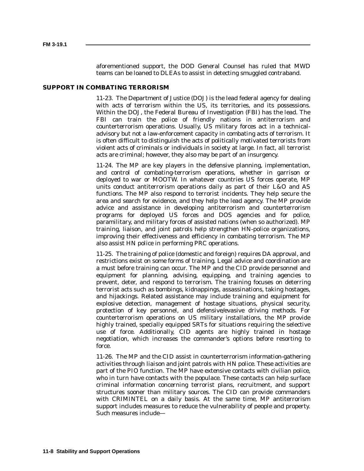aforementioned support, the DOD General Counsel has ruled that MWD teams can be loaned to DLEAs to assist in detecting smuggled contraband.

#### **SUPPORT IN COMBATING TERRORISM**

11-23. The Department of Justice (DOJ) is the lead federal agency for dealing with acts of terrorism within the US, its territories, and its possessions. Within the DOJ, the Federal Bureau of Investigation (FBI) has the lead. The FBI can train the police of friendly nations in antiterrorism and counterterrorism operations. Usually, US military forces act in a technicaladvisory but not a law-enforcement capacity in combating acts of terrorism. It is often difficult to distinguish the acts of politically motivated terrorists from violent acts of criminals or individuals in society at large. In fact, all terrorist acts are criminal; however, they also may be part of an insurgency.

11-24. The MP are key players in the defensive planning, implementation, and control of combating-terrorism operations, whether in garrison or deployed to war or MOOTW. In whatever countries US forces operate, MP units conduct antiterrorism operations daily as part of their L&O and AS functions. The MP also respond to terrorist incidents. They help secure the area and search for evidence, and they help the lead agency. The MP provide advice and assistance in developing antiterrorism and counterterrorism programs for deployed US forces and DOS agencies and for police, paramilitary, and military forces of assisted nations (when so authorized). MP training, liaison, and joint patrols help strengthen HN-police organizations, improving their effectiveness and efficiency in combating terrorism. The MP also assist HN police in performing PRC operations.

11-25. The training of police (domestic and foreign) requires DA approval, and restrictions exist on some forms of training. Legal advice and coordination are a must before training can occur. The MP and the CID provide personnel and equipment for planning, advising, equipping, and training agencies to prevent, deter, and respond to terrorism. The training focuses on deterring terrorist acts such as bombings, kidnappings, assassinations, taking hostages, and hijackings. Related assistance may include training and equipment for explosive detection, management of hostage situations, physical security, protection of key personnel, and defensive/evasive driving methods. For counterterrorism operations on US military installations, the MP provide highly trained, specially equipped SRTs for situations requiring the selective use of force. Additionally, CID agents are highly trained in hostage negotiation, which increases the commander's options before resorting to force.

11-26. The MP and the CID assist in counterterrorism information-gathering activities through liaison and joint patrols with HN police. These activities are part of the PIO function. The MP have extensive contacts with civilian police, who in turn have contacts with the populace. These contacts can help surface criminal information concerning terrorist plans, recruitment, and support structures sooner than military sources. The CID can provide commanders with CRIMINTEL on a daily basis. At the same time, MP antiterrorism support includes measures to reduce the vulnerability of people and property. Such measures include—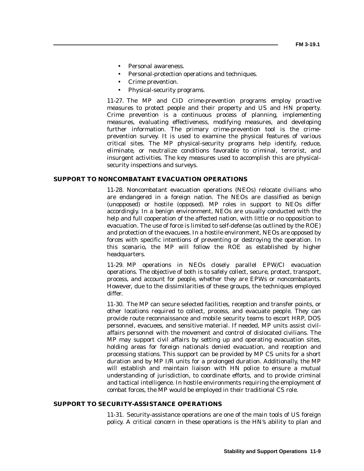- Personal awareness.
- Personal-protection operations and techniques.
- Crime prevention.
- Physical-security programs.

11-27. The MP and CID crime-prevention programs employ proactive measures to protect people and their property and US and HN property. Crime prevention is a continuous process of planning, implementing measures, evaluating effectiveness, modifying measures, and developing further information. The primary crime-prevention tool is the crimeprevention survey. It is used to examine the physical features of various critical sites. The MP physical-security programs help identify, reduce, eliminate, or neutralize conditions favorable to criminal, terrorist, and insurgent activities. The key measures used to accomplish this are physicalsecurity inspections and surveys.

#### **SUPPORT TO NONCOMBATANT EVACUATION OPERATIONS**

11-28. Noncombatant evacuation operations (NEOs) relocate civilians who are endangered in a foreign nation. The NEOs are classified as benign (unopposed) or hostile (opposed). MP roles in support to NEOs differ accordingly. In a benign environment, NEOs are usually conducted with the help and full cooperation of the affected nation, with little or no opposition to evacuation. The use of force is limited to self-defense (as outlined by the ROE) and protection of the evacuees. In a hostile environment, NEOs are opposed by forces with specific intentions of preventing or destroying the operation. In this scenario, the MP will follow the ROE as established by higher headquarters.

11-29. MP operations in NEOs closely parallel EPW/CI evacuation operations. The objective of both is to safely collect, secure, protect, transport, process, and account for people, whether they are EPWs or noncombatants. However, due to the dissimilarities of these groups, the techniques employed differ.

11-30. The MP can secure selected facilities, reception and transfer points, or other locations required to collect, process, and evacuate people. They can provide route reconnaissance and mobile security teams to escort HRP, DOS personnel, evacuees, and sensitive material. If needed, MP units assist civilaffairs personnel with the movement and control of dislocated civilians. The MP may support civil affairs by setting up and operating evacuation sites, holding areas for foreign nationals denied evacuation, and reception and processing stations. This support can be provided by MP CS units for a short duration and by MP I/R units for a prolonged duration. Additionally, the MP will establish and maintain liaison with HN police to ensure a mutual understanding of jurisdiction, to coordinate efforts, and to provide criminal and tactical intelligence. In hostile environments requiring the employment of combat forces, the MP would be employed in their traditional CS role.

#### **SUPPORT TO SECURITY-ASSISTANCE OPERATIONS**

11-31. Security-assistance operations are one of the main tools of US foreign policy. A critical concern in these operations is the HN's ability to plan and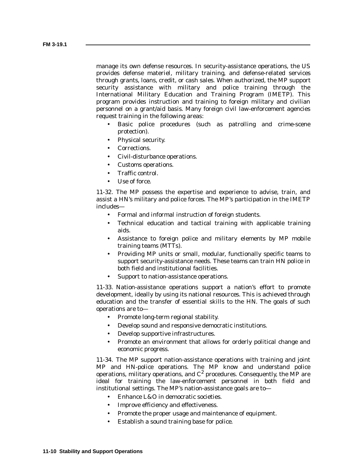manage its own defense resources. In security-assistance operations, the US provides defense materiel, military training, and defense-related services through grants, loans, credit, or cash sales. When authorized, the MP support security assistance with military and police training through the International Military Education and Training Program (IMETP). This program provides instruction and training to foreign military and civilian personnel on a grant/aid basis. Many foreign civil law-enforcement agencies request training in the following areas:

- Basic police procedures (such as patrolling and crime-scene protection).
- Physical security.
- Corrections.
- Civil-disturbance operations.
- Customs operations.
- Traffic control.
- Use of force.

11-32. The MP possess the expertise and experience to advise, train, and assist a HN's military and police forces. The MP's participation in the IMETP includes—

- Formal and informal instruction of foreign students.
- Technical education and tactical training with applicable training aids.
- Assistance to foreign police and military elements by MP mobile training teams (MTTs).
- Providing MP units or small, modular, functionally specific teams to support security-assistance needs. These teams can train HN police in both field and institutional facilities.
- Support to nation-assistance operations.

11-33. Nation-assistance operations support a nation's effort to promote development, ideally by using its national resources. This is achieved through education and the transfer of essential skills to the HN. The goals of such operations are to—

- Promote long-term regional stability.
- Develop sound and responsive democratic institutions.
- Develop supportive infrastructures.
- Promote an environment that allows for orderly political change and economic progress.

11-34. The MP support nation-assistance operations with training and joint MP and HN-police operations. The MP know and understand police operations, military operations, and  $C<sup>2</sup>$  procedures. Consequently, the MP are ideal for training the law-enforcement personnel in both field and institutional settings. The MP's nation-assistance goals are to—

- Enhance L&O in democratic societies.
- Improve efficiency and effectiveness.
- Promote the proper usage and maintenance of equipment.
- Establish a sound training base for police.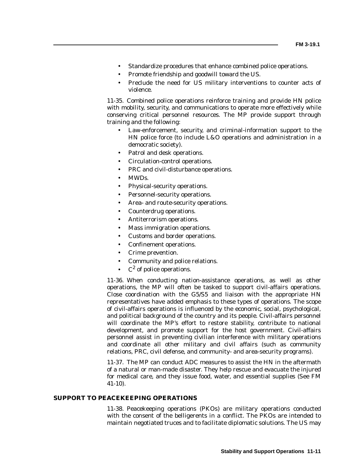- Standardize procedures that enhance combined police operations.
- Promote friendship and goodwill toward the US.
- Preclude the need for US military interventions to counter acts of violence.

11-35. Combined police operations reinforce training and provide HN police with mobility, security, and communications to operate more effectively while conserving critical personnel resources. The MP provide support through training and the following:

- Law-enforcement, security, and criminal-information support to the HN police force (to include L&O operations and administration in a democratic society).
- Patrol and desk operations.
- Circulation-control operations.
- PRC and civil-disturbance operations.
- MWDs.
- Physical-security operations.
- Personnel-security operations.
- Area- and route-security operations.
- Counterdrug operations.
- Antiterrorism operations.
- Mass immigration operations.
- Customs and border operations.
- Confinement operations.
- Crime prevention.
- Community and police relations.
- $C^2$  of police operations.

11-36. When conducting nation-assistance operations, as well as other operations, the MP will often be tasked to support civil-affairs operations. Close coordination with the G5/S5 and liaison with the appropriate HN representatives have added emphasis to these types of operations. The scope of civil-affairs operations is influenced by the economic, social, psychological, and political background of the country and its people. Civil-affairs personnel will coordinate the MP's effort to restore stability, contribute to national development, and promote support for the host government. Civil-affairs personnel assist in preventing civilian interference with military operations and coordinate all other military and civil affairs (such as community relations, PRC, civil defense, and community- and area-security programs).

11-37. The MP can conduct ADC measures to assist the HN in the aftermath of a natural or man-made disaster. They help rescue and evacuate the injured for medical care, and they issue food, water, and essential supplies (See FM 41-10).

#### **SUPPORT TO PEACEKEEPING OPERATIONS**

11-38. Peacekeeping operations (PKOs) are military operations conducted with the consent of the belligerents in a conflict. The PKOs are intended to maintain negotiated truces and to facilitate diplomatic solutions. The US may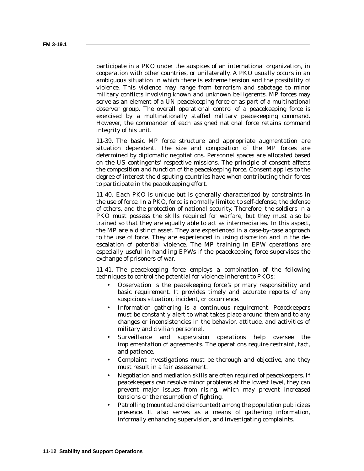participate in a PKO under the auspices of an international organization, in cooperation with other countries, or unilaterally. A PKO usually occurs in an ambiguous situation in which there is extreme tension and the possibility of violence. This violence may range from terrorism and sabotage to minor military conflicts involving known and unknown belligerents. MP forces may serve as an element of a UN peacekeeping force or as part of a multinational observer group. The overall operational control of a peacekeeping force is exercised by a multinationally staffed military peacekeeping command. However, the commander of each assigned national force retains command integrity of his unit.

11-39. The basic MP force structure and appropriate augmentation are situation dependent. The size and composition of the MP forces are determined by diplomatic negotiations. Personnel spaces are allocated based on the US contingents' respective missions. The principle of consent affects the composition and function of the peacekeeping force. Consent applies to the degree of interest the disputing countries have when contributing their forces to participate in the peacekeeping effort.

11-40. Each PKO is unique but is generally characterized by constraints in the use of force. In a PKO, force is normally limited to self-defense, the defense of others, and the protection of national security. Therefore, the soldiers in a PKO must possess the skills required for warfare, but they must also be trained so that they are equally able to act as intermediaries. In this aspect, the MP are a distinct asset. They are experienced in a case-by-case approach to the use of force. They are experienced in using discretion and in the deescalation of potential violence. The MP training in EPW operations are especially useful in handling EPWs if the peacekeeping force supervises the exchange of prisoners of war.

11-41. The peacekeeping force employs a combination of the following techniques to control the potential for violence inherent to PKOs:

- Observation is the peacekeeping force 's primary responsibility and basic requirement. It provides timely and accurate reports of any suspicious situation, incident, or occurrence.
- Information gathering is a continuous requirement. Peacekeepers must be constantly alert to what takes place around them and to any changes or inconsistencies in the behavior, attitude, and activities of military and civilian personnel.
- Surveillance and supervision operations help oversee the implementation of agreements. The operations require restraint, tact, and patience.
- Complaint investigations must be thorough and objective, and they must result in a fair assessment.
- Negotiation and mediation skills are often required of peacekeepers. If peacekeepers can resolve minor problems at the lowest level, they can prevent major issues from rising, which may prevent increased tensions or the resumption of fighting.
- Patrolling (mounted and dismounted) among the population publicizes presence. It also serves as a means of gathering information, informally enhancing supervision, and investigating complaints.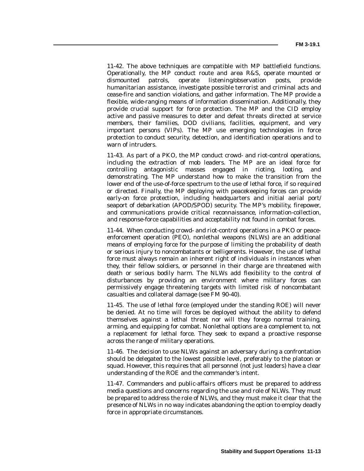11-42. The above techniques are compatible with MP battlefield functions. Operationally, the MP conduct route and area R&S, operate mounted or dismounted patrols, operate listening/observation posts, provide humanitarian assistance, investigate possible terrorist and criminal acts and cease-fire and sanction violations, and gather information. The MP provide a flexible, wide-ranging means of information dissemination. Additionally, they provide crucial support for force protection. The MP and the CID employ active and passive measures to deter and defeat threats directed at service members, their families, DOD civilians, facilities, equipment, and very important persons (VIPs). The MP use emerging technologies in force protection to conduct security, detection, and identification operations and to warn of intruders.

11-43. As part of a PKO, the MP conduct crowd- and riot-control operations, including the extraction of mob leaders. The MP are an ideal force for controlling antagonistic masses engaged in rioting, looting, and demonstrating. The MP understand how to make the transition from the lower end of the use-of-force spectrum to the use of lethal force, if so required or directed. Finally, the MP deploying with peacekeeping forces can provide early-on force protection, including headquarters and initial aerial port/ seaport of debarkation (APOD/SPOD) security. The MP's mobility, firepower, and communications provide critical reconnaissance, information-collection, and response-force capabilities and acceptability not found in combat forces.

11-44. When conducting crowd- and riot-control operations in a PKO or peaceenforcement operation (PEO), nonlethal weapons (NLWs) are an additional means of employing force for the purpose of limiting the probability of death or serious injury to noncombatants or belligerents. However, the use of lethal force must always remain an inherent right of individuals in instances when they, their fellow soldiers, or personnel in their charge are threatened with death or serious bodily harm. The NLWs add flexibility to the control of disturbances by providing an environment where military forces can permissively engage threatening targets with limited risk of noncombatant casualties and collateral damage (see FM 90-40).

11-45. The use of lethal force (employed under the standing ROE) will never be denied. At no time will forces be deployed without the ability to defend themselves against a lethal threat nor will they forego normal training, arming, and equipping for combat. Nonlethal options are a complement to, not a replacement for lethal force. They seek to expand a proactive response across the range of military operations.

11-46. The decision to use NLWs against an adversary during a confrontation should be delegated to the lowest possible level, preferably to the platoon or squad. However, this requires that all personnel (not just leaders) have a clear understanding of the ROE and the commander's intent.

11-47. Commanders and public-affairs officers must be prepared to address media questions and concerns regarding the use and role of NLWs. They must be prepared to address the role of NLWs, and they must make it clear that the presence of NLWs in no way indicates abandoning the option to employ deadly force in appropriate circumstances.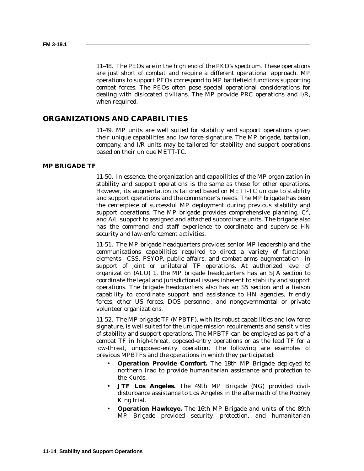11-48. The PEOs are in the high end of the PKO's spectrum. These operations are just short of combat and require a different operational approach. MP operations to support PEOs correspond to MP battlefield functions supporting combat forces. The PEOs often pose special operational considerations for dealing with dislocated civilians. The MP provide PRC operations and I/R, when required.

#### **ORGANIZATIONS AND CAPABILITIES**

11-49. MP units are well suited for stability and support operations given their unique capabilities and low force signature. The MP brigade, battalion, company, and I/R units may be tailored for stability and support operations based on their unique METT-TC.

#### **MP BRIGADE TF**

11-50. In essence, the organization and capabilities of the MP organization in stability and support operations is the same as those for other operations. However, its augmentation is tailored based on METT-TC unique to stability and support operations and the commander's needs. The MP brigade has been the centerpiece of successful MP deployment during previous stability and support operations. The MP brigade provides comprehensive planning,  $C^2$ , and A/L support to assigned and attached subordinate units. The brigade also has the command and staff experience to coordinate and supervise HN security and law-enforcement activities.

11-51. The MP brigade headquarters provides senior MP leadership and the communications capabilities required to direct a variety of functional elements—CSS, PSYOP, public affairs, and combat-arms augmentation—in support of joint or unilateral TF operations. At authorized level of organization (ALO) 1, the MP brigade headquarters has an SJA section to coordinate the legal and jurisdictional issues inherent to stability and support operations. The brigade headquarters also has an S5 section and a liaison capability to coordinate support and assistance to HN agencies, friendly forces, other US forces, DOS personnel, and nongovernmental or private volunteer organizations.

11-52. The MP brigade TF (MPBTF), with its robust capabilities and low force signature, is well suited for the unique mission requirements and sensitivities of stability and support operations. The MPBTF can be employed as part of a combat TF in high-threat, opposed-entry operations or as the lead TF for a low-threat, unopposed-entry operation. The following are examples of previous MPBTFs and the operations in which they participated:

- **Operation Provide Comfort.** The 18th MP Brigade deployed to northern Iraq to provide humanitarian assistance and protection to the Kurds.
- **JTF Los Angeles.** The 49th MP Brigade (NG) provided civildisturbance assistance to Los Angeles in the aftermath of the Rodney King trial.
- **Operation Hawkeye.** The 16th MP Brigade and units of the 89th MP Brigade provided security, protection, and humanitarian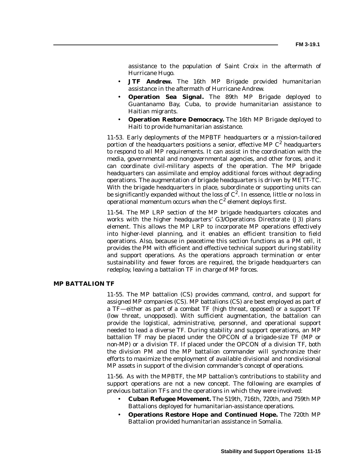assistance to the population of Saint Croix in the aftermath of Hurricane Hugo.

- **JTF Andrew.** The 16th MP Brigade provided humanitarian assistance in the aftermath of Hurricane Andrew.
- **Operation Sea Signal.** The 89th MP Brigade deployed to Guantanamo Bay, Cuba, to provide humanitarian assistance to Haitian migrants.
- **Operation Restore Democracy.** The 16th MP Brigade deployed to Haiti to provide humanitarian assistance.

11-53. Early deployments of the MPBTF headquarters or a mission-tailored portion of the headquarters positions a senior, effective MP  $C^2$  headquarters to respond to all MP requirements. It can assist in the coordination with the media, governmental and nongovernmental agencies, and other forces, and it can coordinate civil-military aspects of the operation. The MP brigade headquarters can assimilate and employ additional forces without degrading operations. The augmentation of brigade headquarters is driven by METT-TC. With the brigade headquarters in place, subordinate or supporting units can be significantly expanded without the loss of  $C^2$ . In essence, little or no loss in operational momentum occurs when the  $C<sup>2</sup>$  element deploys first.

11-54. The MP LRP section of the MP brigade headquarters colocates and works with the higher headquarters' G3/Operations Directorate (J3) plans element. This allows the MP LRP to incorporate MP operations effectively into higher-level planning, and it enables an efficient transition to field operations. Also, because in peacetime this section functions as a PM cell, it provides the PM with efficient and effective technical support during stability and support operations. As the operations approach termination or enter sustainability and fewer forces are required, the brigade headquarters can redeploy, leaving a battalion TF in charge of MP forces.

#### **MP BATTALION TF**

11-55. The MP battalion (CS) provides command, control, and support for assigned MP companies (CS). MP battalions (CS) are best employed as part of a TF—either as part of a combat TF (high threat, opposed) or a support TF (low threat, unopposed). With sufficient augmentation, the battalion can provide the logistical, administrative, personnel, and operational support needed to lead a diverse TF. During stability and support operations, an MP battalion TF may be placed under the OPCON of a brigade-size TF (MP or non-MP) or a division TF. If placed under the OPCON of a division TF, both the division PM and the MP battalion commander will synchronize their efforts to maximize the employment of available divisional and nondivisional MP assets in support of the division commander's concept of operations.

11-56. As with the MPBTF, the MP battalion's contributions to stability and support operations are not a new concept. The following are examples of previous battalion TFs and the operations in which they were involved:

- **Cuban Refugee Movement.** The 519th, 716th, 720th, and 759th MP Battalions deployed for humanitarian-assistance operations.
- **Operations Restore Hope and Continued Hope.** The 720th MP Battalion provided humanitarian assistance in Somalia.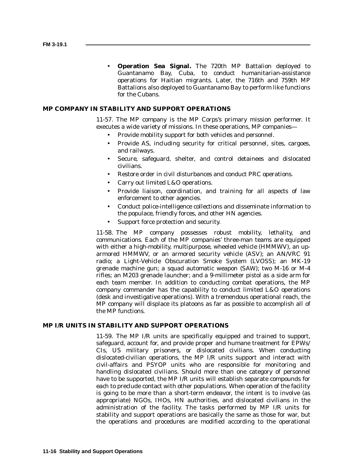• **Operation Sea Signal.** The 720th MP Battalion deployed to Guantanamo Bay, Cuba, to conduct humanitarian-assistance operations for Haitian migrants. Later, the 716th and 759th MP Battalions also deployed to Guantanamo Bay to perform like functions for the Cubans.

#### **MP COMPANY IN STABILITY AND SUPPORT OPERATIONS**

11-57. The MP company is the MP Corps's primary mission performer. It executes a wide variety of missions. In these operations, MP companies—

- Provide mobility support for both vehicles and personnel.
- Provide AS, including security for critical personnel, sites, cargoes, and railways.
- Secure, safeguard, shelter, and control detainees and dislocated civilians.
- Restore order in civil disturbances and conduct PRC operations.
- Carry out limited L&O operations.
- Provide liaison, coordination, and training for all aspects of law enforcement to other agencies.
- Conduct police-intelligence collections and disseminate information to the populace, friendly forces, and other HN agencies.
- Support force protection and security.

11-58. The MP company possesses robust mobility, lethality, and communications. Each of the MP companies' three-man teams are equipped with either a high-mobility, multipurpose, wheeled vehicle (HMMWV), an uparmored HMMWV, or an armored security vehicle (ASV); an AN/VRC 91 radio; a Light-Vehicle Obscuration Smoke System (LVOSS); an MK-19 grenade machine gun; a squad automatic weapon (SAW); two M-16 or M-4 rifles; an M203 grenade launcher; and a 9-millimeter pistol as a side arm for each team member. In addition to conducting combat operations, the MP company commander has the capability to conduct limited L&O operations (desk and investigative operations). With a tremendous operational reach, the MP company will displace its platoons as far as possible to accomplish all of the MP functions.

#### **MP I/R UNITS IN STABILITY AND SUPPORT OPERATIONS**

11-59. The MP I/R units are specifically equipped and trained to support, safeguard, account for, and provide proper and humane treatment for EPWs/ CIs, US military prisoners, or dislocated civilians. When conducting dislocated-civilian operations, the MP I/R units support and interact with civil-affairs and PSYOP units who are responsible for monitoring and handling dislocated civilians. Should more than one category of personnel have to be supported, the MP I/R units will establish separate compounds for each to preclude contact with other populations. When operation of the facility is going to be more than a short-term endeavor, the intent is to involve (as appropriate) NGOs, IHOs, HN authorities, and dislocated civilians in the administration of the facility. The tasks performed by MP I/R units for stability and support operations are basically the same as those for war, but the operations and procedures are modified according to the operational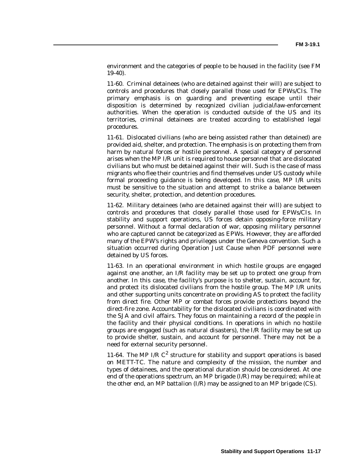environment and the categories of people to be housed in the facility (see FM 19-40).

11-60. Criminal detainees (who are detained against their will) are subject to controls and procedures that closely parallel those used for EPWs/CIs. The primary emphasis is on guarding and preventing escape until their disposition is determined by recognized civilian judicial/law-enforcement authorities. When the operation is conducted outside of the US and its territories, criminal detainees are treated according to established legal procedures.

11-61. Dislocated civilians (who are being assisted rather than detained) are provided aid, shelter, and protection. The emphasis is on protecting them from harm by natural forces or hostile personnel. A special category of personnel arises when the MP I/R unit is required to house personnel that are dislocated civilians but who must be detained against their will. Such is the case of mass migrants who flee their countries and find themselves under US custody while formal proceeding guidance is being developed. In this case, MP I/R units must be sensitive to the situation and attempt to strike a balance between security, shelter, protection, and detention procedures.

11-62. Military detainees (who are detained against their will) are subject to controls and procedures that closely parallel those used for EPWs/CIs. In stability and support operations, US forces detain opposing-force military personnel. Without a formal declaration of war, opposing military personnel who are captured cannot be categorized as EPWs. However, they are afforded many of the EPW's rights and privileges under the Geneva convention. Such a situation occurred during Operation Just Cause when PDF personnel were detained by US forces.

11-63. In an operational environment in which hostile groups are engaged against one another, an I/R facility may be set up to protect one group from another. In this case, the facility's purpose is to shelter, sustain, account for, and protect its dislocated civilians from the hostile group. The MP I/R units and other supporting units concentrate on providing AS to protect the facility from direct fire. Other MP or combat forces provide protections beyond the direct-fire zone. Accountability for the dislocated civilians is coordinated with the SJA and civil affairs. They focus on maintaining a record of the people in the facility and their physical conditions. In operations in which no hostile groups are engaged (such as natural disasters), the I/R facility may be set up to provide shelter, sustain, and account for personnel. There may not be a need for external security personnel.

11-64. The MP I/R  $C^2$  structure for stability and support operations is based on METT-TC. The nature and complexity of the mission, the number and types of detainees, and the operational duration should be considered. At one end of the operations spectrum, an MP brigade (I/R) may be required; while at the other end, an MP battalion  $(I/R)$  may be assigned to an MP brigade (CS).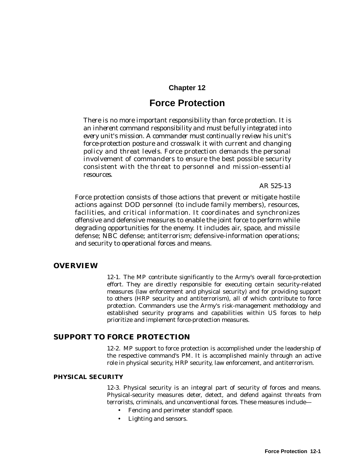### **Chapter 12**

## **Force Protection**

*There is no more important responsibility than force protection. It is an inherent command responsibility and must be fully integrated into every unit's mission. A commander must continually review his unit's force-protection posture and crosswalk it with current and changing policy and threat levels. Force protection demands the personal involvement of commanders to ensure the best possible security consistent with the threat to personnel and mission-essential resources.*

*AR 525-13*

Force protection consists of those actions that prevent or mitigate hostile actions against DOD personnel (to include family members), resources, facilities, and critical information. It coordinates and synchronizes offensive and defensive measures to enable the joint force to perform while degrading opportunities for the enemy. It includes air, space, and missile defense; NBC defense; antiterrorism; defensive-information operations; and security to operational forces and means.

#### **OVERVIEW**

12-1. The MP contribute significantly to the Army's overall force-protection effort. They are directly responsible for executing certain security-related measures (law enforcement and physical security) and for providing support to others (HRP security and antiterrorism), all of which contribute to force protection. Commanders use the Army's risk-management methodology and established security programs and capabilities within US forces to help prioritize and implement force-protection measures.

#### **SUPPORT TO FORCE PROTECTION**

12-2. MP support to force protection is accomplished under the leadership of the respective command's PM. It is accomplished mainly through an active role in physical security, HRP security, law enforcement, and antiterrorism.

#### **PHYSICAL SECURITY**

12-3. Physical security is an integral part of security of forces and means. Physical-security measures deter, detect, and defend against threats from terrorists, criminals, and unconventional forces. These measures include—

- Fencing and perimeter standoff space.
- Lighting and sensors.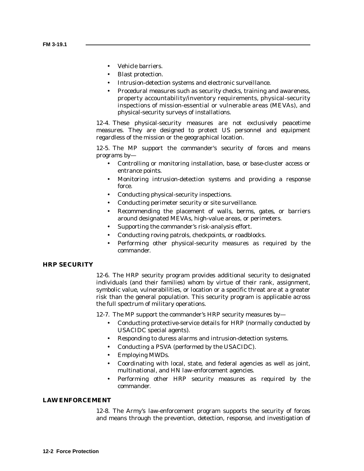- Vehicle barriers.
- Blast protection.
- Intrusion-detection systems and electronic surveillance.
- Procedural measures such as security checks, training and awareness, property accountability/inventory requirements, physical-security inspections of mission-essential or vulnerable areas (MEVAs), and physical-security surveys of installations.

12-4. These physical-security measures are not exclusively peacetime measures. They are designed to protect US personnel and equipment regardless of the mission or the geographical location.

12-5. The MP support the commander's security of forces and means programs by—

- Controlling or monitoring installation, base, or base-cluster access or entrance points.
- Monitoring intrusion-detection systems and providing a response force.
- Conducting physical-security inspections.
- Conducting perimeter security or site surveillance.
- Recommending the placement of walls, berms, gates, or barriers around designated MEVAs, high-value areas, or perimeters.
- Supporting the commander's risk-analysis effort.
- Conducting roving patrols, checkpoints, or roadblocks.
- Performing other physical-security measures as required by the commander.

#### **HRP SECURITY**

12-6. The HRP security program provides additional security to designated individuals (and their families) whom by virtue of their rank, assignment, symbolic value, vulnerabilities, or location or a specific threat are at a greater risk than the general population. This security program is applicable across the full spectrum of military operations.

12-7. The MP support the commander's HRP security measures by—

- Conducting protective-service details for HRP (normally conducted by USACIDC special agents).
- Responding to duress alarms and intrusion-detection systems.
- Conducting a PSVA (performed by the USACIDC).
- Employing MWDs.
- Coordinating with local, state, and federal agencies as well as joint, multinational, and HN law-enforcement agencies.
- Performing other HRP security measures as required by the commander.

#### **LAW ENFORCEMENT**

12-8. The Army's law-enforcement program supports the security of forces and means through the prevention, detection, response, and investigation of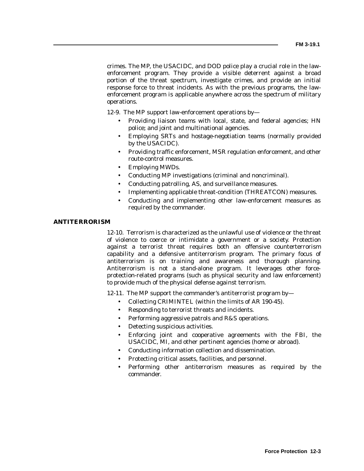crimes. The MP, the USACIDC, and DOD police play a crucial role in the lawenforcement program. They provide a visible deterrent against a broad portion of the threat spectrum, investigate crimes, and provide an initial response force to threat incidents. As with the previous programs, the lawenforcement program is applicable anywhere across the spectrum of military operations.

12-9. The MP support law-enforcement operations by—

- Providing liaison teams with local, state, and federal agencies; HN police; and joint and multinational agencies.
- Employing SRTs and hostage-negotiation teams (normally provided by the USACIDC).
- Providing traffic enforcement, MSR regulation enforcement, and other route-control measures.
- Employing MWDs.
- Conducting MP investigations (criminal and noncriminal).
- Conducting patrolling, AS, and surveillance measures.
- Implementing applicable threat-condition (THREATCON) measures.
- Conducting and implementing other law-enforcement measures as required by the commander.

#### **ANTITERRORISM**

12-10. Terrorism is characterized as the unlawful use of violence or the threat of violence to coerce or intimidate a government or a society. Protection against a terrorist threat requires both an offensive counterterrorism capability and a defensive antiterrorism program. The primary focus of antiterrorism is on training and awareness and thorough planning. Antiterrorism is not a stand-alone program. It leverages other forceprotection-related programs (such as physical security and law enforcement) to provide much of the physical defense against terrorism.

12-11. The MP support the commander's antiterrorist program by—

- Collecting CRIMINTEL (within the limits of AR 190-45).
- Responding to terrorist threats and incidents.
- Performing aggressive patrols and R&S operations.
- Detecting suspicious activities.
- Enforcing joint and cooperative agreements with the FBI, the USACIDC, MI, and other pertinent agencies (home or abroad).
- Conducting information collection and dissemination.
- Protecting critical assets, facilities, and personnel.
- Performing other antiterrorism measures as required by the commander.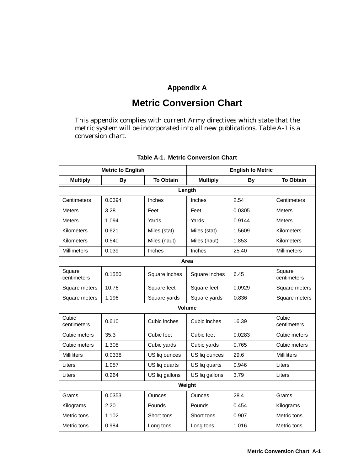## **Appendix A**

## **Metric Conversion Chart**

This appendix complies with current Army directives which state that the metric system will be incorporated into all new publications. Table A-1 is a conversion chart.

|                       | <b>Metric to English</b>      |                |                 | <b>English to Metric</b> |                       |  |  |  |
|-----------------------|-------------------------------|----------------|-----------------|--------------------------|-----------------------|--|--|--|
| <b>Multiply</b>       | <b>To Obtain</b><br><b>By</b> |                | <b>Multiply</b> | <b>By</b>                | <b>To Obtain</b>      |  |  |  |
| Length                |                               |                |                 |                          |                       |  |  |  |
| Centimeters           | 0.0394                        | Inches         | Inches          | 2.54                     | Centimeters           |  |  |  |
| Meters                | 3.28                          | Feet           | Feet            | 0.0305                   | <b>Meters</b>         |  |  |  |
| Meters                | 1.094                         | Yards          | Yards           | 0.9144                   | <b>Meters</b>         |  |  |  |
| Kilometers            | 0.621                         | Miles (stat)   | Miles (stat)    | 1.5609                   | Kilometers            |  |  |  |
| <b>Kilometers</b>     | 0.540                         | Miles (naut)   | Miles (naut)    | 1.853                    | Kilometers            |  |  |  |
| <b>Millimeters</b>    | 0.039                         | Inches         | Inches          | 25.40                    | <b>Millimeters</b>    |  |  |  |
|                       |                               |                | Area            |                          |                       |  |  |  |
| Square<br>centimeters | 0.1550                        | Square inches  | Square inches   | 6.45                     | Square<br>centimeters |  |  |  |
| Square meters         | 10.76                         | Square feet    | Square feet     | 0.0929                   | Square meters         |  |  |  |
| Square meters         | 1.196                         | Square yards   | Square yards    | 0.836                    | Square meters         |  |  |  |
|                       |                               |                | <b>Volume</b>   |                          |                       |  |  |  |
| Cubic<br>centimeters  | 0.610                         | Cubic inches   | Cubic inches    | 16.39                    | Cubic<br>centimeters  |  |  |  |
| Cubic meters          | 35.3                          | Cubic feet     | Cubic feet      | 0.0283                   | Cubic meters          |  |  |  |
| Cubic meters          | 1.308                         | Cubic yards    | Cubic yards     | 0.765                    | Cubic meters          |  |  |  |
| <b>Milliliters</b>    | 0.0338                        | US liq ounces  | US liq ounces   | 29.6                     | <b>Milliliters</b>    |  |  |  |
| Liters                | 1.057                         | US liq quarts  | US liq quarts   | 0.946                    | Liters                |  |  |  |
| Liters                | 0.264                         | US liq gallons | US liq gallons  | 3.79                     | Liters                |  |  |  |
|                       |                               |                | Weight          |                          |                       |  |  |  |
| Grams                 | 0.0353                        | <b>Ounces</b>  | <b>Ounces</b>   | 28.4                     | Grams                 |  |  |  |
| Kilograms             | 2.20                          | Pounds         | Pounds          | 0.454                    | Kilograms             |  |  |  |
| Metric tons           | 1.102                         | Short tons     | Short tons      | 0.907                    | Metric tons           |  |  |  |
| Metric tons           | 0.984                         | Long tons      | Long tons       | 1.016                    | Metric tons           |  |  |  |

#### **Table A-1. Metric Conversion Chart**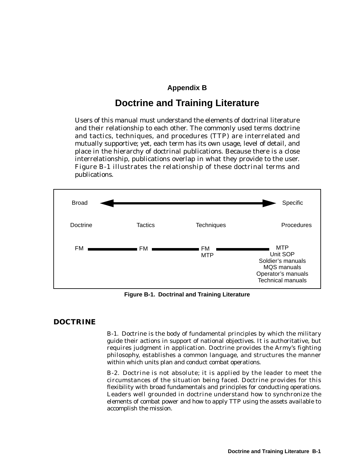#### **Appendix B**

## **Doctrine and Training Literature**

Users of this manual must understand the elements of doctrinal literature and their relationship to each other. The commonly used terms doctrine and tactics, techniques, and procedures (TTP) are interrelated and mutually supportive; yet, each term has its own usage, level of detail, and place in the hierarchy of doctrinal publications. Because there is a close interrelationship, publications overlap in what they provide to the user. Figure B-1 illustrates the relationship of these doctrinal terms and publications.



**Figure B-1. Doctrinal and Training Literature**

#### **DOCTRINE**

B-1. Doctrine is the body of fundamental principles by which the military guide their actions in support of national objectives. It is authoritative, but requires judgment in application. Doctrine provides the Army's fighting philosophy, establishes a common language, and structures the manner within which units plan and conduct combat operations.

B-2. Doctrine is not absolute; it is applied by the leader to meet the circumstances of the situation being faced. Doctrine provides for this flexibility with broad fundamentals and principles for conducting operations. Leaders well grounded in doctrine understand how to synchronize the elements of combat power and how to apply TTP using the assets available to accomplish the mission.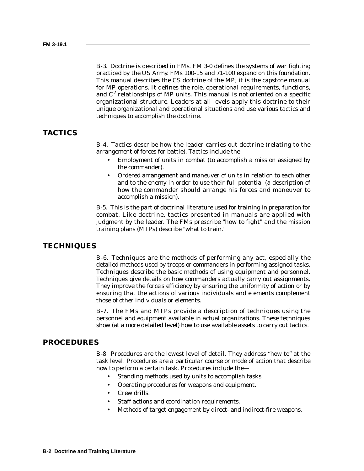B-3. Doctrine is described in FMs. FM 3-0 defines the systems of war fighting practiced by the US Army. FMs 100-15 and 71-100 expand on this foundation. This manual describes the CS doctrine of the MP; it is the capstone manual for MP operations. It defines the role, operational requirements, functions, and  $C<sup>2</sup>$  relationships of MP units. This manual is not oriented on a specific organizational structure. Leaders at all levels apply this doctrine to their unique organizational and operational situations and use various tactics and techniques to accomplish the doctrine.

### **TACTICS**

B-4. Tactics describe how the leader carries out doctrine (relating to the arrangement of forces for battle). Tactics include the—

- Employment of units in combat (to accomplish a mission assigned by the commander).
- Ordered arrangement and maneuver of units in relation to each other and to the enemy in order to use their full potential (a description of how the commander should arrange his forces and maneuver to accomplish a mission).

B-5. This is the part of doctrinal literature used for training in preparation for combat. Like doctrine, tactics presented in manuals are applied with judgment by the leader. The FMs prescribe "how to fight" and the mission training plans (MTPs) describe "what to train."

#### **TECHNIQUES**

B-6. Techniques are the methods of performing any act, especially the detailed methods used by troops or commanders in performing assigned tasks. Techniques describe the basic methods of using equipment and personnel. Techniques give details on how commanders actually carry out assignments. They improve the force's efficiency by ensuring the uniformity of action or by ensuring that the actions of various individuals and elements complement those of other individuals or elements.

B-7. The FMs and MTPs provide a description of techniques using the personnel and equipment available in actual organizations. These techniques show (at a more detailed level) how to use available assets to carry out tactics.

#### **PROCEDURES**

B-8. Procedures are the lowest level of detail. They address "how to" at the task level. Procedures are a particular course or mode of action that describe how to perform a certain task. Procedures include the—

- Standing methods used by units to accomplish tasks.
- Operating procedures for weapons and equipment.
- Crew drills.
- Staff actions and coordination requirements.
- Methods of target engagement by direct- and indirect-fire weapons.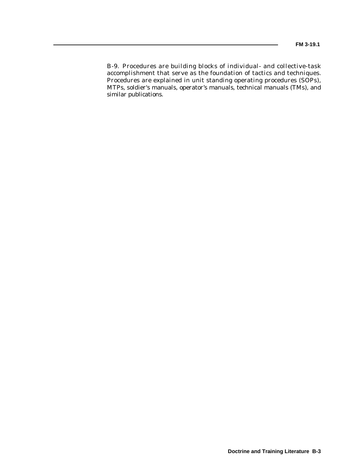B-9. Procedures are building blocks of individual- and collective-task accomplishment that serve as the foundation of tactics and techniques. Procedures are explained in unit standing operating procedures (SOPs), MTPs, soldier's manuals, operator's manuals, technical manuals (TMs), and similar publications.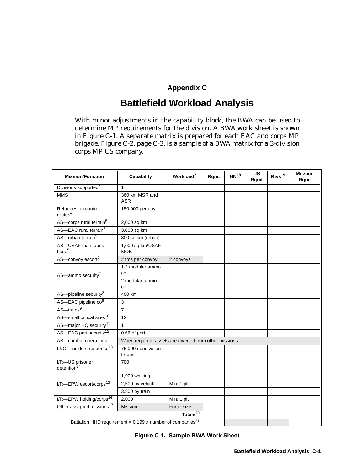## **Appendix C**

## **Battlefield Workload Analysis**

With minor adjustments in the capability block, the BWA can be used to determine MP requirements for the division. A BWA work sheet is shown in Figure C-1. A separate matrix is prepared for each EAC and corps MP brigade. Figure C-2, page C-3, is a sample of a BWA matrix for a 3-division corps MP CS company.

| Mission/Function <sup>1</sup>                                           | Capability <sup>1</sup>                                 | Workload <sup>2</sup>              | Rqmt | HN <sup>18</sup> | $\overline{\mathsf{u}\mathsf{s}}$<br>Ramt | Risk <sup>19</sup> | <b>Mission</b><br>Rqmt |
|-------------------------------------------------------------------------|---------------------------------------------------------|------------------------------------|------|------------------|-------------------------------------------|--------------------|------------------------|
| Divisions supported <sup>3</sup>                                        | $\mathbf{1}$                                            |                                    |      |                  |                                           |                    |                        |
| <b>MMS</b>                                                              | 360 km MSR and<br><b>ASR</b>                            |                                    |      |                  |                                           |                    |                        |
| Refugees on control<br>routes <sup>4</sup>                              | 150,000 per day                                         |                                    |      |                  |                                           |                    |                        |
| AS-corps rural terrain <sup>5</sup>                                     | 2,000 sq km                                             |                                    |      |                  |                                           |                    |                        |
| AS-EAC rural terrain <sup>5</sup>                                       | 3,000 sq km                                             |                                    |      |                  |                                           |                    |                        |
| AS-urban terrain <sup>5</sup>                                           | 800 sq km (urban)                                       |                                    |      |                  |                                           |                    |                        |
| AS-USAF main opns<br>base <sup>5</sup>                                  | 1,000 sq km/USAF<br><b>MOB</b>                          |                                    |      |                  |                                           |                    |                        |
| AS-convoy escort <sup>6</sup>                                           | # tms per convoy                                        | # convoys                          |      |                  |                                           |                    |                        |
| AS-ammo security <sup>7</sup>                                           | 1.3 modular ammo<br>CO                                  |                                    |      |                  |                                           |                    |                        |
|                                                                         | 2 modular ammo<br>CO                                    |                                    |      |                  |                                           |                    |                        |
| AS-pipeline security <sup>8</sup>                                       | 400 km                                                  |                                    |      |                  |                                           |                    |                        |
| AS-EAC pipeline co <sup>8</sup>                                         | 3                                                       |                                    |      |                  |                                           |                    |                        |
| $AS - \overline{\text{trans}^9}$                                        | $\overline{7}$                                          |                                    |      |                  |                                           |                    |                        |
| AS-small critical sites <sup>10</sup>                                   | 12                                                      |                                    |      |                  |                                           |                    |                        |
| AS-major HQ security <sup>11</sup>                                      | $\mathbf{1}$                                            |                                    |      |                  |                                           |                    |                        |
| AS-EAC port security <sup>12</sup>                                      | 0.66 of port                                            |                                    |      |                  |                                           |                    |                        |
| AS-combat operations                                                    | When required, assets are diverted from other missions. |                                    |      |                  |                                           |                    |                        |
| L&O-incident response <sup>13</sup>                                     | 75,000 nondivision<br>troops                            |                                    |      |                  |                                           |                    |                        |
| I/R-US prisoner<br>detention <sup>14</sup>                              | 700                                                     |                                    |      |                  |                                           |                    |                        |
|                                                                         | 1,900 walking                                           |                                    |      |                  |                                           |                    |                        |
| I/R-EPW escort/corps <sup>15</sup>                                      | 2,500 by vehicle                                        | Min: 1 plt                         |      |                  |                                           |                    |                        |
|                                                                         | 3,800 by train                                          |                                    |      |                  |                                           |                    |                        |
| I/R-EPW holding/corps <sup>16</sup>                                     | 2,000                                                   | Min: 1 plt                         |      |                  |                                           |                    |                        |
| Other assigned missions <sup>17</sup>                                   | Mission                                                 | Force size<br>Totals <sup>20</sup> |      |                  |                                           |                    |                        |
|                                                                         |                                                         |                                    |      |                  |                                           |                    |                        |
| Battalion HHD requirement = $0.199$ x number of companies <sup>21</sup> |                                                         |                                    |      |                  |                                           |                    |                        |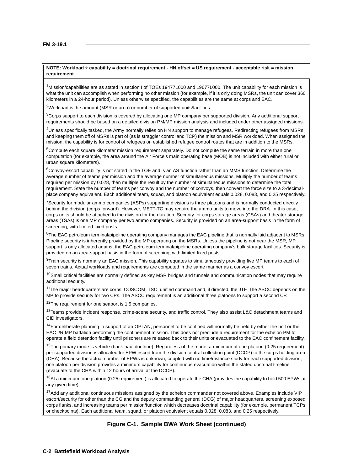#### **NOTE: Workload ÷ capability = doctrinal requirement - HN offset = US requirement - acceptable risk = mission requirement**

<sup>1</sup>Mission/capabilities are as stated in section I of TOEs 19477L000 and 19677L000. The unit capability for each mission is what the unit can accomplish when performing no other mission (for example, if it is only doing MSRs, the unit can cover 360 kilometers in a 24-hour period). Unless otherwise specified, the capabilities are the same at corps and EAC.

<sup>2</sup>Workload is the amount (MSR or area) or number of supported units/facilities.

<sup>3</sup>Corps support to each division is covered by allocating one MP company per supported division. Any additional support requirements should be based on a detailed division PM/MP mission analysis and included under other assigned missions.

4Unless specifically tasked, the Army normally relies on HN support to manage refugees. Redirecting refugees from MSRs and keeping them off of MSRs is part of (as is straggler control and TCP) the mission and MSR workload. When assigned the mission, the capability is for control of refugees on established refugee control routes that are in addition to the MSRs.

5Compute each square kilometer mission requirement separately. Do not compute the same terrain in more than one computation (for example, the area around the Air Force's main operating base (MOB) is not included with either rural or urban square kilometers).

 $6$ Convoy-escort capability is not stated in the TOE and is an AS function rather than an MMS function. Determine the average number of teams per mission and the average number of simultaneous missions. Multiply the number of teams required per mission by 0.028, then multiple the result by the number of simultaneous missions to determine the total requirement. State the number of teams per convoy and the number of convoys, then convert the force size to a 3-decimalplace company equivalent. Each additional team, squad, and platoon equivalent equals 0.028, 0.083, and 0.25 respectively.

 $7$ Security for modular ammo companies (ASPs) supporting divisions is three platoons and is normally conducted directly behind the division (corps forward). However, METT-TC may require the ammo units to move into the DRA. In this case, corps units should be attached to the division for the duration. Security for corps storage areas (CSAs) and theater storage areas (TSAs) is one MP company per two ammo companies. Security is provided on an area-support basis in the form of screening, with limited fixed posts.

 $8$ The EAC petroleum terminal/pipeline operating company manages the EAC pipeline that is normally laid adjacent to MSRs. Pipeline security is inherently provided by the MP operating on the MSRs. Unless the pipeline is not near the MSR, MP support is only allocated against the EAC petroleum terminal/pipeline operating company's bulk storage facilities. Security is provided on an area-support basis in the form of screening, with limited fixed posts.

9Train security is normally an EAC mission. This capability equates to simultaneously providing five MP teams to each of seven trains. Actual workloads and requirements are computed in the same manner as a convoy escort.

 $10$ Small critical facilities are normally defined as key MSR bridges and tunnels and communication nodes that may require additional security.

<sup>11</sup>The major headquarters are corps, COSCOM, TSC, unified command and, if directed, the JTF. The ASCC depends on the MP to provide security for two CPs. The ASCC requirement is an additional three platoons to support a second CP.

<sup>12</sup>The requirement for one seaport is 1.5 companies.

<sup>13</sup> Teams provide incident response, crime-scene security, and traffic control. They also assist L&O detachment teams and CID investigators.

 $14$ For deliberate planning in support of an OPLAN, personnel to be confined will normally be held by either the unit or the EAC I/R MP battalion performing the confinement mission. This does not preclude a requirement for the echelon PM to operate a field detention facility until prisoners are released back to their units or evacuated to the EAC confinement facility.

 $15$ The primary mode is vehicle (back-haul doctrine). Regardless of the mode, a minimum of one platoon (0.25 requirement) per supported division is allocated for EPW escort from the division central collection point (DCCP) to the corps holding area (CHA). Because the actual number of EPWs is unknown, coupled with no time/distance study for each supported division, one platoon per division provides a minimum capability for continuous evacuation within the stated doctrinal timeline (evacuate to the CHA within 12 hours of arrival at the DCCP).

 $16$ At a minimum, one platoon (0.25 requirement) is allocated to operate the CHA (provides the capability to hold 500 EPWs at any given time).

<sup>17</sup>Add any additional continuous missions assigned by the echelon commander not covered above. Examples include VIP escort/security for other than the CG and the deputy commanding general (DCG) of major headquarters, screening exposed corps flanks, and increasing teams per mission/function which decreases doctrinal capability (for example, permanent TCPs or checkpoints). Each additional team, squad, or platoon equivalent equals 0.028, 0.083, and 0.25 respectively.

#### **Figure C-1. Sample BWA Work Sheet (continued)**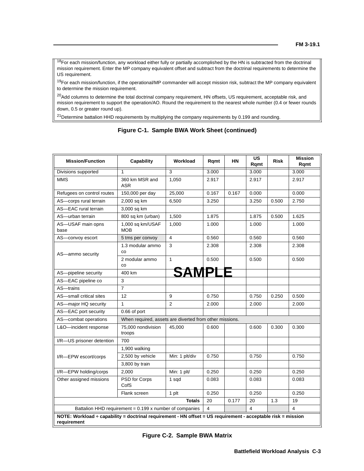<sup>18</sup>For each mission/function, any workload either fully or partially accomplished by the HN is subtracted from the doctrinal mission requirement. Enter the MP company equivalent offset and subtract from the doctrinal requirements to determine the US requirement.

 $19$ For each mission/function, if the operational/MP commander will accept mission risk, subtract the MP company equivalent to determine the mission requirement.

 $20$ Add columns to determine the total doctrinal company requirement, HN offsets, US requirement, acceptable risk, and mission requirement to support the operation/AO. Round the requirement to the nearest whole number (0.4 or fewer rounds down, 0.5 or greater round up).

 $21$ Determine battalion HHD requirements by multiplying the company requirements by 0.199 and rounding.

| <b>Mission/Function</b>                                                                                                     | Capability                                              | Workload                | Ramt  | HN    | US<br>Rqmt | <b>Risk</b> | <b>Mission</b><br>Rqmt |
|-----------------------------------------------------------------------------------------------------------------------------|---------------------------------------------------------|-------------------------|-------|-------|------------|-------------|------------------------|
| Divisions supported                                                                                                         | 1                                                       | 3                       | 3.000 |       | 3.000      |             | 3.000                  |
| <b>MMS</b>                                                                                                                  | 360 km MSR and<br><b>ASR</b>                            | 1,050                   | 2.917 |       | 2.917      |             | 2.917                  |
| Refugees on control routes                                                                                                  | 150,000 per day                                         | 25,000                  | 0.167 | 0.167 | 0.000      |             | 0.000                  |
| AS-corps rural terrain                                                                                                      | 2,000 sq km                                             | 6,500                   | 3.250 |       | 3.250      | 0.500       | 2.750                  |
| AS-EAC rural terrain                                                                                                        | 3,000 sq km                                             |                         |       |       |            |             |                        |
| AS-urban terrain                                                                                                            | 800 sq km (urban)                                       | 1,500                   | 1.875 |       | 1.875      | 0.500       | 1.625                  |
| AS-USAF main opns<br>base                                                                                                   | 1,000 sq km/USAF<br><b>MOB</b>                          | 1,000                   | 1.000 |       | 1.000      |             | 1.000                  |
| AS-convoy escort                                                                                                            | 5 tms per convoy                                        | $\overline{\mathbf{4}}$ | 0.560 |       | 0.560      |             | 0.560                  |
| AS-ammo security                                                                                                            | 1.3 modular ammo<br>CO                                  | 3                       | 2.308 |       | 2.308      |             | 2.308                  |
|                                                                                                                             | 2 modular ammo<br>CO                                    | $\mathbf{1}$            | 0.500 |       | 0.500      |             | 0.500                  |
| AS-pipeline security                                                                                                        | 400 km                                                  |                         |       |       |            |             |                        |
| AS-EAC pipeline co                                                                                                          | 3                                                       |                         |       |       |            |             |                        |
| AS-trains                                                                                                                   | $\overline{7}$                                          |                         |       |       |            |             |                        |
| AS-small critical sites                                                                                                     | 12                                                      | 9                       | 0.750 |       | 0.750      | 0.250       | 0.500                  |
| AS-major HQ security                                                                                                        | 1                                                       | $\overline{2}$          | 2.000 |       | 2.000      |             | 2.000                  |
| AS-EAC port security                                                                                                        | 0.66 of port                                            |                         |       |       |            |             |                        |
| AS-combat operations                                                                                                        | When required, assets are diverted from other missions. |                         |       |       |            |             |                        |
| L&O-incident response                                                                                                       | 75.000 nondivision<br>troops                            | 45,000                  | 0.600 |       | 0.600      | 0.300       | 0.300                  |
| I/R-US prisoner detention                                                                                                   | 700                                                     |                         |       |       |            |             |                        |
|                                                                                                                             | 1,900 walking                                           |                         |       |       |            |             |                        |
| I/R-EPW escort/corps                                                                                                        | 2,500 by vehicle                                        | Min: 1 plt/div          | 0.750 |       | 0.750      |             | 0.750                  |
|                                                                                                                             | 3,800 by train                                          |                         |       |       |            |             |                        |
| I/R-EPW holding/corps                                                                                                       | 2,000                                                   | Min: 1 plt/             | 0.250 |       | 0.250      |             | 0.250                  |
| Other assigned missions                                                                                                     | PSD for Corps<br>CofS                                   | 1 sqd                   | 0.083 |       | 0.083      |             | 0.083                  |
|                                                                                                                             | Flank screen                                            | 1 plt                   | 0.250 |       | 0.250      |             | 0.250                  |
|                                                                                                                             |                                                         | <b>Totals</b>           | 20    | 0.177 | 20         | 1.3         | 19                     |
|                                                                                                                             | Battalion HHD requirement = 0.199 x number of companies |                         | 4     |       | 4          |             | $\overline{4}$         |
| NOTE: Workload ÷ capability = doctrinal requirement - HN offset = US requirement - acceptable risk = mission<br>requirement |                                                         |                         |       |       |            |             |                        |

#### **Figure C-1. Sample BWA Work Sheet (continued)**

**Figure C-2. Sample BWA Matrix**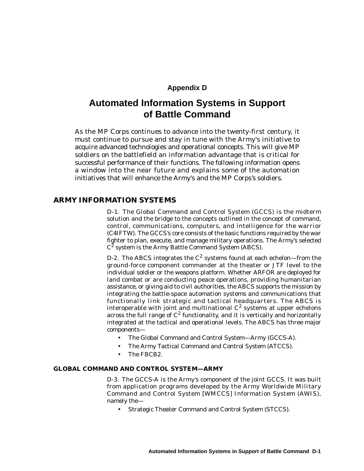#### **Appendix D**

## **Automated Information Systems in Support of Battle Command**

As the MP Corps continues to advance into the twenty-first century, it must continue to pursue and stay in tune with the Army's initiative to acquire advanced technologies and operational concepts. This will give MP soldiers on the battlefield an information advantage that is critical for successful performance of their functions. The following information opens a window into the near future and explains some of the automation initiatives that will enhance the Army's and the MP Corps's soldiers.

#### **ARMY INFORMATION SYSTEMS**

D-1. The Global Command and Control System (GCCS) is the midterm solution and the bridge to the concepts outlined in the concept of command, control, communications, computers, and intelligence for the warrior (C4IFTW). The GCCS's core consists of the basic functions required by the war fighter to plan, execute, and manage military operations. The Army's selected  $C^2$  system is the Army Battle Command System (ABCS).

D-2. The ABCS integrates the  $C^2$  systems found at each echelon—from the ground-force component commander at the theater or JTF level to the individual soldier or the weapons platform. Whether ARFOR are deployed for land combat or are conducting peace operations, providing humanitarian assistance, or giving aid to civil authorities, the ABCS supports the mission by integrating the battle-space automation systems and communications that functionally link strategic and tactical headquarters. The ABCS is interoperable with joint and multinational  $C^2$  systems at upper echelons across the full range of  $C^2$  functionality, and it is vertically and horizontally integrated at the tactical and operational levels. The ABCS has three major components—

- The Global Command and Control System—Army (GCCS-A).
- The Army Tactical Command and Control System (ATCCS).
- The FBCB2.

#### **GLOBAL COMMAND AND CONTROL SYSTEM—ARMY**

D-3. The GCCS-A is the Army's component of the joint GCCS. It was built from application programs developed by the Army Worldwide Military Command and Control System [WMCCS] Information System (AWIS), namely the—

• Strategic Theater Command and Control System (STCCS).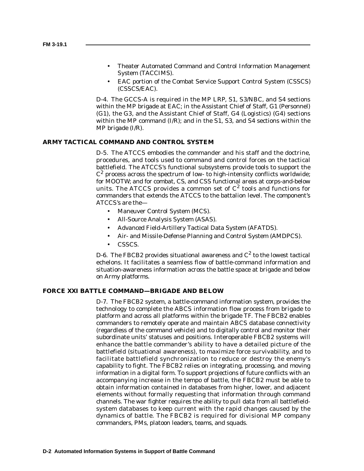- Theater Automated Command and Control Information Management System (TACCIMS).
- EAC portion of the Combat Service Support Control System (CSSCS) (CSSCS/EAC).

D-4. The GCCS-A is required in the MP LRP, S1, S3/NBC, and S4 sections within the MP brigade at EAC; in the Assistant Chief of Staff, G1 (Personnel) (G1), the G3, and the Assistant Chief of Staff, G4 (Logistics) (G4) sections within the MP command (I/R); and in the S1, S3, and S4 sections within the MP brigade (I/R).

#### **ARMY TACTICAL COMMAND AND CONTROL SYSTEM**

D-5. The ATCCS embodies the commander and his staff and the doctrine, procedures, and tools used to command and control forces on the tactical battlefield. The ATCCS's functional subsystems provide tools to support the  $C^2$  process across the spectrum of low- to high-intensity conflicts worldwide; for MOOTW; and for combat, CS, and CSS functional areas at corps-and-below units. The ATCCS provides a common set of  $C^2$  tools and functions for commanders that extends the ATCCS to the battalion level. The component's ATCCS's are the—

- Maneuver Control System (MCS).
- All-Source Analysis System (ASAS).
- Advanced Field-Artillery Tactical Data System (AFATDS).
- Air- and Missile-Defense Planning and Control System (AMDPCS).
- CSSCS.

D-6. The FBCB2 provides situational awareness and  $C^2$  to the lowest tactical echelons. It facilitates a seamless flow of battle-command information and situation-awareness information across the battle space at brigade and below on Army platforms.

#### **FORCE XXI BATTLE COMMAND—BRIGADE AND BELOW**

D-7. The FBCB2 system, a battle-command information system, provides the technology to complete the ABCS information flow process from brigade to platform and across all platforms within the brigade TF. The FBCB2 enables commanders to remotely operate and maintain ABCS database connectivity (regardless of the command vehicle) and to digitally control and monitor their subordinate units' statuses and positions. Interoperable FBCB2 systems will enhance the battle commander's ability to have a detailed picture of the battlefield (situational awareness), to maximize force survivability, and to facilitate battlefield synchronization to reduce or destroy the enemy's capability to fight. The FBCB2 relies on integrating, processing, and moving information in a digital form. To support projections of future conflicts with an accompanying increase in the tempo of battle, the FBCB2 must be able to obtain information contained in databases from higher, lower, and adjacent elements without formally requesting that information through command channels. The war fighter requires the ability to pull data from all battlefieldsystem databases to keep current with the rapid changes caused by the dynamics of battle. The FBCB2 is required for divisional MP company commanders, PMs, platoon leaders, teams, and squads.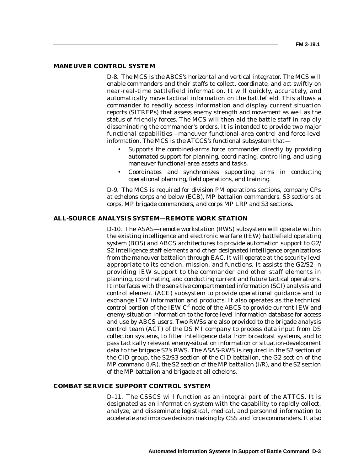#### **MANEUVER CONTROL SYSTEM**

D-8. The MCS is the ABCS's horizontal and vertical integrator. The MCS will enable commanders and their staffs to collect, coordinate, and act swiftly on near-real-time battlefield information. It will quickly, accurately, and automatically move tactical information on the battlefield. This allows a commander to readily access information and display current situation reports (SITREPs) that assess enemy strength and movement as well as the status of friendly forces. The MCS will then aid the battle staff in rapidly disseminating the commander's orders. It is intended to provide two major functional capabilities—maneuver functional-area control and force-level information. The MCS is the ATCCS's functional subsystem that—

- Supports the combined-arms force commander directly by providing automated support for planning, coordinating, controlling, and using maneuver functional-area assets and tasks.
- Coordinates and synchronizes supporting arms in conducting operational planning, field operations, and training.

D-9. The MCS is required for division PM operations sections, company CPs at echelons corps and below (ECB), MP battalion commanders, S3 sections at corps, MP brigade commanders, and corps MP LRP and S3 sections.

#### **ALL-SOURCE ANALYSIS SYSTEM—REMOTE WORK STATION**

D-10. The ASAS—remote workstation (RWS) subsystem will operate within the existing intelligence and electronic warfare (IEW) battlefield operating system (BOS) and ABCS architectures to provide automation support to G2/ S2 intelligence staff elements and other designated intelligence organizations from the maneuver battalion through EAC. It will operate at the security level appropriate to its echelon, mission, and functions. It assists the G2/S2 in providing IEW support to the commander and other staff elements in planning, coordinating, and conducting current and future tactical operations. It interfaces with the sensitive compartmented information (SCI) analysis and control element (ACE) subsystem to provide operational guidance and to exchange IEW information and products. It also operates as the technical control portion of the IEW  $C^2$  node of the ABCS to provide current IEW and enemy-situation information to the force-level information database for access and use by ABCS users. Two RWSs are also provided to the brigade analysis control team (ACT) of the DS MI company to process data input from DS collection systems, to filter intelligence data from broadcast systems, and to pass tactically relevant enemy-situation information or situation-development data to the brigade S2's RWS. The ASAS-RWS is required in the S2 section of the CID group, the S2/S3 section of the CID battalion, the G2 section of the MP command (I/R), the S2 section of the MP battalion (I/R), and the S2 section of the MP battalion and brigade at all echelons.

#### **COMBAT SERVICE SUPPORT CONTROL SYSTEM**

D-11. The CSSCS will function as an integral part of the ATTCS. It is designated as an information system with the capability to rapidly collect, analyze, and disseminate logistical, medical, and personnel information to accelerate and improve decision making by CSS and force commanders. It also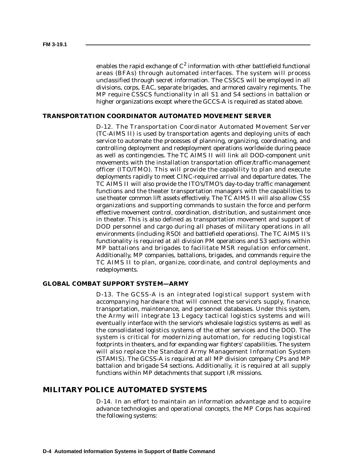enables the rapid exchange of  $C^2$  information with other battlefield functional areas (BFAs) through automated interfaces. The system will process unclassified through secret information. The CSSCS will be employed in all divisions, corps, EAC, separate brigades, and armored cavalry regiments. The MP require CSSCS functionality in all S1 and S4 sections in battalion or higher organizations except where the GCCS-A is required as stated above.

#### **TRANSPORTATION COORDINATOR AUTOMATED MOVEMENT SERVER**

D-12. The Transportation Coordinator Automated Movement Server (TC-AIMS II) is used by transportation agents and deploying units of each service to automate the processes of planning, organizing, coordinating, and controlling deployment and redeployment operations worldwide during peace as well as contingencies. The TC AIMS II will link all DOD-component unit movements with the installation transportation officer/traffic-management officer (ITO/TMO). This will provide the capability to plan and execute deployments rapidly to meet CINC-required arrival and departure dates. The TC AIMS II will also provide the ITO's/TMO's day-to-day traffic management functions and the theater transportation managers with the capabilities to use theater common lift assets effectively. The TC AIMS II will also allow CSS organizations and supporting commands to sustain the force and perform effective movement control, coordination, distribution, and sustainment once in theater. This is also defined as transportation movement and support of DOD personnel and cargo during all phases of military operations in all environments (including RSOI and battlefield operations). The TC AIMS II's functionality is required at all division PM operations and S3 sections within MP battalions and brigades to facilitate MSR regulation enforcement. Additionally, MP companies, battalions, brigades, and commands require the TC AIMS II to plan, organize, coordinate, and control deployments and redeployments.

#### **GLOBAL COMBAT SUPPORT SYSTEM—ARMY**

D-13. The GCSS-A is an integrated logistical support system with accompanying hardware that will connect the service's supply, finance, transportation, maintenance, and personnel databases. Under this system, the Army will integrate 13 Legacy tactical logistics systems and will eventually interface with the service's wholesale logistics systems as well as the consolidated logistics systems of the other services and the DOD. The system is critical for modernizing automation, for reducing logistical footprints in theaters, and for expanding war fighters' capabilities. The system will also replace the Standard Army Management Information System (STAMIS). The GCSS-A is required at all MP division company CPs and MP battalion and brigade S4 sections. Additionally, it is required at all supply functions within MP detachments that support I/R missions.

#### **MILITARY POLICE AUTOMATED SYSTEMS**

D-14. In an effort to maintain an information advantage and to acquire advance technologies and operational concepts, the MP Corps has acquired the following systems: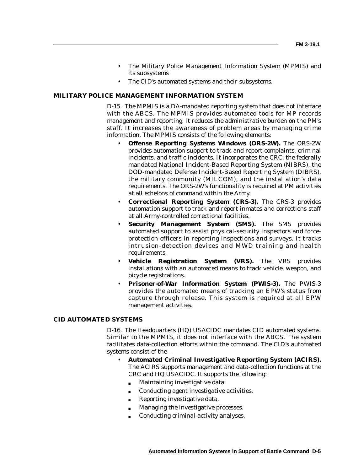- The Military Police Management Information System (MPMIS) and its subsystems
- The CID's automated systems and their subsystems.

#### **MILITARY POLICE MANAGEMENT INFORMATION SYSTEM**

D-15. The MPMIS is a DA-mandated reporting system that does not interface with the ABCS. The MPMIS provides automated tools for MP records management and reporting. It reduces the administrative burden on the PM's staff. It increases the awareness of problem areas by managing crime information. The MPMIS consists of the following elements:

- **Offense Reporting Systems Windows (ORS-2W).** The ORS-2W provides automation support to track and report complaints, criminal incidents, and traffic incidents. It incorporates the CRC, the federally mandated National Incident-Based Reporting System (NIBRS), the DOD-mandated Defense Incident-Based Reporting System (DIBRS), the military community (MILCOM), and the installation's data requirements. The ORS-2W's functionality is required at PM activities at all echelons of command within the Army.
- **Correctional Reporting System (CRS-3).** The CRS-3 provides automation support to track and report inmates and corrections staff at all Army-controlled correctional facilities.
- **Security Management System (SMS).** The SMS provides automated support to assist physical-security inspectors and forceprotection officers in reporting inspections and surveys. It tracks intrusion-detection devices and MWD training and health requirements.
- **Vehicle Registration System (VRS).** The VRS provides installations with an automated means to track vehicle, weapon, and bicycle registrations.
- **Prisoner-of-War Information System (PWIS-3).** The PWIS-3 provides the automated means of tracking an EPW's status from capture through release. This system is required at all EPW management activities.

#### **CID AUTOMATED SYSTEMS**

D-16. The Headquarters (HQ) USACIDC mandates CID automated systems. Similar to the MPMIS, it does not interface with the ABCS. The system facilitates data-collection efforts within the command. The CID's automated systems consist of the—

- **Automated Criminal Investigative Reporting System (ACIRS).** The ACIRS supports management and data-collection functions at the CRC and HQ USACIDC. It supports the following:
	- Maintaining investigative data.
	- Conducting agent investigative activities.
	- Reporting investigative data.
	- Managing the investigative processes.
	- Conducting criminal-activity analyses.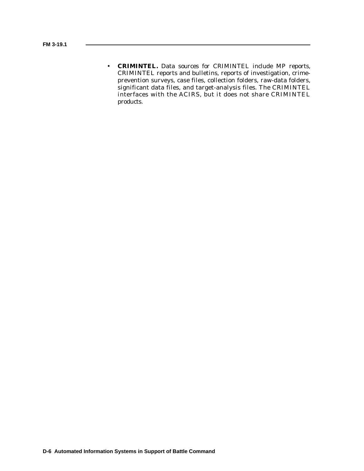• **CRIMINTEL.** Data sources for CRIMINTEL include MP reports, CRIMINTEL reports and bulletins, reports of investigation, crimeprevention surveys, case files, collection folders, raw-data folders, significant data files, and target-analysis files. The CRIMINTEL interfaces with the ACIRS, but it does not share CRIMINTEL products.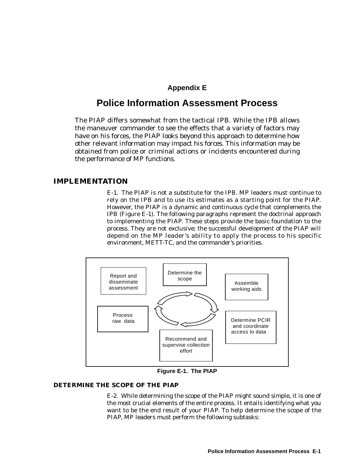### **Appendix E**

## **Police Information Assessment Process**

The PIAP differs somewhat from the tactical IPB. While the IPB allows the maneuver commander to see the effects that a variety of factors may have on his forces, the PIAP looks beyond this approach to determine how other relevant information may impact his forces. This information may be obtained from police or criminal actions or incidents encountered during the performance of MP functions.

#### **IMPLEMENTATION**

E-1. The PIAP is not a substitute for the IPB. MP leaders must continue to rely on the IPB and to use its estimates as a starting point for the PIAP. However, the PIAP is a dynamic and continuous cycle that complements the IPB (Figure E-1). The following paragraphs represent the doctrinal approach to implementing the PIAP. These steps provide the basic foundation to the process. They are not exclusive; the successful development of the PIAP will depend on the MP leader's ability to apply the process to his specific environment, METT-TC, and the commander's priorities.



**Figure E-1. The PIAP**

#### **DETERMINE THE SCOPE OF THE PIAP**

E-2. While determining the scope of the PIAP might sound simple, it is one of the most crucial elements of the entire process. It entails identifying what you want to be the end result of your PIAP. To help determine the scope of the PIAP, MP leaders must perform the following subtasks: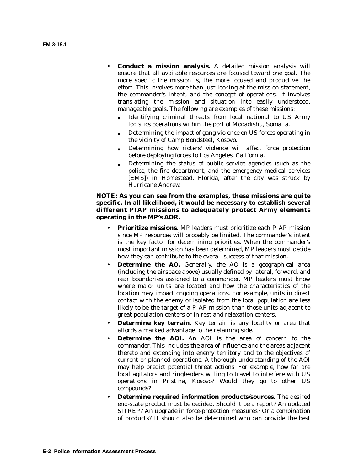- **Conduct a mission analysis.** A detailed mission analysis will ensure that all available resources are focused toward one goal. The more specific the mission is, the more focused and productive the effort. This involves more than just looking at the mission statement, the commander's intent, and the concept of operations. It involves translating the mission and situation into easily understood, manageable goals. The following are examples of these missions:
	- Identifying criminal threats from local national to US Army logistics operations within the port of Mogadishu, Somalia.
	- Determining the impact of gang violence on US forces operating in the vicinity of Camp Bondsteel, Kosovo.
	- Determining how rioters' violence will affect force protection before deploying forces to Los Angeles, California.
	- Determining the status of public service agencies (such as the police, the fire department, and the emergency medical services [EMS]) in Homestead, Florida, after the city was struck by Hurricane Andrew.

#### **NOTE: As you can see from the examples, these missions are quite specific. In all likelihood, it would be necessary to establish several different PIAP missions to adequately protect Army elements operating in the MP's AOR.**

- **Prioritize missions.** MP leaders must prioritize each PIAP mission since MP resources will probably be limited. The commander's intent is the key factor for determining priorities. When the commander's most important mission has been determined, MP leaders must decide how they can contribute to the overall success of that mission.
- **Determine the AO.** Generally, the AO is a geographical area (including the airspace above) usually defined by lateral, forward, and rear boundaries assigned to a commander. MP leaders must know where major units are located and how the characteristics of the location may impact ongoing operations. For example, units in direct contact with the enemy or isolated from the local population are less likely to be the target of a PIAP mission than those units adjacent to great population centers or in rest and relaxation centers.
- **Determine key terrain.** Key terrain is any locality or area that affords a marked advantage to the retaining side.
- **Determine the AOI.** An AOI is the area of concern to the commander. This includes the area of influence and the areas adjacent thereto and extending into enemy territory and to the objectives of current or planned operations. A thorough understanding of the AOI may help predict potential threat actions. For example, how far are local agitators and ringleaders willing to travel to interfere with US operations in Pristina, Kosovo? Would they go to other US compounds?
- **Determine required information products/sources.** The desired end-state product must be decided. Should it be a report? An updated SITREP? An upgrade in force-protection measures? Or a combination of products? It should also be determined who can provide the best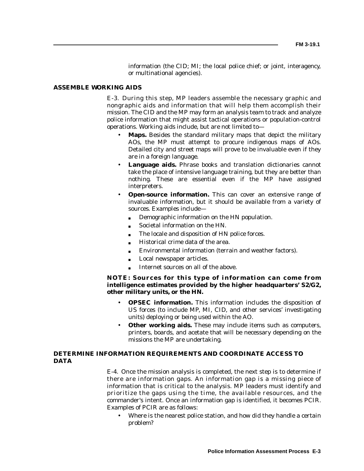information (the CID; MI; the local police chief; or joint, interagency, or multinational agencies).

#### **ASSEMBLE WORKING AIDS**

E-3. During this step, MP leaders assemble the necessary graphic and nongraphic aids and information that will help them accomplish their mission. The CID and the MP may form an analysis team to track and analyze police information that might assist tactical operations or population-control operations. Working aids include, but are not limited to—

- **Maps.** Besides the standard military maps that depict the military AOs, the MP must attempt to procure indigenous maps of AOs. Detailed city and street maps will prove to be invaluable even if they are in a foreign language.
- **Language aids.** Phrase books and translation dictionaries cannot take the place of intensive language training, but they are better than nothing. These are essential even if the MP have assigned interpreters.
- **Open-source information.** This can cover an extensive range of invaluable information, but it should be available from a variety of sources. Examples include—
	- Demographic information on the HN population.
	- Societal information on the HN.
	- The locale and disposition of HN police forces.
	- Historical crime data of the area.
	- Environmental information (terrain and weather factors).
	- Local newspaper articles.
	- Internet sources on all of the above.

#### **NOTE: Sources for this type of information can come from intelligence estimates provided by the higher headquarters' S2/G2, other military units, or the HN.**

- **OPSEC information.** This information includes the disposition of US forces (to include MP, MI, CID, and other services' investigating units) deploying or being used within the AO.
- **Other working aids.** These may include items such as computers, printers, boards, and acetate that will be necessary depending on the missions the MP are undertaking.

#### **DETERMINE INFORMATION REQUIREMENTS AND COORDINATE ACCESS TO DATA**

E-4. Once the mission analysis is completed, the next step is to determine if there are information gaps. An information gap is a missing piece of information that is critical to the analysis. MP leaders must identify and prioritize the gaps using the time, the available resources, and the commander's intent. Once an information gap is identified, it becomes PCIR. Examples of PCIR are as follows:

Where is the nearest police station, and how did they handle a certain problem?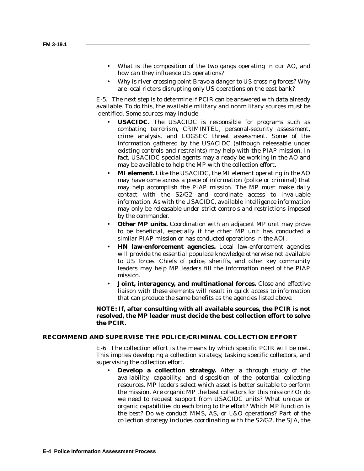- What is the composition of the two gangs operating in our AO, and how can they influence US operations?
- Why is river-crossing point Bravo a danger to US crossing forces? Why are local rioters disrupting only US operations on the east bank?

E-5. The next step is to determine if PCIR can be answered with data already available. To do this, the available military and nonmilitary sources must be identified. Some sources may include—

- **USACIDC.** The USACIDC is responsible for programs such as combating terrorism, CRIMINTEL, personal-security assessment, crime analysis, and LOGSEC threat assessment. Some of the information gathered by the USACIDC (although releasable under existing controls and restraints) may help with the PIAP mission. In fact, USACIDC special agents may already be working in the AO and may be available to help the MP with the collection effort.
- **MI element.** Like the USACIDC, the MI element operating in the AO may have come across a piece of information (police or criminal) that may help accomplish the PIAP mission. The MP must make daily contact with the S2/G2 and coordinate access to invaluable information. As with the USACIDC, available intelligence information may only be releasable under strict controls and restrictions imposed by the commander.
- **Other MP units.** Coordination with an adjacent MP unit may prove to be beneficial, especially if the other MP unit has conducted a similar PIAP mission or has conducted operations in the AOI.
- **HN law-enforcement agencies.** Local law-enforcement agencies will provide the essential populace knowledge otherwise not available to US forces. Chiefs of police, sheriffs, and other key community leaders may help MP leaders fill the information need of the PIAP mission.
- **Joint, interagency, and multinational forces.** Close and effective liaison with these elements will result in quick access to information that can produce the same benefits as the agencies listed above.

**NOTE: If, after consulting with all available sources, the PCIR is not resolved, the MP leader must decide the best collection effort to solve the PCIR.**

#### **RECOMMEND AND SUPERVISE THE POLICE/CRIMINAL COLLECTION EFFORT**

E-6. The collection effort is the means by which specific PCIR will be met. This implies developing a collection strategy, tasking specific collectors, and supervising the collection effort.

• **Develop a collection strategy.** After a through study of the availability, capability, and disposition of the potential collecting resources, MP leaders select which asset is better suitable to perform the mission. Are organic MP the best collectors for this mission? Or do we need to request support from USACIDC units? What unique or organic capabilities do each bring to the effort? Which MP function is the best? Do we conduct MMS, AS, or L&O operations? Part of the collection strategy includes coordinating with the S2/G2, the SJA, the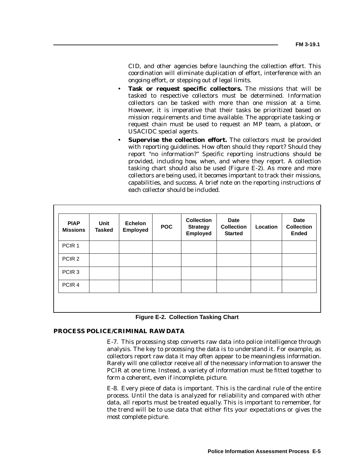CID, and other agencies before launching the collection effort. This coordination will eliminate duplication of effort, interference with an ongoing effort, or stepping out of legal limits.

- **Task or request specific collectors.** The missions that will be tasked to respective collectors must be determined. Information collectors can be tasked with more than one mission at a time. However, it is imperative that their tasks be prioritized based on mission requirements and time available. The appropriate tasking or request chain must be used to request an MP team, a platoon, or USACIDC special agents.
- **Supervise the collection effort.** The collectors must be provided with reporting guidelines. How often should they report? Should they report "no information?" Specific reporting instructions should be provided, including how, when, and where they report. A collection tasking chart should also be used (Figure E-2). As more and more collectors are being used, it becomes important to track their missions, capabilities, and success. A brief note on the reporting instructions of each collector should be included.

| <b>PIAP</b><br><b>Missions</b> | <b>Unit</b><br><b>Tasked</b> | <b>Echelon</b><br><b>Employed</b> | <b>POC</b> | <b>Collection</b><br><b>Strategy</b><br><b>Employed</b> | <b>Date</b><br><b>Collection</b><br><b>Started</b> | Location | <b>Date</b><br><b>Collection</b><br><b>Ended</b> |
|--------------------------------|------------------------------|-----------------------------------|------------|---------------------------------------------------------|----------------------------------------------------|----------|--------------------------------------------------|
| PCIR <sub>1</sub>              |                              |                                   |            |                                                         |                                                    |          |                                                  |
| PCIR <sub>2</sub>              |                              |                                   |            |                                                         |                                                    |          |                                                  |
| PCIR <sub>3</sub>              |                              |                                   |            |                                                         |                                                    |          |                                                  |
| PCIR <sub>4</sub>              |                              |                                   |            |                                                         |                                                    |          |                                                  |
|                                |                              |                                   |            |                                                         |                                                    |          |                                                  |

**Figure E-2. Collection Tasking Chart**

#### **PROCESS POLICE/CRIMINAL RAW DATA**

E-7. This processing step converts raw data into police intelligence through analysis. The key to processing the data is to understand it. For example, as collectors report raw data it may often appear to be meaningless information. Rarely will one collector receive all of the necessary information to answer the PCIR at one time. Instead, a variety of information must be fitted together to form a coherent, even if incomplete, picture.

E-8. Every piece of data is important. This is the cardinal rule of the entire process. Until the data is analyzed for reliability and compared with other data, all reports must be treated equally. This is important to remember, for the trend will be to use data that either fits your expectations or gives the most complete picture.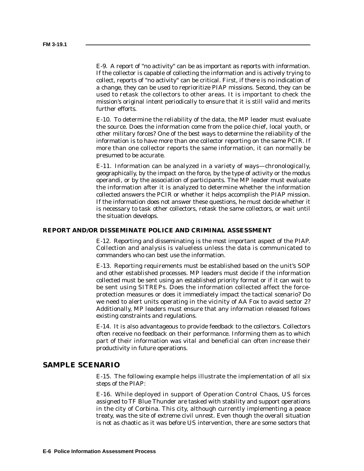E-9. A report of "no activity" can be as important as reports with information. If the collector is capable of collecting the information and is actively trying to collect, reports of "no activity" can be critical. First, if there is no indication of a change, they can be used to reprioritize PIAP missions. Second, they can be used to retask the collectors to other areas. It is important to check the mission's original intent periodically to ensure that it is still valid and merits further efforts.

E-10. To determine the reliability of the data, the MP leader must evaluate the source. Does the information come from the police chief, local youth, or other military forces? One of the best ways to determine the reliability of the information is to have more than one collector reporting on the same PCIR. If more than one collector reports the same information, it can normally be presumed to be accurate.

E-11. Information can be analyzed in a variety of ways—chronologically, geographically, by the impact on the force, by the type of activity or the modus operandi, or by the association of participants. The MP leader must evaluate the information after it is analyzed to determine whether the information collected answers the PCIR or whether it helps accomplish the PIAP mission. If the information does not answer these questions, he must decide whether it is necessary to task other collectors, retask the same collectors, or wait until the situation develops.

#### **REPORT AND/OR DISSEMINATE POLICE AND CRIMINAL ASSESSMENT**

E-12. Reporting and disseminating is the most important aspect of the PIAP. Collection and analysis is valueless unless the data is communicated to commanders who can best use the information.

E-13. Reporting requirements must be established based on the unit's SOP and other established processes. MP leaders must decide if the information collected must be sent using an established priority format or if it can wait to be sent using SITREPs. Does the information collected affect the forceprotection measures or does it immediately impact the tactical scenario? Do we need to alert units operating in the vicinity of AA Fox to avoid sector 2? Additionally, MP leaders must ensure that any information released follows existing constraints and regulations.

E-14. It is also advantageous to provide feedback to the collectors. Collectors often receive no feedback on their performance. Informing them as to which part of their information was vital and beneficial can often increase their productivity in future operations.

#### **SAMPLE SCENARIO**

E-15. The following example helps illustrate the implementation of all six steps of the PIAP:

E-16. While deployed in support of Operation Control Chaos, US forces assigned to TF Blue Thunder are tasked with stability and support operations in the city of Corbina. This city, although currently implementing a peace treaty, was the site of extreme civil unrest. Even though the overall situation is not as chaotic as it was before US intervention, there are some sectors that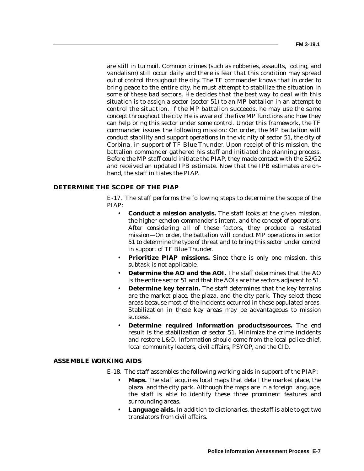are still in turmoil. Common crimes (such as robberies, assaults, looting, and vandalism) still occur daily and there is fear that this condition may spread out of control throughout the city. The TF commander knows that in order to bring peace to the entire city, he must attempt to stabilize the situation in some of these bad sectors. He decides that the best way to deal with this situation is to assign a sector (sector 51) to an MP battalion in an attempt to control the situation. If the MP battalion succeeds, he may use the same concept throughout the city. He is aware of the five MP functions and how they can help bring this sector under some control. Under this framework, the TF commander issues the following mission: *On order, the MP battalion will conduct stability and support operations in the vicinity of sector 51, the city of Corbina, in support of TF Blue Thunder.* Upon receipt of this mission, the battalion commander gathered his staff and initiated the planning process. Before the MP staff could initiate the PIAP, they made contact with the S2/G2 and received an updated IPB estimate. Now that the IPB estimates are onhand, the staff initiates the PIAP.

#### **DETERMINE THE SCOPE OF THE PIAP**

E-17. The staff performs the following steps to determine the scope of the PIAP:

- **Conduct a mission analysis.** The staff looks at the given mission, the higher echelon commander's intent, and the concept of operations. After considering all of these factors, they produce a restated mission—*On order, the battalion will conduct MP operations in sector 51 to determine the type of threat and to bring this sector under control in support of TF Blue Thunder.*
- **Prioritize PIAP missions.** Since there is only one mission, this subtask is not applicable.
- **Determine the AO and the AOI.** The staff determines that the AO is the entire sector 51 and that the AOIs are the sectors adjacent to 51.
- **Determine key terrain.** The staff determines that the key terrains are the market place, the plaza, and the city park. They select these areas because most of the incidents occurred in these populated areas. Stabilization in these key areas may be advantageous to mission success.
- **Determine required information products/sources.** The end result is the stabilization of sector 51. Minimize the crime incidents and restore L&O. Information should come from the local police chief, local community leaders, civil affairs, PSYOP, and the CID.

#### **ASSEMBLE WORKING AIDS**

- E-18. The staff assembles the following working aids in support of the PIAP:
	- **Maps.** The staff acquires local maps that detail the market place, the plaza, and the city park. Although the maps are in a foreign language, the staff is able to identify these three prominent features and surrounding areas.
	- **Language aids.** In addition to dictionaries, the staff is able to get two translators from civil affairs.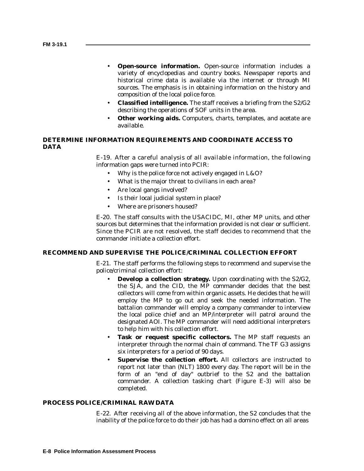- **Open-source information.** Open-source information includes a variety of encyclopedias and country books. Newspaper reports and historical crime data is available via the internet or through MI sources. The emphasis is in obtaining information on the history and composition of the local police force.
- **Classified intelligence.** The staff receives a briefing from the S2/G2 describing the operations of SOF units in the area.
- **Other working aids.** Computers, charts, templates, and acetate are available.

#### **DETERMINE INFORMATION REQUIREMENTS AND COORDINATE ACCESS TO DATA**

E-19. After a careful analysis of all available information, the following information gaps were turned into PCIR:

- Why is the police force not actively engaged in L&O?
- What is the major threat to civilians in each area?
- Are local gangs involved?
- Is their local judicial system in place?
- Where are prisoners housed?

E-20. The staff consults with the USACIDC, MI, other MP units, and other sources but determines that the information provided is not clear or sufficient. Since the PCIR are not resolved, the staff decides to recommend that the commander initiate a collection effort.

#### **RECOMMEND AND SUPERVISE THE POLICE/CRIMINAL COLLECTION EFFORT**

E-21. The staff performs the following steps to recommend and supervise the police/criminal collection effort:

- **Develop a collection strategy.** Upon coordinating with the S2/G2, the SJA, and the CID, the MP commander decides that the best collectors will come from within organic assets. He decides that he will employ the MP to go out and seek the needed information. The battalion commander will employ a company commander to interview the local police chief and an MP/interpreter will patrol around the designated AOI. The MP commander will need additional interpreters to help him with his collection effort.
- Task or request specific collectors. The MP staff requests an interpreter through the normal chain of command. The TF G3 assigns six interpreters for a period of 90 days.
- Supervise the collection effort. All collectors are instructed to report not later than (NLT) 1800 every day. The report will be in the form of an "end of day" outbrief to the S2 and the battalion commander. A collection tasking chart (Figure E-3) will also be completed.

#### **PROCESS POLICE/CRIMINAL RAW DATA**

E-22. After receiving all of the above information, the S2 concludes that the inability of the police force to do their job has had a domino effect on all areas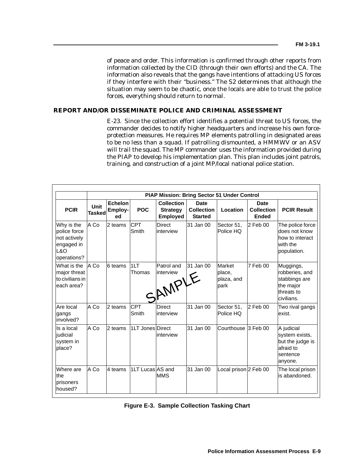of peace and order. This information is confirmed through other reports from information collected by the CID (through their own efforts) and the CA. The information also reveals that the gangs have intentions of attacking US forces if they interfere with their "business." The S2 determines that although the situation may seem to be chaotic, once the locals are able to trust the police forces, everything should return to normal.

#### **REPORT AND/OR DISSEMINATE POLICE AND CRIMINAL ASSESSMENT**

E-23. Since the collection effort identifies a potential threat to US forces, the commander decides to notify higher headquarters and increase his own forceprotection measures. He requires MP elements patrolling in designated areas to be no less than a squad. If patrolling dismounted, a HMMWV or an ASV will trail the squad. The MP commander uses the information provided during the PIAP to develop his implementation plan. This plan includes joint patrols, training, and construction of a joint MP/local national police station.

|                                                                                |                              |                                 |                     |                                                         |                                                    | PIAP Mission: Bring Sector 51 Under Control   |                                           |                                                                                       |
|--------------------------------------------------------------------------------|------------------------------|---------------------------------|---------------------|---------------------------------------------------------|----------------------------------------------------|-----------------------------------------------|-------------------------------------------|---------------------------------------------------------------------------------------|
| <b>PCIR</b>                                                                    | <b>Unit</b><br><b>Tasked</b> | <b>Echelon</b><br>Employ-<br>ed | <b>POC</b>          | <b>Collection</b><br><b>Strategy</b><br><b>Employed</b> | <b>Date</b><br><b>Collection</b><br><b>Started</b> | Location                                      | Date<br><b>Collection</b><br><b>Ended</b> | <b>PCIR Result</b>                                                                    |
| Why is the<br>police force<br>not actively<br>engaged in<br>L&O<br>operations? | A Co                         | 2 teams                         | CPT<br>Smith        | <b>Direct</b><br>interview                              | 31 Jan 00                                          | Sector 51.<br>Police HQ                       | 2 Feb 00                                  | The police force<br>does not know<br>how to interact<br>with the<br>population.       |
| What is the<br>major threat<br>to civilians in<br>each area?                   | A Co                         | 6 teams                         | 1LT<br>Thomas       | Patrol and<br>linterview<br>SAMPLE                      | 31 Jan 00                                          | <b>Market</b><br>place,<br>plaza, and<br>park | 7 Feb 00                                  | Muggings,<br>robberies, and<br>stabbings are<br>the major<br>threats to<br>civilians. |
| Are local<br>gangs<br>involved?                                                | A Co                         | 2 teams                         | <b>CPT</b><br>Smith | <b>Direct</b><br>linterview                             | 31 Jan 00                                          | Sector 51,<br>Police HQ                       | 2 Feb 00                                  | Two rival gangs<br>exist.                                                             |
| Is a local<br>iudicial<br>system in<br>place?                                  | A Co                         | 2 teams                         | 1LT Jones Direct    | interview                                               | 31 Jan 00                                          | Courthouse <sup>3</sup> Feb 00                |                                           | A judicial<br>system exists,<br>but the judge is<br>afraid to<br>sentence<br>anyone.  |
| Where are<br>the<br>prisoners<br>housed?                                       | A Co                         | 4 teams                         | 1LT Lucas AS and    | <b>MMS</b>                                              | 31 Jan 00                                          | Local prison 2 Feb 00                         |                                           | The local prison<br>is abandoned.                                                     |

| Figure E-3. Sample Collection Tasking Chart |  |  |  |  |
|---------------------------------------------|--|--|--|--|
|---------------------------------------------|--|--|--|--|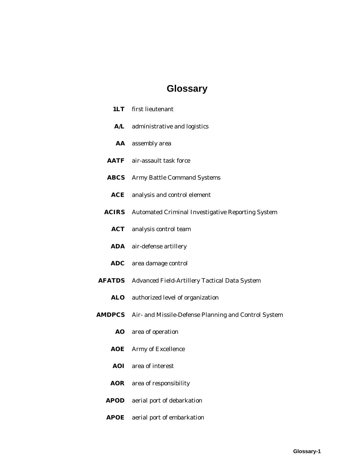# **Glossary**

| 1LT            | first lieutenant                                                   |
|----------------|--------------------------------------------------------------------|
| ${\bf A/L}$    | administrative and logistics                                       |
|                | AA assembly area                                                   |
|                | <b>AATF</b> air-assault task force                                 |
| <b>ABCS</b>    | <b>Army Battle Command Systems</b>                                 |
| $\mathbf{ACE}$ | analysis and control element                                       |
| <b>ACIRS</b>   | <b>Automated Criminal Investigative Reporting System</b>           |
| ACT            | analysis control team                                              |
| <b>ADA</b>     | air-defense artillery                                              |
|                | ADC area damage control                                            |
| <b>AFATDS</b>  | Advanced Field-Artillery Tactical Data System                      |
|                | ALO authorized level of organization                               |
|                | <b>AMDPCS</b> Air- and Missile-Defense Planning and Control System |
|                | AO area of operation                                               |
| AOE            | Army of Excellence                                                 |
| <b>AOI</b>     | area of interest                                                   |
| <b>AOR</b>     | area of responsibility                                             |
| <b>APOD</b>    | aerial port of debarkation                                         |
|                |                                                                    |

**APOE** aerial port of embarkation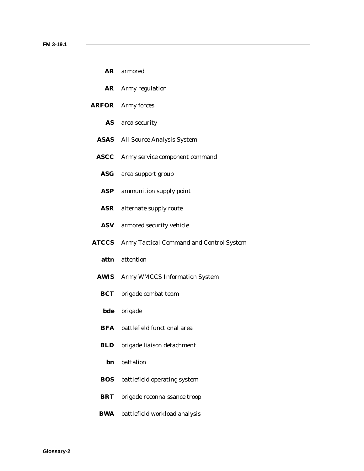- **AR** armored
- **AR** Army regulation
- **ARFOR** Army forces
	- **AS** area security
	- **ASAS** All-Source Analysis System
	- **ASCC** Army service component command
		- **ASG** area support group
		- **ASP** ammunition supply point
		- **ASR** alternate supply route
		- **ASV** armored security vehicle
- **ATCCS** Army Tactical Command and Control System
	- **attn** attention
	- **AWIS** Army WMCCS Information System
		- **BCT** brigade combat team
		- **bde** brigade
		- **BFA** battlefield functional area
	- **BLD** brigade liaison detachment
		- **bn** battalion
	- **BOS** battlefield operating system
	- **BRT** brigade reconnaissance troop
	- **BWA** battlefield workload analysis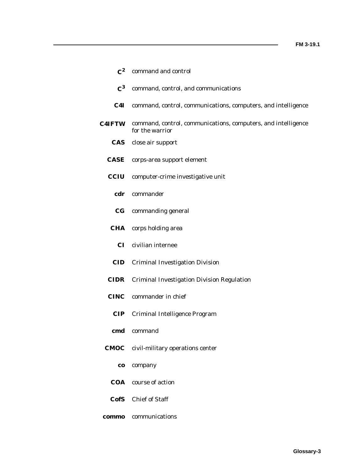| $\mathbf{C}^2$ | command and control                                                              |
|----------------|----------------------------------------------------------------------------------|
| $\mathbf{C}^3$ | command, control, and communications                                             |
| C4I            | command, control, communications, computers, and intelligence                    |
| <b>C4IFTW</b>  | command, control, communications, computers, and intelligence<br>for the warrior |
|                | <b>CAS</b> close air support                                                     |
|                | <b>CASE</b> corps-area support element                                           |
| <b>CCIU</b>    | computer-crime investigative unit                                                |
| cdr            | commander                                                                        |
| $_{\bf CG}$    | commanding general                                                               |
| <b>CHA</b>     | corps holding area                                                               |
| CI.            | civilian internee                                                                |
| <b>CID</b>     | <b>Criminal Investigation Division</b>                                           |
| <b>CIDR</b>    | <b>Criminal Investigation Division Regulation</b>                                |
|                | <b>CINC</b> commander in chief                                                   |
| <b>CIP</b>     | Criminal Intelligence Program                                                    |
| cmd            | command                                                                          |
| <b>CMOC</b>    | civil-military operations center                                                 |
| <b>CO</b>      | company                                                                          |
| <b>COA</b>     | course of action                                                                 |
|                | CofS Chief of Staff                                                              |

**commo** communications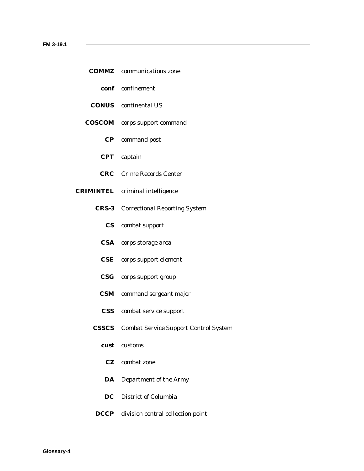- **COMMZ** communications zone
	- **conf** confinement
- **CONUS** continental US
- **COSCOM** corps support command
	- **CP** command post
	- **CPT** captain
	- **CRC** Crime Records Center
- **CRIMINTEL** criminal intelligence
	- **CRS-3** Correctional Reporting System
		- **CS** combat support
		- **CSA** corps storage area
		- **CSE** corps support element
		- **CSG** corps support group
		- **CSM** command sergeant major
		- **CSS** combat service support
	- **CSSCS** Combat Service Support Control System
		- **cust** customs
			- **CZ** combat zone
		- **DA** Department of the Army
		- **DC** District of Columbia
	- **DCCP** division central collection point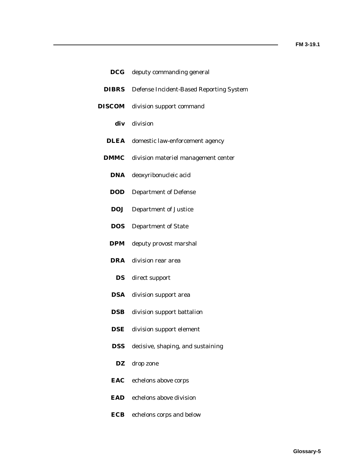L,

| $\bf DCG$     | deputy commanding general                       |
|---------------|-------------------------------------------------|
| <b>DIBRS</b>  | Defense Incident-Based Reporting System         |
| <b>DISCOM</b> | division support command                        |
|               | div division                                    |
|               | <b>DLEA</b> domestic law-enforcement agency     |
|               | <b>DMMC</b> division materiel management center |
| DNA           | deoxyribonucleic acid                           |
| <b>DOD</b>    | <b>Department of Defense</b>                    |
| <b>DOJ</b>    | <b>Department of Justice</b>                    |
| <b>DOS</b>    | <b>Department of State</b>                      |
| <b>DPM</b>    | deputy provost marshal                          |
|               | <b>DRA</b> division rear area                   |
| DS            | direct support                                  |
| DSA           | division support area                           |
| DSB           | division support battalion                      |
| <b>DSE</b>    | division support element                        |
| <b>DSS</b>    | decisive, shaping, and sustaining               |
| DZ            | drop zone                                       |
| EAC           | echelons above corps                            |
| EAD           | echelons above division                         |
| ECB           | echelons corps and below                        |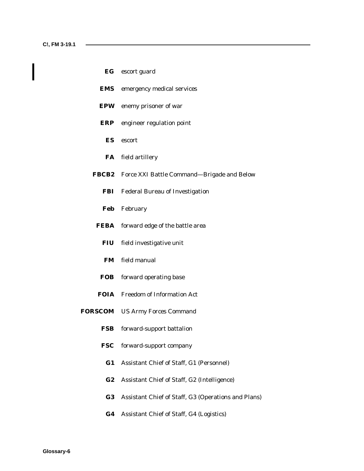| EG | escort guard |  |
|----|--------------|--|
|    |              |  |

- **EMS** emergency medical services
- **EPW** enemy prisoner of war
- **ERP** engineer regulation point
	- **ES** escort
	- **FA** field artillery
- **FBCB2** Force XXI Battle Command—Brigade and Below
	- **FBI** Federal Bureau of Investigation
	- **Feb** February
- **FEBA** forward edge of the battle area
	- **FIU** field investigative unit
	- **FM** field manual
	- **FOB** forward operating base
- **FOIA** Freedom of Information Act
- **FORSCOM** US Army Forces Command
	- **FSB** forward-support battalion
	- **FSC** forward-support company
		- **G1** Assistant Chief of Staff, G1 (Personnel)
		- **G2** Assistant Chief of Staff, G2 (Intelligence)
		- **G3** Assistant Chief of Staff, G3 (Operations and Plans)
		- **G4** Assistant Chief of Staff, G4 (Logistics)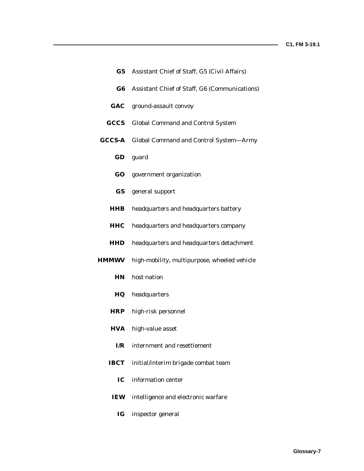|             | G5 Assistant Chief of Staff, G5 (Civil Affairs)      |
|-------------|------------------------------------------------------|
| $\bf G6$    | Assistant Chief of Staff, G6 (Communications)        |
|             | <b>GAC</b> ground-assault convoy                     |
| CCCS        | <b>Global Command and Control System</b>             |
|             | <b>GCCS-A</b> Global Command and Control System-Army |
|             | GD guard                                             |
|             | <b>GO</b> government organization                    |
|             | <b>GS</b> general support                            |
| <b>HHB</b>  | headquarters and headquarters battery                |
| <b>HHC</b>  | headquarters and headquarters company                |
| <b>HHD</b>  | headquarters and headquarters detachment             |
|             | HMMWV high-mobility, multipurpose, wheeled vehicle   |
|             | HN host nation                                       |
| $_{\rm HQ}$ | headquarters                                         |
| <b>HRP</b>  | high-risk personnel                                  |
| <b>HVA</b>  | high-value asset                                     |
| I/R         | internment and resettlement                          |
| <b>IBCT</b> | initial/interim brigade combat team                  |
| IС          | information center                                   |
| IEW         | intelligence and electronic warfare                  |
| IG          | inspector general                                    |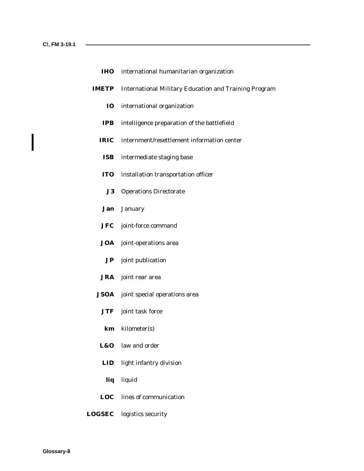| <b>IHO</b> international humanitarian organization |  |
|----------------------------------------------------|--|
|----------------------------------------------------|--|

- **IMETP** International Military Education and Training Program
	- **IO** international organization
	- **IPB** intelligence preparation of the battlefield
	- **IRIC** internment/resettlement information center
	- **ISB** intermediate staging base
	- **ITO** installation transportation officer
		- **J3** Operations Directorate
	- **Jan** January
	- **JFC** joint-force command
	- **JOA** joint-operations area
		- **JP** joint publication
	- **JRA** joint rear area
	- **JSOA** joint special operations area
		- **JTF** joint task force
		- **km** kilometer(s)
	- **L&O** law and order
	- **LID** light infantry division
	- **liq** liquid
	- **LOC** lines of communication
- **LOGSEC** logistics security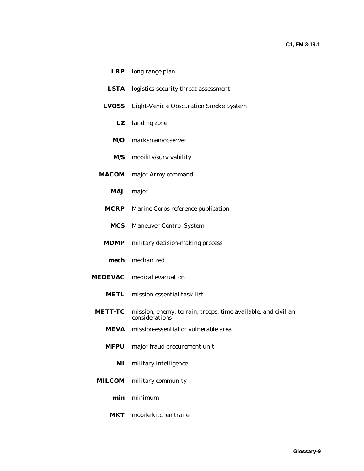|                | LRP long-range plan                                                             |
|----------------|---------------------------------------------------------------------------------|
| <b>LSTA</b>    | logistics-security threat assessment                                            |
| <b>LVOSS</b>   | <b>Light-Vehicle Obscuration Smoke System</b>                                   |
| LZ             | landing zone                                                                    |
| M/O            | marksman/observer                                                               |
|                | M/S mobility/survivability                                                      |
| <b>MACOM</b>   | major Army command                                                              |
|                | MAJ major                                                                       |
| <b>MCRP</b>    | Marine Corps reference publication                                              |
|                | <b>MCS</b> Maneuver Control System                                              |
| <b>MDMP</b>    | military decision-making process                                                |
|                | mech mechanized                                                                 |
|                | <b>MEDEVAC</b> medical evacuation                                               |
|                | <b>METL</b> mission-essential task list                                         |
| <b>METT-TC</b> | mission, enemy, terrain, troops, time available, and civilian<br>considerations |
| <b>MEVA</b>    | mission-essential or vulnerable area                                            |
| <b>MFPU</b>    | major fraud procurement unit                                                    |
| MI             | military intelligence                                                           |
| <b>MILCOM</b>  | military community                                                              |
| min            | minimum                                                                         |
| <b>MKT</b>     | mobile kitchen trailer                                                          |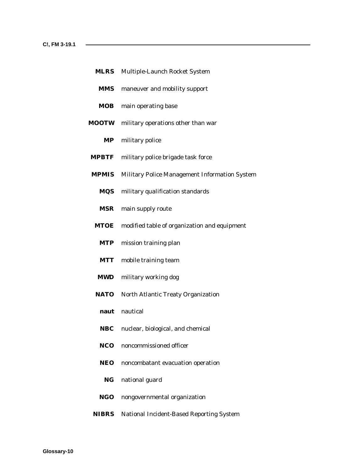|  | <b>MLRS</b> Multiple-Launch Rocket System |  |
|--|-------------------------------------------|--|
|--|-------------------------------------------|--|

- **MMS** maneuver and mobility support
- **MOB** main operating base
- **MOOTW** military operations other than war
	- **MP** military police
- **MPBTF** military police brigade task force
- **MPMIS** Military Police Management Information System
	- **MQS** military qualification standards
	- **MSR** main supply route
- **MTOE** modified table of organization and equipment
	- **MTP** mission training plan
	- **MTT** mobile training team
- **MWD** military working dog
- **NATO** North Atlantic Treaty Organization
	- **naut** nautical
	- **NBC** nuclear, biological, and chemical
	- **NCO** noncommissioned officer
	- **NEO** noncombatant evacuation operation
		- **NG** national guard
	- **NGO** nongovernmental organization
- **NIBRS** National Incident-Based Reporting System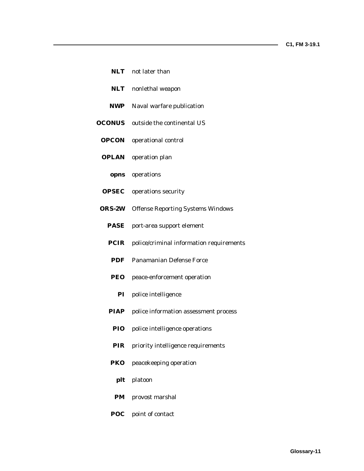|               | <b>NLT</b> not later than                |
|---------------|------------------------------------------|
| <b>NLT</b>    | nonlethal weapon                         |
| <b>NWP</b>    | Naval warfare publication                |
| <b>OCONUS</b> | outside the continental US               |
| <b>OPCON</b>  | operational control                      |
| OPLAN         | operation plan                           |
|               | opns operations                          |
| <b>OPSEC</b>  | operations security                      |
| <b>ORS-2W</b> | <b>Offense Reporting Systems Windows</b> |
| PASE          | port-area support element                |
| PCIR          | police/criminal information requirements |
| <b>PDF</b>    | <b>Panamanian Defense Force</b>          |
| PEO           | peace-enforcement operation              |
| $\mathbf{PI}$ | police intelligence                      |
| PIAP          | police information assessment process    |
| <b>PIO</b>    | police intelligence operations           |
| PIR           | priority intelligence requirements       |
| PKO           | peacekeeping operation                   |
| plt           | platoon                                  |

- **PM** provost marshal
- **POC** point of contact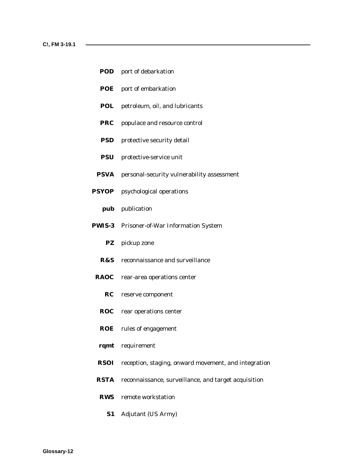- **POD** port of debarkation
- **POE** port of embarkation
- **POL** petroleum, oil, and lubricants
- **PRC** populace and resource control
- **PSD** protective security detail
- **PSU** protective-service unit
- **PSVA** personal-security vulnerability assessment
- **PSYOP** psychological operations
	- **pub** publication
- **PWIS-3** Prisoner-of-War Information System
	- **PZ** pickup zone
	- **R&S** reconnaissance and surveillance
- **RAOC** rear-area operations center
	- **RC** reserve component
	- **ROC** rear operations center
	- **ROE** rules of engagement
- **rqmt** requirement
- **RSOI** reception, staging, onward movement, and integration
- **RSTA** reconnaissance, surveillance, and target acquisition
- **RWS** remote workstation
	- **S1** Adjutant (US Army)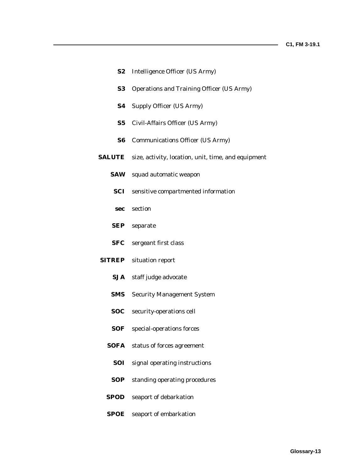| S2            | <b>Intelligence Officer (US Army)</b>               |
|---------------|-----------------------------------------------------|
| S3            | <b>Operations and Training Officer (US Army)</b>    |
| S4            | <b>Supply Officer (US Army)</b>                     |
| S5            | Civil-Affairs Officer (US Army)                     |
| S6            | <b>Communications Officer (US Army)</b>             |
| <b>SALUTE</b> | size, activity, location, unit, time, and equipment |
| <b>SAW</b>    | squad automatic weapon                              |
| SCI           | sensitive compartmented information                 |
|               | sec section                                         |
| SEP           | separate                                            |
| SFC           | sergeant first class                                |
| <b>SITREP</b> | situation report                                    |
| <b>SJA</b>    | staff judge advocate                                |
| <b>SMS</b>    | <b>Security Management System</b>                   |
| SOC           | security-operations cell                            |
| <b>SOF</b>    | special-operations forces                           |
| SOFA          | status of forces agreement                          |
| SOI           | signal operating instructions                       |

- **SOP** standing operating procedures
- **SPOD** seaport of debarkation
- **SPOE** seaport of embarkation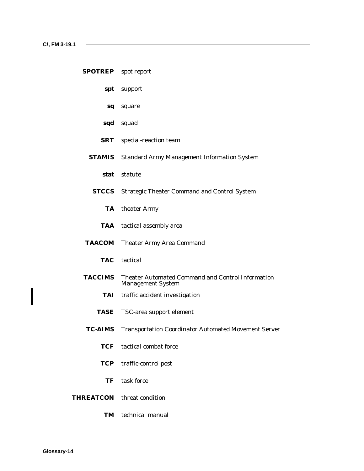# **SPOTREP** spot report

- **spt** support
- **sq** square
- **sqd** squad
- **SRT** special-reaction team
- **STAMIS** Standard Army Management Information System
	- **stat** statute
- **STCCS** Strategic Theater Command and Control System
	- **TA** theater Army
	- **TAA** tactical assembly area
- **TAACOM** Theater Army Area Command
	- **TAC** tactical
- **TACCIMS** Theater Automated Command and Control Information Management System
	- **TAI** traffic accident investigation
	- **TASE** TSC-area support element
- **TC-AIMS** Transportation Coordinator Automated Movement Server
	- **TCF** tactical combat force
	- **TCP** traffic-control post
		- **TF** task force
- **THREATCON** threat condition
	- **TM** technical manual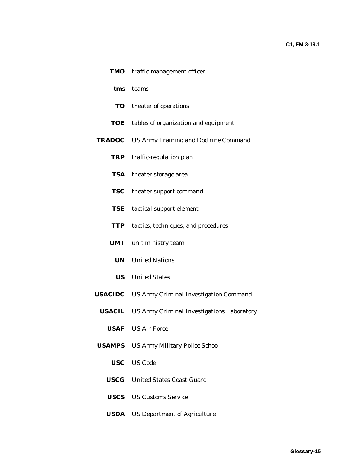|             | TMO traffic-management officer                           |
|-------------|----------------------------------------------------------|
|             | tms teams                                                |
|             | <b>TO</b> theater of operations                          |
|             | TOE tables of organization and equipment                 |
|             | <b>TRADOC</b> US Army Training and Doctrine Command      |
|             | TRP traffic-regulation plan                              |
| <b>TSA</b>  | theater storage area                                     |
| <b>TSC</b>  | theater support command                                  |
| TSE         | tactical support element                                 |
| TTP         | tactics, techniques, and procedures                      |
|             | <b>UMT</b> unit ministry team                            |
|             | <b>UN</b> United Nations                                 |
|             | <b>US</b> United States                                  |
|             | <b>USACIDC</b> US Army Criminal Investigation Command    |
|             | <b>USACIL</b> US Army Criminal Investigations Laboratory |
|             | <b>USAF</b> US Air Force                                 |
|             | <b>USAMPS</b> US Army Military Police School             |
|             | <b>USC</b> US Code                                       |
|             | <b>USCG</b> United States Coast Guard                    |
|             | <b>USCS</b> US Customs Service                           |
| <b>USDA</b> | <b>US Department of Agriculture</b>                      |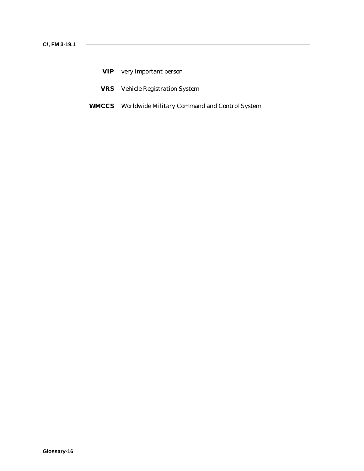- **VIP** very important person
- **VRS** Vehicle Registration System
- **WMCCS** Worldwide Military Command and Control System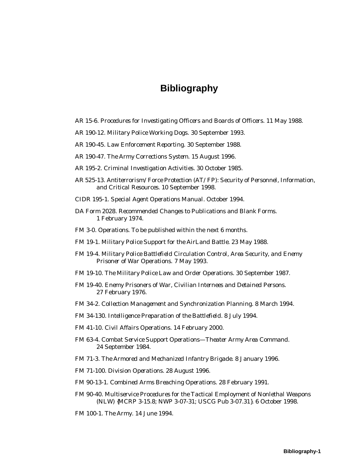# **Bibliography**

- AR 15-6. *Procedures for Investigating Officers and Boards of Officers.* 11 May 1988.
- AR 190-12. *Military Police Working Dogs.* 30 September 1993.
- AR 190-45. *Law Enforcement Reporting.* 30 September 1988.
- AR 190-47. *The Army Corrections System.* 15 August 1996.
- AR 195-2. *Criminal Investigation Activities.* 30 October 1985.
- AR 525-13. *Antiterrorism/Force Protection (AT/FP): Security of Personnel, Information, and Critical Resources.* 10 September 1998.
- CIDR 195-1. *Special Agent Operations Manual.* October 1994.
- DA Form 2028. *Recommended Changes to Publications and Blank Forms.* 1 February 1974.
- FM 3-0. *Operations.* To be published within the next 6 months.
- FM 19-1. *Military Police Support for the AirLand Battle.* 23 May 1988.
- FM 19-4. *Military Police Battlefield Circulation Control, Area Security, and Enemy Prisoner of War Operations.* 7 May 1993.
- FM 19-10. *The Military Police Law and Order Operations.* 30 September 1987.
- FM 19-40. *Enemy Prisoners of War, Civilian Internees and Detained Persons.* 27 February 1976.
- FM 34-2. *Collection Management and Synchronization Planning.* 8 March 1994.
- FM 34-130. *Intelligence Preparation of the Battlefield.* 8 July 1994.
- FM 41-10. *Civil Affairs Operations.* 14 February 2000.
- FM 63-4. *Combat Service Support Operations—Theater Army Area Command.* 24 September 1984.
- FM 71-3. *The Armored and Mechanized Infantry Brigade.* 8 January 1996.
- FM 71-100. *Division Operations.* 28 August 1996.

FM 90-13-1. *Combined Arms Breaching Operations.* 28 February 1991.

- FM 90-40. *Multiservice Procedures for the Tactical Employment of Nonlethal Weapons (NLW) {MCRP 3-15.8; NWP 3-07-31; USCG Pub 3-07.31}.* 6 October 1998.
- FM 100-1. *The Army.* 14 June 1994.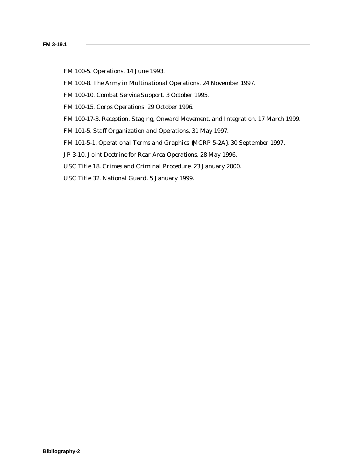- FM 100-5. *Operations.* 14 June 1993.
- FM 100-8. *The Army in Multinational Operations.* 24 November 1997.
- FM 100-10. *Combat Service Support.* 3 October 1995.
- FM 100-15. *Corps Operations.* 29 October 1996.
- FM 100-17-3. *Reception, Staging, Onward Movement, and Integration.* 17 March 1999.
- FM 101-5. *Staff Organization and Operations.* 31 May 1997.
- FM 101-5-1. *Operational Terms and Graphics {MCRP 5-2A}.* 30 September 1997.
- JP 3-10. *Joint Doctrine for Rear Area Operations.* 28 May 1996.
- USC Title 18. *Crimes and Criminal Procedure.* 23 January 2000.
- USC Title 32. *National Guard.* 5 January 1999.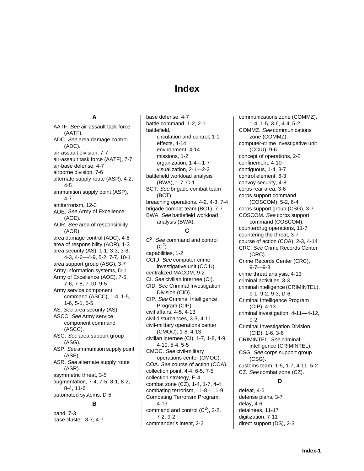# **Index**

#### **A**

AATF. See air-assault task force (AATF). ADC. See area damage control (ADC). air-assault division, 7-7 air-assault task force (AATF), 7-7 air-base defense, 4-7 airborne division, 7-6 alternate supply route (ASR), 4-2, 4-5 ammunition supply point (ASP), 4-7 antiterrorism, 12-3 AOE. See Army of Excellence (AOE). AOR. See area of responsibility (AOR). area damage control (ADC), 4-6 area of responsibility (AOR), 1-3 area security (AS), 1-1, 3-3, 3-8, 4-3, 4-6—4-9, 5-2, 7-7, 10-1 area support group (ASG), 3-7 Army information systems, D-1 Army of Excellence (AOE), 7-5, 7-6, 7-8, 7-10, 9-5 Army service component command (ASCC), 1-4, 1-5, 1-6, 5-1, 5-5 AS. See area security (AS). ASCC. See Army service component command (ASCC). ASG. See area support group (ASG). ASP. See ammunition supply point (ASP). ASR. See alternate supply route (ASR). asymmetric threat, 3-5 augmentation, 7-4, 7-5, 8-1, 8-2, 8-4, 11-6 automated systems, D-5

#### **B**

band, 7-3 base cluster, 3-7, 4-7

base defense, 4-7 battle command, 1-2, 2-1 battlefield, circulation and control, 1-1 effects, 4-14 environment, 4-14 missions, 1-2 organization, 1-4—1-7 visualization, 2-1—2-2 battlefield workload analysis (BWA), 1-7, C-1 BCT. See brigade combat team (BCT). breaching operations, 4-2, 4-3, 7-4 brigade combat team (BCT), 7-7 BWA. See battlefield workload analysis (BWA).

# **C**

C<sup>2</sup>. See command and control  $(C^2)$ . capabilities, 1-2 CCIU. See computer-crime investigative unit (CCIU). centralized MACOM, 9-2 CI. See civilian internee (CI). CID. See Criminal Investigation Division (CID). CIP. See Criminal Intelligence Program (CIP). civil affairs, 4-5, 4-13 civil disturbances, 3-3, 4-11 civil-military operations center (CMOC), 1-8, 4-13 civilian internee (CI), 1-7, 1-8, 4-9, 4-10, 5-4, 5-5 CMOC. See civil-military operations center (CMOC). COA. See course of action (COA). collection point, 4-4, 6-5, 7-5 collection strategy, E-4 combat zone (CZ), 1-4, 1-7, 4-4 combating terrorism, 11-8—11-9 Combating Terrorism Program, 4-13 command and control  $(C<sup>2</sup>)$ , 2-2, 7-2, 9-2 commander's intent, 2-2

communications zone (COMMZ), 1-4, 1-5, 3-6, 4-4, 5-2 COMMZ. See communications zone (COMMZ). computer-crime investigative unit (CCIU), 9-6 concept of operations, 2-2 confinement, 4-10 contiguous, 1-4, 3-7 control element, 6-3 convoy security, 4-8 corps rear area, 3-6 corps support command (COSCOM), 5-2, 6-4 corps support group (CSG), 3-7 COSCOM. See corps support command (COSCOM). counterdrug operations, 11-7 countering the threat, 3-7 course of action (COA), 2-3, 4-14 CRC. See Crime Records Center (CRC). Crime Records Center (CRC), 9-7—9-8 crime threat analysis, 4-13 criminal activities, 3-3 criminal intelligence (CRIMINTEL), 9-1, 9-2, 9-3, D-6 Criminal Intelligence Program (CIP), 4-13 criminal investigation, 4-11—4-12, 9-2 Criminal Investigation Division (CID), 1-6, 3-6 CRIMINTEL. See criminal intelligence (CRIMINTEL). CSG. See corps support group (CSG). customs team, 1-5, 1-7, 4-11, 5-2 CZ. See combat zone (CZ). **D**

defeat, 4-6 defense plans, 3-7 delay, 4-6 detainees, 11-17 digitization, 7-11 direct support (DS), 2-3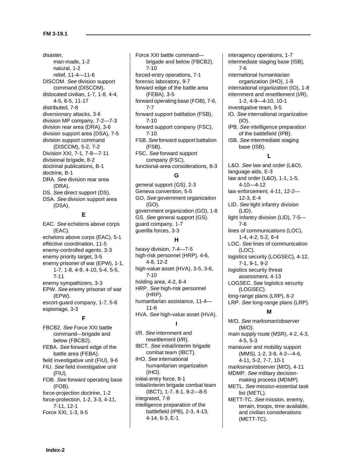disaster, man-made, 1-2 natural, 1-2 relief, 11-4—11-6 DISCOM. See division support command (DISCOM). dislocated civilian, 1-7, 1-8, 4-4, 4-5, 6-5, 11-17 distributed, 7-8 diversionary attacks, 3-6 division MP company, 7-2—7-3 division rear area (DRA), 3-6 division support area (DSA), 7-5 division support command (DISCOM), 5-2, 7-2 Division XXI, 7-1, 7-8—7-11 divisional brigade, 8-2 doctrinal publications, B-1 doctrine, B-1 DRA. See division rear area (DRA). DS. See direct support (DS). DSA. See division support area (DSA).

#### **E**

EAC. See echelons above corps (EAC). echelons above corps (EAC), 5-1 effective coordination, 11-5 enemy-controlled agents, 3-3 enemy priority target, 3-5 enemy prisoner of war (EPW), 1-1, 1-7, 1-8, 4-9, 4-10, 5-4, 5-5, 7-11 enemy sympathizers, 3-3 EPW. See enemy prisoner of war (EPW). escort-guard company, 1-7, 5-6 espionage, 3-3

## **F**

FBCB2. See Force XXI battle command—brigade and below (FBCB2). FEBA. See forward edge of the battle area (FEBA). field investigative unit (FIU), 9-6 FIU. See field investigative unit (FIU). FOB. See forward operating base (FOB). force-projection doctrine, 1-2 force-protection, 1-2, 3-3, 4-11, 7-11, 12-1 Force XXI, 1-3, 9-5

Force XXI battle command brigade and below (FBCB2), 7-10 forced-entry operations, 7-1 forensic laboratory, 9-7 forward edge of the battle area (FEBA), 3-5 forward operating base (FOB), 7-6, 7-7 forward support battlation (FSB), 7-10 forward support company (FSC), 7-10 FSB. See forward support battalion (FSB). FSC. See forward support company (FSC). functional-area considerations, 8-3

#### **G**

general support (GS), 2-3 Geneva convention, 5-5 GO. See government organization (GO). government organization (GO), 1-8 GS. See general support (GS). guard company, 1-7 guerilla forces, 3-3

## **H**

heavy division, 7-4—7-5 high-risk personnel (HRP), 4-6, 4-8, 12-2 high-value asset (HVA), 3-5, 3-6, 7-10 holding area, 4-2, 6-4 HRP. See high-risk personnel (HRP). humanitarian assistance, 11-4— 11-6 HVA. See high-value asset (HVA).

#### **I**

I/R. See internment and resettlement (I/R). IBCT. See initial/interim brigade combat team (IBCT). IHO. See international humanitarian organization (IHO). initial-entry force, 8-1 initial/interim brigade combat team (IBCT), 1-7, 8-1, 8-2—8-5 integrated, 7-8 intelligence preparation of the battlefield (IPB), 2-3, 4-13, 4-14, 6-3, E-1

interagency operations, 1-7 intermediate staging base (ISB), 7-6 international humanitarian organization (IHO), 1-8 international organization (IO), 1-8 internment and resettlement (I/R), 1-2, 4-9—4-10, 10-1 investigative team, 9-5 IO. See international organization (IO). IPB. See intelligence preparation of the battlefield (IPB). ISB. See intermediate staging base (ISB). **L** L&O. See law and order (L&O). language aids, E-3 law and order (L&O), 1-1, 1-5, 4-10—4-12 law enforcement, 4-11, 12-2— 12-3, E-4 LID. See light infantry division (LID). light infantry division (LID), 7-5—

7-6 lines of communications (LOC), 1-4, 4-2, 5-2, 6-4 LOC. See lines of communication (LOC). logistics security (LOGSEC), 4-12, 7-1, 9-1, 9-2

logistics security threat assessment, 4-13 LOGSEC. See logistics security (LOGSEC). long-range plans (LRP), 6-2 LRP. See long-range plans (LRP).

## **M**

M/O. See marksman/observer  $(M/O)$ . main supply route (MSR), 4-2, 4-3, 4-5, 5-3 maneuver and mobility support (MMS), 1-2, 3-8, 4-2—4-6, 4-11, 5-2, 7-7, 10-1 marksman/observer (M/O), 4-11 MDMP. See military decisionmaking process (MDMP). METL. See mission-essential task list (METL). METT-TC. See mission, enemy, terrain, troops, time available, and civilian considerations (METT-TC).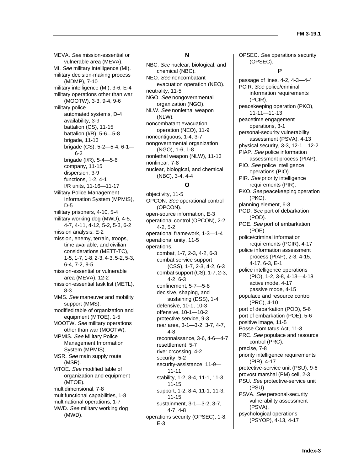MEVA. See mission-essential or vulnerable area (MEVA). MI. See military intelligence (MI). military decision-making process (MDMP), 7-10 military intelligence (MI), 3-6, E-4 military operations other than war (MOOTW), 3-3, 9-4, 9-6 military police automated systems, D-4 availability, 3-9 battalion (CS), 11-15 battalion (I/R), 5-6—5-8 brigade, 11-13 brigade (CS), 5-2—5-4, 6-1— 6-2 brigade (I/R), 5-4—5-6 company, 11-15 dispersion, 3-9 functions, 1-2, 4-1 I/R units, 11-16—11-17 Military Police Management Information System (MPMIS), D-5 military prisoners, 4-10, 5-4 military working dog (MWD), 4-5, 4-7, 4-11, 4-12, 5-2, 5-3, 6-2 mission analysis, E-2 mission, enemy, terrain, troops, time available, and civilian considerations (METT-TC), 1-5, 1-7, 1-8, 2-3, 4-3, 5-2, 5-3, 6-4, 7-2, 9-5 mission-essential or vulnerable area (MEVA), 12-2 mission-essential task list (METL), 8-3 MMS. See maneuver and mobility support (MMS). modified table of organization and equipment (MTOE), 1-5 MOOTW. See military operations other than war (MOOTW). MPMIS. See Military Police Management Information System (MPMIS). MSR. See main supply route (MSR). MTOE. See modified table of organization and equipment (MTOE). multidimensional, 7-8 multifunctional capabilities, 1-8 multinational operations, 1-7 MWD. See military working dog (MWD).

#### **N**

NBC. See nuclear, biological, and chemical (NBC). NEO. See noncombatant evacuation operation (NEO). neutrality, 11-5 NGO. See nongovernmental organization (NGO). NLW. See nonlethal weapon (NLW). noncombatant evacuation operation (NEO), 11-9 noncontiguous, 1-4, 3-7 nongovernmental organization (NGO), 1-6, 1-8 nonlethal weapon (NLW), 11-13 nonlinear, 7-8 nuclear, biological, and chemical (NBC), 3-4, 4-4

# **O**

objectivity, 11-5 OPCON. See operational control (OPCON). open-source information, E-3 operational control (OPCON), 2-2, 4-2, 5-2 operational framework, 1-3—1-4 operational unity, 11-5 operations, combat, 1-7, 2-3, 4-2, 6-3 combat service support (CSS), 1-7, 2-3, 4-2, 6-3 combat support (CS), 1-7, 2-3, 4-2, 6-3 confinement, 5-7—5-8 decisive, shaping, and sustaining (DSS), 1-4 defensive, 10-1, 10-3 offensive, 10-1—10-2 protective service, 9-3 rear area, 3-1—3-2, 3-7, 4-7, 4-8 reconnaissance, 3-6, 4-6—4-7 resettlement, 5-7 river crcossing, 4-2 security, 5-2 security-assistance, 11-9— 11-11 stability, 1-2, 8-4, 11-1, 11-3, 11-15 support, 1-2, 8-4, 11-1, 11-3, 11-15 sustainment, 3-1—3-2, 3-7, 4-7, 4-8 operations security (OPSEC), 1-8, E-3

OPSEC. See operations security (OPSEC).

#### **P**

passage of lines, 4-2, 4-3—4-4 PCIR. See police/criminal information requirements (PCIR). peacekeeping operation (PKO), 11-11—11-13 peacetime engagement operations, 3-1 personal-security vulnerability assessment (PSVA), 4-13 physical security, 3-3, 12-1—12-2 PIAP. See police information assessment process (PIAP). PIO. See police intelligence operations (PIO). PIR. See priority intelligence requirements (PIR). PKO. See peacekeeping operation (PKO). planning element, 6-3 POD. See port of debarkation (POD). POE. See port of embarkation (POE). police/criminal information requirements (PCIR), 4-17 police information assessment process (PIAP), 2-3, 4-15, 4-17, 6-3, E-1 police intelligence operations (PIO), 1-2, 3-8, 4-13—4-18 active mode, 4-17 passive mode, 4-15 populace and resource control (PRC), 4-10 port of debarkation (POD), 5-6 port of embarkation (POE), 5-6 positive image, 11-5 Posse Comitatus Act, 11-3 PRC. See populace and resource control (PRC). precise, 7-8 priority intelligence requirements (PIR), 4-17 protective-service unit (PSU), 9-6 provost marshal (PM) cell, 2-3 PSU. See protective-service unit (PSU). PSVA. See personal-security vulnerability assessment (PSVA). psychological operations (PSYOP), 4-13, 4-17